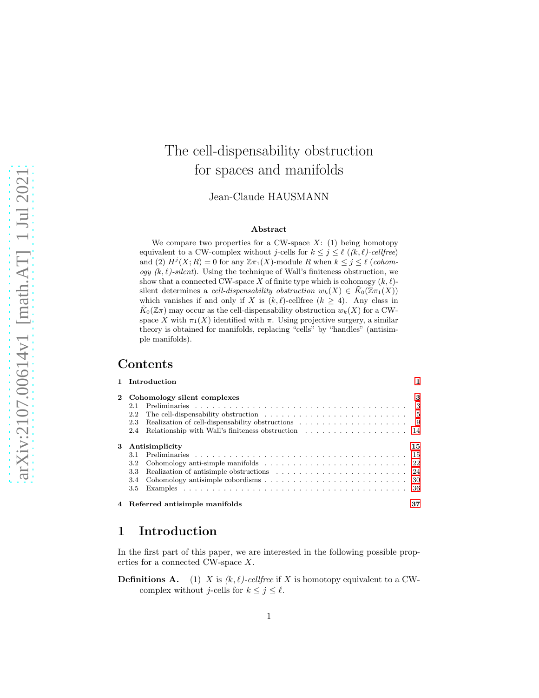# The cell-dispensability obstruction for spaces and manifolds

Jean-Claude HAUSMANN

#### Abstract

We compare two properties for a CW-space  $X: (1)$  being homotopy equivalent to a CW-complex without j-cells for  $k \leq j \leq \ell$  ((k,  $\ell$ )-cellfree) and (2)  $H^j(X;R) = 0$  for any  $\mathbb{Z} \pi_1(X)$ -module R when  $k \leq j \leq \ell$  (cohomogy  $(k, \ell)$ -silent). Using the technique of Wall's finiteness obstruction, we show that a connected CW-space X of finite type which is cohomogy  $(k, \ell)$ silent determines a *cell-dispensability obstruction*  $w_k(X) \in K_0(\mathbb{Z} \pi_1(X))$ which vanishes if and only if X is  $(k, \ell)$ -cellfree  $(k \geq 4)$ . Any class in  $\tilde{K}_0(\mathbb{Z}\pi)$  may occur as the cell-dispensability obstruction  $w_k(X)$  for a CWspace X with  $\pi_1(X)$  identified with  $\pi$ . Using projective surgery, a similar theory is obtained for manifolds, replacing "cells" by "handles" (antisimple manifolds).

### Contents

|          | 1 Introduction                                                                                              | $\mathbf{1}$ |
|----------|-------------------------------------------------------------------------------------------------------------|--------------|
| $\bf{2}$ | Cohomology silent complexes                                                                                 | 3            |
|          | 2.1                                                                                                         |              |
|          | The cell-dispensability obstruction $\ldots \ldots \ldots \ldots \ldots \ldots \ldots \ldots \ldots$<br>2.2 |              |
|          | 2.3                                                                                                         |              |
|          | Relationship with Wall's finiteness obstruction 14<br>2.4                                                   |              |
| 3        | Antisimplicity                                                                                              | 15           |
|          |                                                                                                             |              |
|          | $3.2\,$                                                                                                     |              |
|          | 3.3                                                                                                         |              |
|          | 3.4                                                                                                         |              |
|          | 3.5                                                                                                         |              |
|          | 4 Referred antisimple manifolds                                                                             | 37           |

## <span id="page-0-0"></span>1 Introduction

In the first part of this paper, we are interested in the following possible properties for a connected CW-space X.

**Definitions A.** (1) X is  $(k, \ell)$ -cellfree if X is homotopy equivalent to a CWcomplex without *j*-cells for  $k \leq j \leq \ell$ .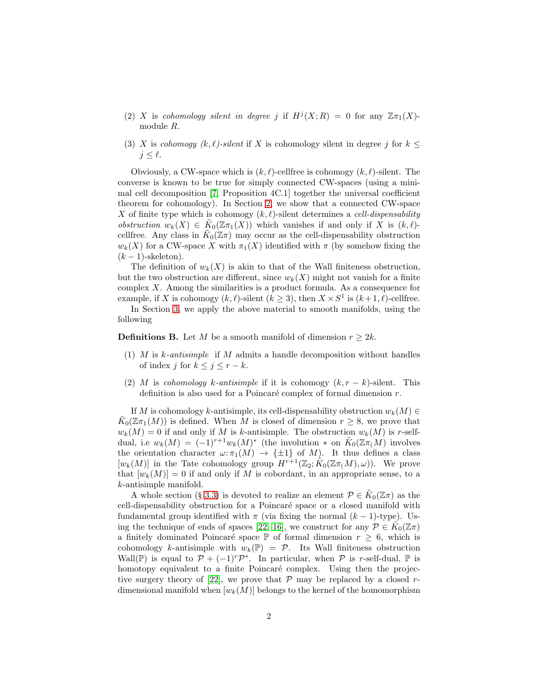- (2) X is cohomology silent in degree j if  $H^j(X;R) = 0$  for any  $\mathbb{Z}(\pi_1(X))$ module R.
- (3) X is cohomogy  $(k, \ell)$ -silent if X is cohomology silent in degree j for  $k \leq$  $j \leq \ell$ .

Obviously, a CW-space which is  $(k, \ell)$ -cellfree is cohomogy  $(k, \ell)$ -silent. The converse is known to be true for simply connected CW-spaces (using a minimal cell decomposition [\[7,](#page-40-0) Proposition 4C.1] together the universal coefficient theorem for cohomology). In Section [2,](#page-2-0) we show that a connected CW-space X of finite type which is cohomogy  $(k, \ell)$ -silent determines a *cell-dispensability* obstruction  $w_k(X) \in \tilde{K}_0(\mathbb{Z} \pi_1(X))$  which vanishes if and only if X is  $(k, \ell)$ cellfree. Any class in  $\tilde{K}_0(\mathbb{Z}\pi)$  may occur as the cell-dispensability obstruction  $w_k(X)$  for a CW-space X with  $\pi_1(X)$  identified with  $\pi$  (by somehow fixing the  $(k-1)$ -skeleton).

The definition of  $w_k(X)$  is akin to that of the Wall finiteness obstruction, but the two obstruction are different, since  $w_k(X)$  might not vanish for a finite complex  $X$ . Among the similarities is a product formula. As a consequence for example, if X is cohomogy  $(k, \ell)$ -silent  $(k \geq 3)$ , then  $X \times S^1$  is  $(k+1, \ell)$ -cellfree.

In Section [3,](#page-14-0) we apply the above material to smooth manifolds, using the following

**Definitions B.** Let M be a smooth manifold of dimension  $r \geq 2k$ .

- (1) M is k-antisimple if M admits a handle decomposition without handles of index j for  $k \leq j \leq r - k$ .
- (2) M is cohomology k-antisimple if it is cohomogy  $(k, r k)$ -silent. This definition is also used for a Poincaré complex of formal dimension  $r$ .

If M is cohomology k-antisimple, its cell-dispensability obstruction  $w_k(M) \in$  $\tilde{K}_0(\mathbb{Z}\pi_1(M))$  is defined. When M is closed of dimension  $r \geq 8$ , we prove that  $w_k(M) = 0$  if and only if M is k-antisimple. The obstruction  $w_k(M)$  is r-selfdual, i.e  $w_k(M) = (-1)^{r+1} w_k(M)^*$  (the involution  $*$  on  $\tilde{K}_0(\mathbb{Z}(\pi_M))$  involves the orientation character  $\omega: \pi_1(M) \to {\pm 1}$  of M). It thus defines a class  $[w_k(M)]$  in the Tate cohomology group  $H^{r+1}(\mathbb{Z}_2; \tilde{K}_0(\mathbb{Z}\pi(M), \omega))$ . We prove that  $[w_k(M)] = 0$  if and only if M is cobordant, in an appropriate sense, to a k-antisimple manifold.

A whole section (§ [3.3\)](#page-23-0) is devoted to realize an element  $\mathcal{P} \in \tilde{K}_0(\mathbb{Z}\pi)$  as the cell-dispensability obstruction for a Poincaré space or a closed manifold with fundamental group identified with  $\pi$  (via fixing the normal  $(k-1)$ -type). Us-ing the technique of ends of spaces [\[22,](#page-40-1) [16\]](#page-40-2), we construct for any  $\mathcal{P} \in \widetilde{K}_0(\mathbb{Z}\pi)$ a finitely dominated Poincaré space  $\mathbb P$  of formal dimension  $r \geq 6$ , which is cohomology k-antisimple with  $w_k(\mathbb{P}) = \mathcal{P}$ . Its Wall finiteness obstruction Wall(P) is equal to  $\mathcal{P} + (-1)^r \mathcal{P}^*$ . In particular, when  $\mathcal P$  is r-self-dual, P is homotopy equivalent to a finite Poincaré complex. Using then the projec-tive surgery theory of [\[22\]](#page-40-1), we prove that  $P$  may be replaced by a closed rdimensional manifold when  $[w_k(M)]$  belongs to the kernel of the homomorphism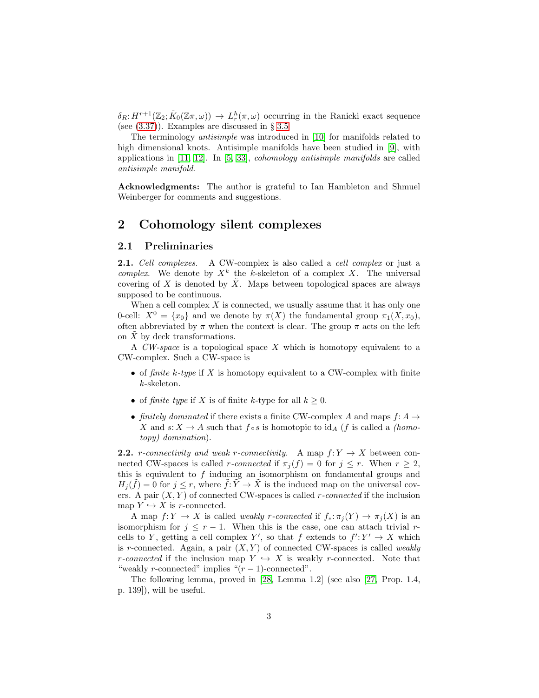$\delta_R: H^{r+1}(\mathbb{Z}_2; \tilde{K}_0(\mathbb{Z}\pi,\omega)) \to L_r^h(\pi,\omega)$  occurring in the Ranicki exact sequence (see [\(3.37\)](#page-28-0)). Examples are discussed in § [3.5](#page-35-0)

The terminology antisimple was introduced in [\[10\]](#page-40-3) for manifolds related to high dimensional knots. Antisimple manifolds have been studied in [\[9\]](#page-40-4), with applications in  $[11, 12]$  $[11, 12]$ . In  $[5, 33]$  $[5, 33]$ , *cohomology antisimple manifolds* are called antisimple manifold.

Acknowledgments: The author is grateful to Ian Hambleton and Shmuel Weinberger for comments and suggestions.

# <span id="page-2-0"></span>2 Cohomology silent complexes

### <span id="page-2-1"></span>2.1 Preliminaries

2.1. Cell complexes. A CW-complex is also called a cell complex or just a complex. We denote by  $X^k$  the k-skeleton of a complex X. The universal covering of X is denoted by  $\tilde{X}$ . Maps between topological spaces are always supposed to be continuous.

When a cell complex  $X$  is connected, we usually assume that it has only one 0-cell:  $X^0 = \{x_0\}$  and we denote by  $\pi(X)$  the fundamental group  $\pi_1(X, x_0)$ , often abbreviated by  $\pi$  when the context is clear. The group  $\pi$  acts on the left on  $X$  by deck transformations.

A  $CW\text{-}space$  is a topological space  $X$  which is homotopy equivalent to a CW-complex. Such a CW-space is

- of finite k-type if X is homotopy equivalent to a CW-complex with finite k-skeleton.
- of finite type if X is of finite k-type for all  $k \geq 0$ .
- finitely dominated if there exists a finite CW-complex A and maps  $f: A \to$ X and  $s: X \to A$  such that  $f \circ s$  is homotopic to  $\mathrm{id}_A$  (f is called a *(homo*topy) domination).

<span id="page-2-2"></span>**2.2.** *r*-connectivity and weak *r*-connectivity. A map  $f: Y \to X$  between connected CW-spaces is called r-connected if  $\pi_i(f) = 0$  for  $j \leq r$ . When  $r \geq 2$ , this is equivalent to  $f$  inducing an isomorphism on fundamental groups and  $H_j(\tilde{f}) = 0$  for  $j \leq r$ , where  $\tilde{f}: \tilde{Y} \to \tilde{X}$  is the induced map on the universal covers. A pair  $(X, Y)$  of connected CW-spaces is called *r*-connected if the inclusion map  $Y \hookrightarrow X$  is *r*-connected.

A map  $f: Y \to X$  is called weakly r-connected if  $f_*: \pi_i(Y) \to \pi_i(X)$  is an isomorphism for  $j \leq r - 1$ . When this is the case, one can attach trivial rcells to Y, getting a cell complex Y', so that f extends to  $f' : Y' \to X$  which is r-connected. Again, a pair  $(X, Y)$  of connected CW-spaces is called weakly r-connected if the inclusion map  $Y \hookrightarrow X$  is weakly r-connected. Note that "weakly r-connected" implies " $(r-1)$ -connected".

The following lemma, proved in [\[28,](#page-41-1) Lemma 1.2] (see also [\[27,](#page-41-2) Prop. 1.4, p. 139]), will be useful.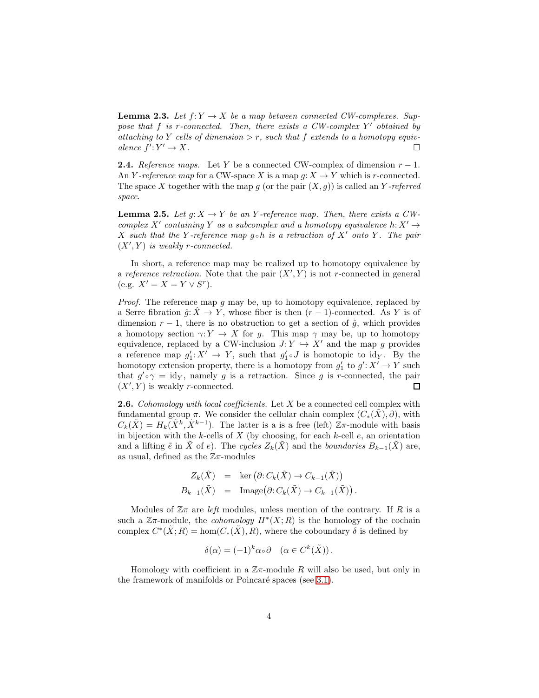<span id="page-3-0"></span>**Lemma 2.3.** Let  $f: Y \to X$  be a map between connected CW-complexes. Suppose that  $f$  is r-connected. Then, there exists a CW-complex  $Y'$  obtained by attaching to Y cells of dimension  $>r$ , such that f extends to a homotopy equivalence  $f': Y' \to X$ .

<span id="page-3-1"></span>**2.4.** Reference maps. Let Y be a connected CW-complex of dimension  $r - 1$ . An Y-reference map for a CW-space X is a map  $q: X \to Y$  which is r-connected. The space X together with the map q (or the pair  $(X, q)$ ) is called an Y-referred space.

<span id="page-3-2"></span>**Lemma 2.5.** Let  $q: X \to Y$  be an Y-reference map. Then, there exists a CWcomplex X' containing Y as a subcomplex and a homotopy equivalence  $h: X' \to Y'$ X such that the Y-reference map g  $\circ h$  is a retraction of X' onto Y. The pair  $(X', Y)$  is weakly r-connected.

In short, a reference map may be realized up to homotopy equivalence by a reference retraction. Note that the pair  $(X', Y)$  is not r-connected in general (e.g.  $X' = X = Y \vee S^r$ ).

*Proof.* The reference map q may be, up to homotopy equivalence, replaced by a Serre fibration  $\hat{g}: \hat{X} \to Y$ , whose fiber is then  $(r-1)$ -connected. As Y is of dimension  $r - 1$ , there is no obstruction to get a section of  $\hat{q}$ , which provides a homotopy section  $\gamma: Y \to X$  for g. This map  $\gamma$  may be, up to homotopy equivalence, replaced by a CW-inclusion  $J: Y \hookrightarrow X'$  and the map g provides a reference map  $g'_1: X' \to Y$ , such that  $g'_1 \circ J$  is homotopic to  $\mathrm{id}_Y$ . By the homotopy extension property, there is a homotopy from  $g'_1$  to  $g' : X' \to Y$  such that  $g' \circ \gamma = id_Y$ , namely g is a retraction. Since g is r-connected, the pair  $(X', Y)$  is weakly *r*-connected.  $\Box$ 

<span id="page-3-3"></span>**2.6.** Cohomology with local coefficients. Let X be a connected cell complex with fundamental group  $\pi$ . We consider the cellular chain complex  $(C_*(\tilde{X}), \partial)$ , with  $C_k(\tilde{X}) = H_k(\tilde{X}^k, \tilde{X}^{k-1})$ . The latter is a is a free (left)  $\mathbb{Z}\pi$ -module with basis in bijection with the k-cells of  $X$  (by choosing, for each k-cell  $e$ , an orientation and a lifting  $\tilde{e}$  in  $\tilde{X}$  of e). The cycles  $Z_k(\tilde{X})$  and the boundaries  $B_{k-1}(\tilde{X})$  are, as usual, defined as the  $\mathbb{Z}_{\pi}$ -modules

$$
Z_k(\tilde{X}) = \ker (\partial: C_k(\tilde{X}) \to C_{k-1}(\tilde{X}))
$$
  
\n
$$
B_{k-1}(\tilde{X}) = \text{Image}(\partial: C_k(\tilde{X}) \to C_{k-1}(\tilde{X})).
$$

Modules of  $\mathbb{Z}_{\pi}$  are *left* modules, unless mention of the contrary. If R is a such a  $\mathbb{Z}\pi$ -module, the *cohomology*  $H^*(X;R)$  is the homology of the cochain complex  $C^*(\tilde{X};R) = \text{hom}(C_*(\tilde{X}), R)$ , where the coboundary  $\delta$  is defined by

$$
\delta(\alpha) = (-1)^k \alpha \circ \partial \quad (\alpha \in C^k(\tilde{X})).
$$

Homology with coefficient in a  $\mathbb{Z}\pi$ -module R will also be used, but only in the framework of manifolds or Poincaré spaces (see [3.1\)](#page-14-2).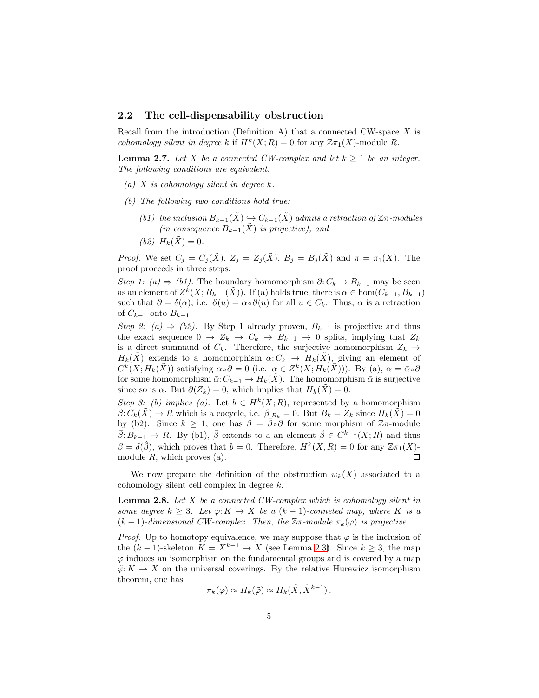### <span id="page-4-0"></span>2.2 The cell-dispensability obstruction

Recall from the introduction (Definition A) that a connected CW-space  $X$  is cohomology silent in degree k if  $H^k(X;R) = 0$  for any  $\mathbb{Z} \pi_1(X)$ -module R.

<span id="page-4-2"></span>**Lemma 2.7.** Let X be a connected CW-complex and let  $k \geq 1$  be an integer. The following conditions are equivalent.

- (a)  $X$  is cohomology silent in degree  $k$ .
- (b) The following two conditions hold true:
	- (b1) the inclusion  $B_{k-1}(\tilde{X}) \hookrightarrow C_{k-1}(\tilde{X})$  admits a retraction of  $\mathbb{Z}$  $\pi$ -modules (in consequence  $B_{k-1}(\tilde{X})$  is projective), and
	- (*b2*)  $H_k(\tilde{X}) = 0$ .

*Proof.* We set  $C_j = C_j(\tilde{X}), Z_j = Z_j(\tilde{X}), B_j = B_j(\tilde{X})$  and  $\pi = \pi_1(X)$ . The proof proceeds in three steps.

Step 1: (a)  $\Rightarrow$  (b1). The boundary homomorphism  $\partial: C_k \to B_{k-1}$  may be seen as an element of  $Z^k(X; B_{k-1}(\tilde{X}))$ . If (a) holds true, there is  $\alpha \in \text{hom}(C_{k-1}, B_{k-1})$ such that  $\partial = \delta(\alpha)$ , i.e.  $\partial(u) = \alpha \circ \partial(u)$  for all  $u \in C_k$ . Thus,  $\alpha$  is a retraction of  $C_{k-1}$  onto  $B_{k-1}$ .

Step 2: (a)  $\Rightarrow$  (b2). By Step 1 already proven,  $B_{k-1}$  is projective and thus the exact sequence  $0 \to Z_k \to C_k \to B_{k-1} \to 0$  splits, implying that  $Z_k$ is a direct summand of  $C_k$ . Therefore, the surjective homomorphism  $Z_k \rightarrow$  $H_k(\tilde{X})$  extends to a homomorphism  $\alpha: C_k \to H_k(\tilde{X})$ , giving an element of  $C^k(X; H_k(\tilde{X}))$  satisfying  $\alpha \circ \partial = 0$  (i.e.  $\alpha \in Z^k(X; H_k(\tilde{X})))$ . By (a),  $\alpha = \bar{\alpha} \circ \partial$ for some homomorphism  $\bar{\alpha}: C_{k-1} \to H_k(X)$ . The homomorphism  $\bar{\alpha}$  is surjective since so is  $\alpha$ . But  $\partial(Z_k) = 0$ , which implies that  $H_k(X) = 0$ .

Step 3: (b) implies (a). Let  $b \in H^k(X;R)$ , represented by a homomorphism  $\beta: C_k(\tilde{X}) \to R$  which is a cocycle, i.e.  $\beta_{|B_k} = 0$ . But  $B_k = Z_k$  since  $H_k(\tilde{X}) = 0$ by (b2). Since  $k \geq 1$ , one has  $\beta = \overline{\beta} \circ \partial$  for some morphism of  $\mathbb{Z}\pi$ -module  $\bar{\beta}: B_{k-1} \to R$ . By (b1),  $\bar{\beta}$  extends to a an element  $\hat{\beta} \in C^{k-1}(X;R)$  and thus  $\beta = \delta(\hat{\beta})$ , which proves that  $b = 0$ . Therefore,  $H^k(X, R) = 0$  for any  $\mathbb{Z} \pi_1(X)$ module  $R$ , which proves  $(a)$ . 口

We now prepare the definition of the obstruction  $w_k(X)$  associated to a cohomology silent cell complex in degree k.

<span id="page-4-1"></span>**Lemma 2.8.** Let  $X$  be a connected CW-complex which is cohomology silent in some degree  $k \geq 3$ . Let  $\varphi: K \to X$  be a  $(k-1)$ -conneted map, where K is a  $(k-1)$ -dimensional CW-complex. Then, the  $\mathbb{Z}\pi$ -module  $\pi_k(\varphi)$  is projective.

*Proof.* Up to homotopy equivalence, we may suppose that  $\varphi$  is the inclusion of the  $(k-1)$ -skeleton  $K = X^{k-1} \rightarrow X$  (see Lemma [2.3\)](#page-3-0). Since  $k \geq 3$ , the map  $\varphi$  induces an isomorphism on the fundamental groups and is covered by a map  $\tilde{\varphi}$ :  $\tilde{K} \to \tilde{X}$  on the universal coverings. By the relative Hurewicz isomorphism theorem, one has

$$
\pi_k(\varphi) \approx H_k(\tilde{\varphi}) \approx H_k(\tilde{X}, \tilde{X}^{k-1}).
$$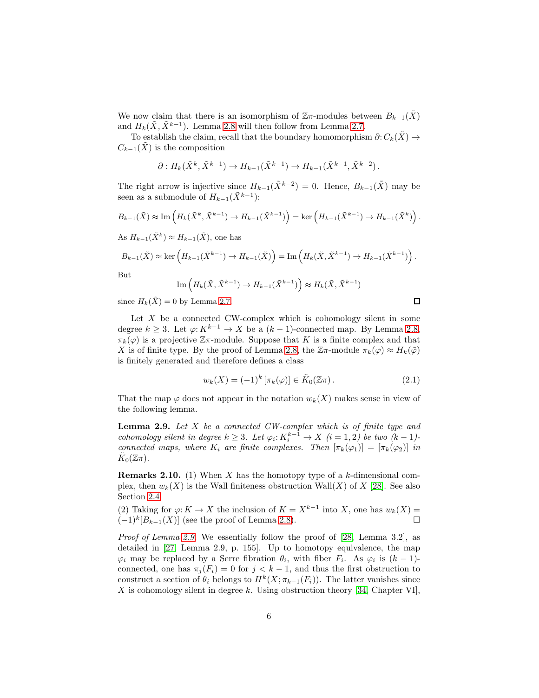We now claim that there is an isomorphism of  $\mathbb{Z}_{\pi}$ -modules between  $B_{k-1}(\tilde{X})$ and  $H_k(\tilde{X}, \tilde{X}^{k-1})$ . Lemma [2.8](#page-4-1) will then follow from Lemma [2.7.](#page-4-2)

To establish the claim, recall that the boundary homomorphism  $\partial: C_k(\tilde{X}) \to$  $C_{k-1}(X)$  is the composition

$$
\partial: H_k(\tilde{X}^k, \tilde{X}^{k-1}) \to H_{k-1}(\tilde{X}^{k-1}) \to H_{k-1}(\tilde{X}^{k-1}, \tilde{X}^{k-2}).
$$

The right arrow is injective since  $H_{k-1}(\tilde{X}^{k-2}) = 0$ . Hence,  $B_{k-1}(\tilde{X})$  may be seen as a submodule of  $H_{k-1}(\tilde{X}^{k-1})$ :

$$
B_{k-1}(\tilde{X}) \approx \text{Im}\left(H_k(\tilde{X}^k, \tilde{X}^{k-1}) \to H_{k-1}(\tilde{X}^{k-1})\right) = \text{ker}\left(H_{k-1}(\tilde{X}^{k-1}) \to H_{k-1}(\tilde{X}^k)\right).
$$

As  $H_{k-1}(\tilde{X}^k) \approx H_{k-1}(\tilde{X})$ , one has

$$
B_{k-1}(\tilde{X}) \approx \ker \left( H_{k-1}(\tilde{X}^{k-1}) \to H_{k-1}(\tilde{X}) \right) = \text{Im} \left( H_k(\tilde{X}, \tilde{X}^{k-1}) \to H_{k-1}(\tilde{X}^{k-1}) \right).
$$

But

$$
\mathrm{Im}\left(H_k(\tilde{X},\tilde{X}^{k-1})\to H_{k-1}(\tilde{X}^{k-1})\right)\approx H_k(\tilde{X},\tilde{X}^{k-1})
$$

since  $H_k(\tilde{X}) = 0$  by Lemma [2.7.](#page-4-2)

Let  $X$  be a connected CW-complex which is cohomology silent in some degree  $k \geq 3$ . Let  $\varphi: K^{k-1} \to X$  be a  $(k-1)$ -connected map. By Lemma [2.8,](#page-4-1)  $\pi_k(\varphi)$  is a projective  $\mathbb{Z}\pi$ -module. Suppose that K is a finite complex and that X is of finite type. By the proof of Lemma [2.8,](#page-4-1) the  $\mathbb{Z}\pi$ -module  $\pi_k(\varphi) \approx H_k(\tilde{\varphi})$ is finitely generated and therefore defines a class

<span id="page-5-2"></span>
$$
w_k(X) = (-1)^k [\pi_k(\varphi)] \in \tilde{K}_0(\mathbb{Z}\pi).
$$
 (2.1)

 $\Box$ 

That the map  $\varphi$  does not appear in the notation  $w_k(X)$  makes sense in view of the following lemma.

<span id="page-5-0"></span>**Lemma 2.9.** Let  $X$  be a connected CW-complex which is of finite type and cohomology silent in degree  $k \geq 3$ . Let  $\varphi_i: K_i^{k-1} \to X$   $(i = 1, 2)$  be two  $(k - 1)$ connected maps, where  $K_i$  are finite complexes. Then  $[\pi_k(\varphi_1)] = [\pi_k(\varphi_2)]$  in  $\tilde K_0(\mathbb{Z}\pi)$ .

<span id="page-5-1"></span>**Remarks 2.10.** (1) When X has the homotopy type of a  $k$ -dimensional complex, then  $w_k(X)$  is the Wall finiteness obstruction Wall(X) of X [\[28\]](#page-41-1). See also Section [2.4.](#page-13-0)

(2) Taking for  $\varphi: K \to X$  the inclusion of  $K = X^{k-1}$  into X, one has  $w_k(X) =$  $(-1)^k[B_{k-1}(X)]$  (see the proof of Lemma [2.8\)](#page-4-1).

Proof of Lemma [2.9.](#page-5-0) We essentially follow the proof of [\[28,](#page-41-1) Lemma 3.2], as detailed in [\[27,](#page-41-2) Lemma 2.9, p. 155]. Up to homotopy equivalence, the map  $\varphi_i$  may be replaced by a Serre fibration  $\theta_i$ , with fiber  $F_i$ . As  $\varphi_i$  is  $(k-1)$ connected, one has  $\pi_i(F_i) = 0$  for  $j < k - 1$ , and thus the first obstruction to construct a section of  $\theta_i$  belongs to  $H^k(X; \pi_{k-1}(F_i))$ . The latter vanishes since X is cohomology silent in degree k. Using obstruction theory [\[34,](#page-41-3) Chapter VI],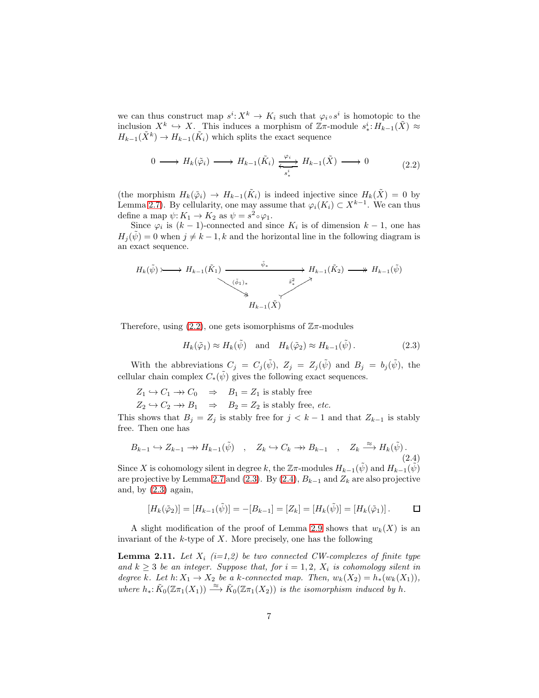we can thus construct map  $s^i: X^k \to K_i$  such that  $\varphi_i \circ s^i$  is homotopic to the inclusion  $X^k \hookrightarrow X$ . This induces a morphism of  $\mathbb{Z}\pi$ -module  $s^i_*: H_{k-1}(\tilde{X}) \approx$  $H_{k-1}(\tilde{X}^k) \to H_{k-1}(\tilde{K}_i)$  which splits the exact sequence

<span id="page-6-0"></span>
$$
0 \longrightarrow H_k(\tilde{\varphi}_i) \longrightarrow H_{k-1}(\tilde{K}_i) \xleftarrow{\varphi_i} H_{k-1}(\tilde{X}) \longrightarrow 0
$$
\n
$$
(2.2)
$$

(the morphism  $H_k(\tilde{\varphi}_i) \to H_{k-1}(\tilde{K}_i)$  is indeed injective since  $H_k(\tilde{X}) = 0$  by Lemma [2.7\)](#page-4-2). By cellularity, one may assume that  $\varphi_i(K_i) \subset X^{k-1}$ . We can thus define a map  $\psi: K_1 \to K_2$  as  $\psi = s^2 \circ \varphi_1$ .

Since  $\varphi_i$  is  $(k-1)$ -connected and since  $K_i$  is of dimension  $k-1$ , one has  $H_i(\psi) = 0$  when  $j \neq k - 1, k$  and the horizontal line in the following diagram is an exact sequence.

$$
H_k(\tilde{\psi}) \longrightarrow H_{k-1}(\tilde{K}_1) \xrightarrow{\tilde{\psi}_*} H_{k-1}(\tilde{K}_2) \longrightarrow H_{k-1}(\tilde{\psi})
$$
  
\n
$$
\downarrow \qquad H_{k-1}(\tilde{X})
$$
\n
$$
H_{k-1}(\tilde{X})
$$

Therefore, using  $(2.2)$ , one gets isomorphisms of  $\mathbb{Z}_{\pi}$ -modules

<span id="page-6-1"></span>
$$
H_k(\tilde{\varphi}_1) \approx H_k(\tilde{\psi}) \quad \text{and} \quad H_k(\tilde{\varphi}_2) \approx H_{k-1}(\tilde{\psi}). \tag{2.3}
$$

With the abbreviations  $C_j = C_j(\tilde{\psi}), Z_j = Z_j(\tilde{\psi})$  and  $B_j = b_j(\tilde{\psi}),$  the cellular chain complex  $C_*(\tilde{\psi})$  gives the following exact sequences.

 $Z_1 \hookrightarrow C_1 \longrightarrow C_0 \Rightarrow B_1 = Z_1$  is stably free

 $Z_2 \hookrightarrow C_2 \longrightarrow B_1 \Rightarrow B_2 = Z_2$  is stably free, *etc.* 

This shows that  $B_j = Z_j$  is stably free for  $j < k-1$  and that  $Z_{k-1}$  is stably free. Then one has

<span id="page-6-2"></span>
$$
B_{k-1} \hookrightarrow Z_{k-1} \longrightarrow H_{k-1}(\tilde{\psi}) \quad , \quad Z_k \hookrightarrow C_k \longrightarrow B_{k-1} \quad , \quad Z_k \xrightarrow{\approx} H_k(\tilde{\psi}). \tag{2.4}
$$

Since X is cohomology silent in degree k, the  $\mathbb{Z}\pi$ -modules  $H_{k-1}(\tilde{\psi})$  and  $H_{k-1}(\tilde{\psi})$ are projective by Lemma [2.7](#page-4-2) and [\(2.3\)](#page-6-1). By [\(2.4\)](#page-6-2),  $B_{k-1}$  and  $Z_k$  are also projective and, by  $(2.3)$  again,

$$
[H_k(\tilde{\varphi}_2)] = [H_{k-1}(\tilde{\psi})] = -[B_{k-1}] = [Z_k] = [H_k(\tilde{\psi})] = [H_k(\tilde{\varphi}_1)]. \square
$$

A slight modification of the proof of Lemma [2.9](#page-5-0) shows that  $w_k(X)$  is an invariant of the k-type of X. More precisely, one has the following

<span id="page-6-3"></span>**Lemma 2.11.** Let  $X_i$  (i=1,2) be two connected CW-complexes of finite type and  $k \geq 3$  be an integer. Suppose that, for  $i = 1, 2, X_i$  is cohomology silent in degree k. Let  $h: X_1 \to X_2$  be a k-connected map. Then,  $w_k(X_2) = h_*(w_k(X_1)),$ where  $h_*: \tilde{K}_0(\mathbb{Z}\pi_1(X_1)) \stackrel{\approx}{\longrightarrow} \tilde{K}_0(\mathbb{Z}\pi_1(X_2))$  is the isomorphism induced by h.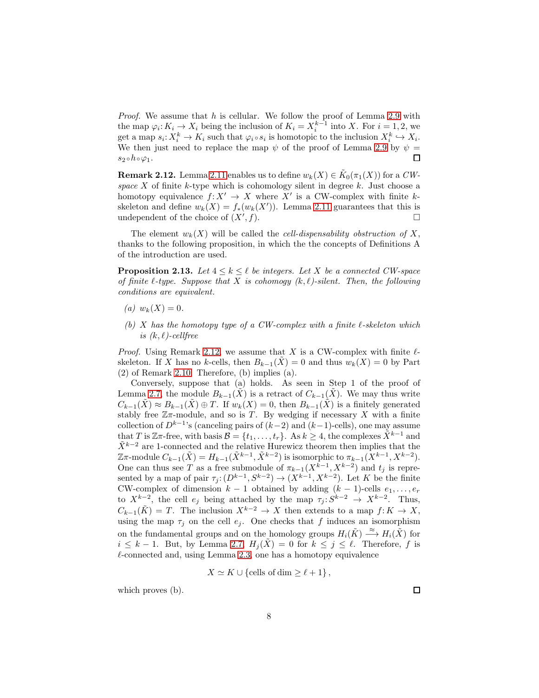*Proof.* We assume that  $h$  is cellular. We follow the proof of Lemma [2.9](#page-5-0) with the map  $\varphi_i: K_i \to X_i$  being the inclusion of  $K_i = X_i^{k-1}$  into X. For  $i = 1, 2$ , we get a map  $s_i: X_i^k \to K_i$  such that  $\varphi_i \circ s_i$  is homotopic to the inclusion  $X_i^k \hookrightarrow X_i$ . We then just need to replace the map  $\psi$  of the proof of Lemma [2.9](#page-5-0) by  $\psi =$  $s_2 \circ h \circ \varphi_1$ . □

<span id="page-7-0"></span>**Remark 2.12.** Lemma [2.11](#page-6-3) enables us to define  $w_k(X) \in \tilde K_0(\pi_1(X))$  for a  $CW$ space X of finite k-type which is cohomology silent in degree k. Just choose a homotopy equivalence  $f: X' \to X$  where X' is a CW-complex with finite kskeleton and define  $w_k(X) = f_*(w_k(X'))$ . Lemma [2.11](#page-6-3) guarantees that this is undependent of the choice of  $(X', f)$ .  $(f).$ 

The element  $w_k(X)$  will be called the *cell-dispensability obstruction of* X, thanks to the following proposition, in which the the concepts of Definitions A of the introduction are used.

<span id="page-7-1"></span>**Proposition 2.13.** Let  $4 \leq k \leq \ell$  be integers. Let X be a connected CW-space of finite  $\ell$ -type. Suppose that X is cohomogy  $(k, \ell)$ -silent. Then, the following conditions are equivalent.

- (a)  $w_k(X) = 0$ .
- (b) X has the homotopy type of a CW-complex with a finite  $\ell$ -skeleton which is  $(k, \ell)$ -cellfree

*Proof.* Using Remark [2.12,](#page-7-0) we assume that X is a CW-complex with finite  $\ell$ skeleton. If X has no k-cells, then  $B_{k-1}(\tilde{X}) = 0$  and thus  $w_k(X) = 0$  by Part  $(2)$  of Remark [2.10.](#page-5-1) Therefore,  $(b)$  implies  $(a)$ .

Conversely, suppose that (a) holds. As seen in Step 1 of the proof of Lemma [2.7,](#page-4-2) the module  $B_{k-1}(\tilde{X})$  is a retract of  $C_{k-1}(\tilde{X})$ . We may thus write  $C_{k-1}(\tilde{X}) \approx B_{k-1}(\tilde{X}) \oplus T$ . If  $w_k(X) = 0$ , then  $B_{k-1}(\tilde{X})$  is a finitely generated stably free  $\mathbb{Z}_{\pi}$ -module, and so is T. By wedging if necessary X with a finite collection of  $D^{k-1}$ 's (canceling pairs of  $(k-2)$  and  $(k-1)$ -cells), one may assume that T is Zπ-free, with basis  $\mathcal{B} = \{t_1, \ldots, t_r\}$ . As  $k \geq 4$ , the complexes  $\tilde{X}^{k-1}$  and  $\tilde{X}^{k-2}$  are 1-connected and the relative Hurewicz theorem then implies that the  $\mathbb{Z}\pi$ -module  $C_{k-1}(\tilde{X}) = H_{k-1}(\tilde{X}^{k-1}, \tilde{X}^{k-2})$  is isomorphic to  $\pi_{k-1}(X^{k-1}, X^{k-2})$ . One can thus see T as a free submodule of  $\pi_{k-1}(X^{k-1}, X^{k-2})$  and  $t_j$  is represented by a map of pair  $\tau_j: (D^{k-1}, S^{k-2}) \to (X^{k-1}, X^{k-2})$ . Let K be the finite CW-complex of dimension  $k - 1$  obtained by adding  $(k - 1)$ -cells  $e_1, \ldots, e_r$ to  $X^{k-2}$ , the cell  $e_j$  being attached by the map  $\tau_j : S^{k-2} \to X^{k-2}$ . Thus,  $C_{k-1}(\tilde{K}) = T$ . The inclusion  $X^{k-2} \to X$  then extends to a map  $f: K \to X$ , using the map  $\tau_j$  on the cell  $e_j$ . One checks that f induces an isomorphism on the fundamental groups and on the homology groups  $H_i(K) \stackrel{\approx}{\longrightarrow} H_i(\tilde{X})$  for  $i \leq k-1$ . But, by Lemma [2.7,](#page-4-2)  $H_i(\tilde{X}) = 0$  for  $k \leq j \leq \ell$ . Therefore, f is  $\ell$ -connected and, using Lemma [2.3,](#page-3-0) one has a homotopy equivalence

$$
X \simeq K \cup \{\text{cells of dim } \geq \ell + 1\},\
$$

which proves (b).

 $\Box$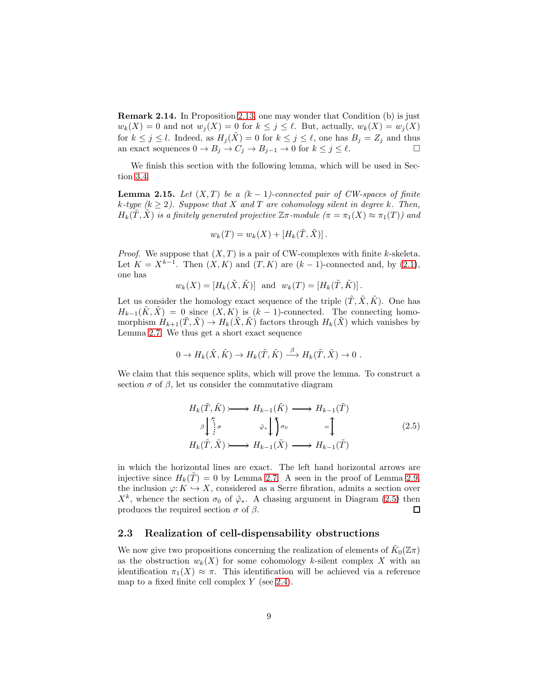<span id="page-8-2"></span>Remark 2.14. In Proposition [2.13,](#page-7-1) one may wonder that Condition (b) is just  $w_k(X) = 0$  and not  $w_j(X) = 0$  for  $k \leq j \leq \ell$ . But, actually,  $w_k(X) = w_j(X)$ for  $k \leq j \leq l$ . Indeed, as  $H_j(\tilde{X}) = 0$  for  $k \leq j \leq \ell$ , one has  $B_j = Z_j$  and thus an exact sequences  $0 \to B_j \to C_j \to B_{j-1} \to 0$  for  $k \leq j \leq \ell$ .

We finish this section with the following lemma, which will be used in Section [3.4.](#page-29-0)

<span id="page-8-3"></span>**Lemma 2.15.** Let  $(X, T)$  be a  $(k - 1)$ -connected pair of CW-spaces of finite k-type  $(k \geq 2)$ . Suppose that X and T are cohomology silent in degree k. Then,  $H_k(\tilde{T},\tilde{X})$  is a finitely generated projective  $\mathbb{Z}\pi$ -module  $(\pi = \pi_1(X) \approx \pi_1(T))$  and

$$
w_k(T) = w_k(X) + [H_k(\tilde{T}, \tilde{X})].
$$

*Proof.* We suppose that  $(X, T)$  is a pair of CW-complexes with finite k-skeleta. Let  $K = X^{k-1}$ . Then  $(X, K)$  and  $(T, K)$  are  $(k-1)$ -connected and, by  $(2.1)$ , one has

$$
w_k(X) = [H_k(\tilde{X}, \tilde{K})]
$$
 and  $w_k(T) = [H_k(\tilde{T}, \tilde{K})].$ 

Let us consider the homology exact sequence of the triple  $(\tilde{T}, \tilde{X}, \tilde{K})$ . One has  $H_{k-1}(K, X) = 0$  since  $(X, K)$  is  $(k-1)$ -connected. The connecting homomorphism  $H_{k+1}(\tilde{T}, \tilde{X}) \to H_k(\tilde{X}, \tilde{K})$  factors through  $H_k(\tilde{X})$  which vanishes by Lemma [2.7.](#page-4-2) We thus get a short exact sequence

$$
0 \to H_k(\tilde{X}, \tilde{K}) \to H_k(\tilde{T}, \tilde{K}) \stackrel{\beta}{\longrightarrow} H_k(\tilde{T}, \tilde{X}) \to 0.
$$

We claim that this sequence splits, which will prove the lemma. To construct a section  $\sigma$  of  $\beta$ , let us consider the commutative diagram

<span id="page-8-1"></span>
$$
H_k(\tilde{T}, \tilde{K}) \longrightarrow H_{k-1}(\tilde{K}) \longrightarrow H_{k-1}(\tilde{T})
$$
  
\n
$$
\beta \downarrow^{\tilde{r}} \sigma \qquad \tilde{\varphi}_* \downarrow \uparrow \sigma \qquad \qquad = \uparrow \qquad (2.5)
$$
  
\n
$$
H_k(\tilde{T}, \tilde{X}) \longrightarrow H_{k-1}(\tilde{X}) \longrightarrow H_{k-1}(\tilde{T})
$$

in which the horizontal lines are exact. The left hand horizontal arrows are injective since  $H_k(T) = 0$  by Lemma [2.7.](#page-4-2) A seen in the proof of Lemma [2.9,](#page-5-0) the inclusion  $\varphi: K \hookrightarrow X$ , considered as a Serre fibration, admits a section over  $X^k$ , whence the section  $\sigma_0$  of  $\tilde{\varphi}_*$ . A chasing argument in Diagram [\(2.5\)](#page-8-1) then produces the required section  $\sigma$  of  $\beta$ .  $\Box$ 

### <span id="page-8-0"></span>2.3 Realization of cell-dispensability obstructions

We now give two propositions concerning the realization of elements of  $\tilde{K}_0(\mathbb{Z}\pi)$ as the obstruction  $w_k(X)$  for some cohomology k-silent complex X with an identification  $\pi_1(X) \approx \pi$ . This identification will be achieved via a reference map to a fixed finite cell complex  $Y$  (see [2.4\)](#page-3-1).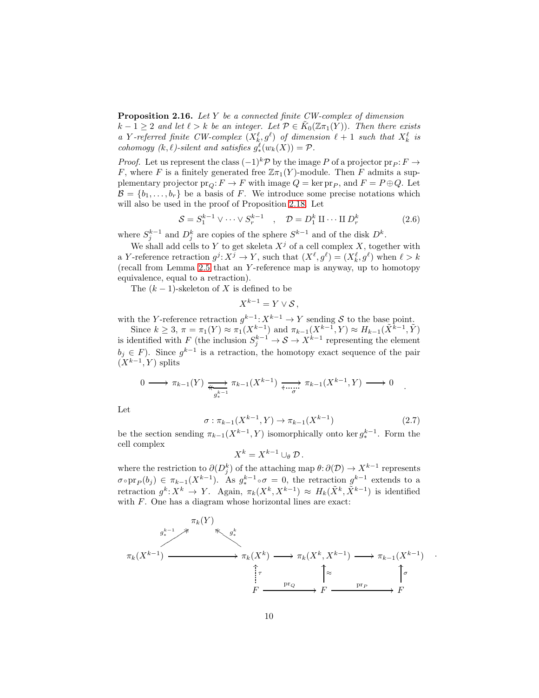<span id="page-9-0"></span>Proposition 2.16. Let Y be a connected finite CW-complex of dimension

 $k-1 \geq 2$  and let  $\ell > k$  be an integer. Let  $\mathcal{P} \in \tilde{K}_0(\mathbb{Z} \pi_1(Y))$ . Then there exists a Y-referred finite CW-complex  $(X_{k_1}^{\ell}, g^{\ell})$  of dimension  $\ell + 1$  such that  $X_{k_1}^{\ell}$  is cohomogy  $(k, \ell)$ -silent and satisfies  $g^{\ell}_*(w_k(X)) = \mathcal{P}$ .

*Proof.* Let us represent the class  $(-1)^k \mathcal{P}$  by the image P of a projector  $pr_P : F \to$ F, where F is a finitely generated free  $\mathbb{Z}_{\pi_1}(Y)$ -module. Then F admits a supplementary projector  $pr_Q: F \to F$  with image  $Q = \text{ker } pr_P$ , and  $F = P \oplus Q$ . Let  $\mathcal{B} = \{b_1, \ldots, b_r\}$  be a basis of F. We introduce some precise notations which will also be used in the proof of Proposition [2.18.](#page-11-0) Let

$$
S = S_1^{k-1} \vee \cdots \vee S_r^{k-1} \quad , \quad \mathcal{D} = D_1^k \amalg \cdots \amalg D_r^k \tag{2.6}
$$

where  $S_j^{k-1}$  and  $D_j^k$  are copies of the sphere  $S^{k-1}$  and of the disk  $D^k$ .

We shall add cells to Y to get skeleta  $X^j$  of a cell complex X, together with a Y-reference retraction  $g^j: X^j \to Y$ , such that  $(X^{\ell}, g^{\ell}) = (X^{\ell}_k, g^{\ell})$  when  $\ell > k$ (recall from Lemma [2.5](#page-3-2) that an Y -reference map is anyway, up to homotopy equivalence, equal to a retraction).

The  $(k-1)$ -skeleton of X is defined to be

 $X^{k-1} = Y \vee S$ .

with the Y-reference retraction  $g^{k-1}: X^{k-1} \to Y$  sending S to the base point.

Since  $k \geq 3$ ,  $\pi = \pi_1(Y) \approx \pi_1(X^{k-1})$  and  $\pi_{k-1}(X^{k-1}, Y) \approx H_{k-1}(\tilde{X}^{k-1}, \tilde{Y})$ is identified with F (the inclusion  $S_j^{k-1} \to S \to X^{k-1}$  representing the element  $b_j \in F$ ). Since  $g^{k-1}$  is a retraction, the homotopy exact sequence of the pair  $(X^{k-1}, Y)$  splits

$$
0 \longrightarrow \pi_{k-1}(Y) \underset{g_k^{k-1}}{\longrightarrow} \pi_{k-1}(X^{k-1}) \underset{\sigma}{\longrightarrow} \pi_{k-1}(X^{k-1}, Y) \longrightarrow 0
$$

Let

<span id="page-9-1"></span>
$$
\sigma: \pi_{k-1}(X^{k-1}, Y) \to \pi_{k-1}(X^{k-1})
$$
\n(2.7)

.

be the section sending  $\pi_{k-1}(X^{k-1}, Y)$  isomorphically onto ker  $g_*^{k-1}$ . Form the cell complex

$$
X^k=X^{k-1}\cup_\theta \mathcal{D}.
$$

where the restriction to  $\partial(D_j^k)$  of the attaching map  $\theta: \partial(\mathcal{D}) \to X^{k-1}$  represents  $\sigma \circ \text{pr}_P(b_j) \in \pi_{k-1}(X^{k-1})$ . As  $g_*^{k-1} \circ \sigma = 0$ , the retraction  $g^{k-1}$  extends to a retraction  $g^k: X^k \to Y$ . Again,  $\pi_k(X^k, X^{k-1}) \approx H_k(\tilde{X}^k, \tilde{X}^{k-1})$  is identified with  $F$ . One has a diagram whose horizontal lines are exact:

$$
\pi_k(X^{k-1}) \xrightarrow{\pi_k(Y)} \pi_k(X^k) \longrightarrow \pi_k(X^k, X^{k-1}) \longrightarrow \pi_{k-1}(X^{k-1})
$$
\n
$$
\xrightarrow{\uparrow} \pi_k(X^k) \longrightarrow \pi_k(X^k, X^{k-1}) \longrightarrow \pi_{k-1}(X^{k-1})
$$
\n
$$
\xrightarrow{\uparrow} \pi_k(X^k) \longrightarrow \pi_k(X^k) \longrightarrow \pi_{k-1}(X^{k-1})
$$
\n
$$
\xrightarrow{\uparrow} \pi_k(X^k) \longrightarrow \pi_k(X^k) \longrightarrow \pi_{k-1}(X^{k-1})
$$
\n
$$
\xrightarrow{\uparrow} \pi_k(X^k) \longrightarrow \pi_k(X^k) \longrightarrow \pi_{k-1}(X^{k-1})
$$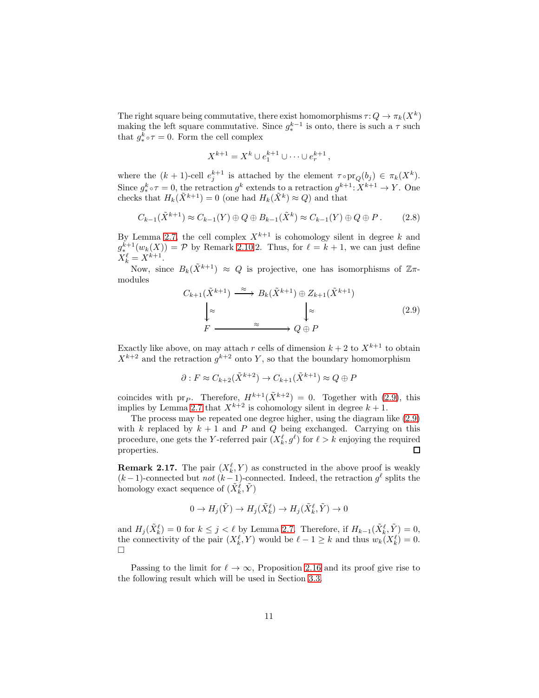The right square being commutative, there exist homomorphisms  $\tau: Q \to \pi_k(X^k)$ making the left square commutative. Since  $g_*^{k-1}$  is onto, there is such a  $\tau$  such that  $g^k_* \circ \tau = 0$ . Form the cell complex

$$
X^{k+1} = X^k \cup e_1^{k+1} \cup \cdots \cup e_r^{k+1},
$$

where the  $(k + 1)$ -cell  $e_j^{k+1}$  is attached by the element  $\tau \circ \text{pr}_Q(b_j) \in \pi_k(X^k)$ . Since  $g^k_* \circ \tau = 0$ , the retraction  $g^k$  extends to a retraction  $g^{k+1} \colon X^{k+1} \to Y$ . One checks that  $H_k(\tilde{X}^{k+1}) = 0$  (one had  $H_k(\tilde{X}^k) \approx Q$ ) and that

<span id="page-10-1"></span>
$$
C_{k-1}(\tilde{X}^{k+1}) \approx C_{k-1}(Y) \oplus Q \oplus B_{k-1}(\tilde{X}^k) \approx C_{k-1}(Y) \oplus Q \oplus P. \tag{2.8}
$$

By Lemma [2.7,](#page-4-2) the cell complex  $X^{k+1}$  is cohomology silent in degree k and  $g^{k+1}_{*}(w_k(X)) = \mathcal{P}$  by Remark [2.10.](#page-5-1)2. Thus, for  $\ell = k+1$ , we can just define  $X_k^{\ell} = X^{k+1}.$ 

Now, since  $B_k(\tilde{X}^{k+1}) \approx Q$  is projective, one has isomorphisms of  $\mathbb{Z}_{\pi}$ modules

<span id="page-10-0"></span>
$$
C_{k+1}(\tilde{X}^{k+1}) \xrightarrow{\approx} B_k(\tilde{X}^{k+1}) \oplus Z_{k+1}(\tilde{X}^{k+1})
$$

$$
\downarrow \approx \qquad \qquad \downarrow \approx \qquad \qquad \downarrow \approx \qquad (2.9)
$$

$$
F \xrightarrow{\approx} Q \oplus P
$$

Exactly like above, on may attach r cells of dimension  $k + 2$  to  $X^{k+1}$  to obtain  $X^{k+2}$  and the retraction  $g^{k+2}$  onto Y, so that the boundary homomorphism

$$
\partial: F \approx C_{k+2}(\tilde{X}^{k+2}) \to C_{k+1}(\tilde{X}^{k+1}) \approx Q \oplus F
$$

coincides with pr<sub>P</sub>. Therefore,  $H^{k+1}(\tilde{X}^{k+2}) = 0$ . Together with [\(2.9\)](#page-10-0), this implies by Lemma [2.7](#page-4-2) that  $X^{k+2}$  is cohomology silent in degree  $k+1$ .

The process may be repeated one degree higher, using the diagram like [\(2.9\)](#page-10-0) with k replaced by  $k + 1$  and P and Q being exchanged. Carrying on this procedure, one gets the Y-referred pair  $(X_k^{\ell}, g^{\ell})$  for  $\ell > k$  enjoying the required properties.  $\Box$ 

**Remark 2.17.** The pair  $(X_k^{\ell}, Y)$  as constructed in the above proof is weakly  $(k-1)$ -connected but *not*  $(k-1)$ -connected. Indeed, the retraction  $g^{\ell}$  splits the homology exact sequence of  $(\tilde{X}_{k}^{\ell}, \tilde{Y})$ 

$$
0 \to H_j(\tilde{Y}) \to H_j(\tilde{X}_k^{\ell}) \to H_j(\tilde{X}_k^{\ell}, \tilde{Y}) \to 0
$$

and  $H_j(\tilde{X}_k^{\ell}) = 0$  for  $k \leq j < \ell$  by Lemma [2.7.](#page-4-2) Therefore, if  $H_{k-1}(\tilde{X}_k^{\ell}, \tilde{Y}) = 0$ , the connectivity of the pair  $(X_k^{\ell}, Y)$  would be  $\ell - 1 \geq k$  and thus  $w_k(X_k^{\ell}) = 0$ .  $\Box$ 

Passing to the limit for  $\ell \to \infty$ , Proposition [2.16](#page-9-0) and its proof give rise to the following result which will be used in Section [3.3.](#page-23-0)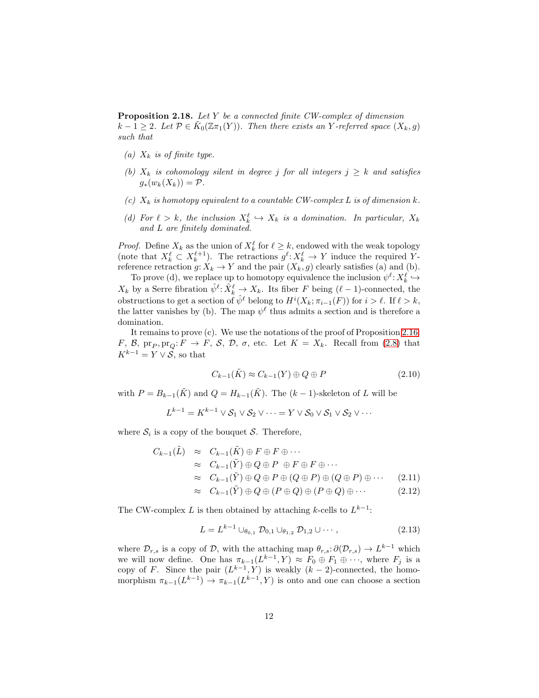<span id="page-11-0"></span>Proposition 2.18. Let Y be a connected finite CW-complex of dimension  $k-1 \geq 2$ . Let  $\mathcal{P} \in \tilde{K}_0(\mathbb{Z} \pi_1(Y))$ . Then there exists an Y-referred space  $(X_k, g)$ such that

- (a)  $X_k$  is of finite type.
- (b)  $X_k$  is cohomology silent in degree j for all integers  $j \geq k$  and satisfies  $g_*(w_k(X_k)) = \mathcal{P}.$
- (c)  $X_k$  is homotopy equivalent to a countable CW-complex L is of dimension k.
- (d) For  $\ell > k$ , the inclusion  $X_k^{\ell} \hookrightarrow X_k$  is a domination. In particular,  $X_k$ and L are finitely dominated.

*Proof.* Define  $X_k$  as the union of  $X_k^{\ell}$  for  $\ell \geq k$ , endowed with the weak topology (note that  $X_k^{\ell} \subset X_k^{\ell+1}$ ). The retractions  $g^{\ell}: X_k^{\ell} \to Y$  induce the required Yreference retraction  $g: X_k \to Y$  and the pair  $(X_k, g)$  clearly satisfies (a) and (b).

To prove (d), we replace up to homotopy equivalence the inclusion  $\psi^{\ell} \colon X^{\ell}_k \hookrightarrow$  $X_k$  by a Serre fibration  $\hat{\psi}^{\ell} \colon \hat{X}_k^{\ell} \to X_k$ . Its fiber F being  $(\ell-1)$ -connected, the obstructions to get a section of  $\hat{\psi}^{\ell}$  belong to  $H^{i}(X_{k}; \pi_{i-1}(F))$  for  $i > \ell$ . If  $\ell > k$ , the latter vanishes by (b). The map  $\psi^{\ell}$  thus admits a section and is therefore a domination.

It remains to prove (c). We use the notations of the proof of Proposition [2.16:](#page-9-0) F, B,  $pr_P, pr_Q: F \to F$ , S, D,  $\sigma$ , etc. Let  $K = X_k$ . Recall from [\(2.8\)](#page-10-1) that  $K^{k-1} = Y \vee \mathcal{S}$ , so that

<span id="page-11-2"></span>
$$
C_{k-1}(\tilde{K}) \approx C_{k-1}(Y) \oplus Q \oplus P \tag{2.10}
$$

with  $P = B_{k-1}(\tilde{K})$  and  $Q = H_{k-1}(\tilde{K})$ . The  $(k-1)$ -skeleton of L will be

$$
L^{k-1} = K^{k-1} \vee \mathcal{S}_1 \vee \mathcal{S}_2 \vee \cdots = Y \vee \mathcal{S}_0 \vee \mathcal{S}_1 \vee \mathcal{S}_2 \vee \cdots
$$

where  $S_i$  is a copy of the bouquet S. Therefore,

<span id="page-11-1"></span>
$$
C_{k-1}(\tilde{L}) \approx C_{k-1}(\tilde{K}) \oplus F \oplus F \oplus \cdots
$$
  
\n
$$
\approx C_{k-1}(\tilde{Y}) \oplus Q \oplus P \oplus F \oplus F \oplus \cdots
$$
  
\n
$$
\approx C_{k-1}(\tilde{Y}) \oplus Q \oplus P \oplus (Q \oplus P) \oplus (Q \oplus P) \oplus \cdots
$$
  
\n
$$
\approx C_{k-1}(\tilde{Y}) \oplus Q \oplus (P \oplus Q) \oplus (P \oplus Q) \oplus \cdots
$$
\n(2.11)

The CW-complex L is then obtained by attaching k-cells to  $L^{k-1}$ :

$$
L = L^{k-1} \cup_{\theta_{0,1}} \mathcal{D}_{0,1} \cup_{\theta_{1,2}} \mathcal{D}_{1,2} \cup \cdots,
$$
\n(2.13)

where  $\mathcal{D}_{r,s}$  is a copy of  $\mathcal{D}$ , with the attaching map  $\theta_{r,s} : \partial(\mathcal{D}_{r,s}) \to L^{k-1}$  which we will now define. One has  $\pi_{k-1}(L^{k-1}, Y) \approx F_0 \oplus F_1 \oplus \cdots$ , where  $F_j$  is a copy of F. Since the pair  $(L^{k-1}, Y)$  is weakly  $(k-2)$ -connected, the homomorphism  $\pi_{k-1}(L^{k-1}) \to \pi_{k-1}(L^{k-1}, Y)$  is onto and one can choose a section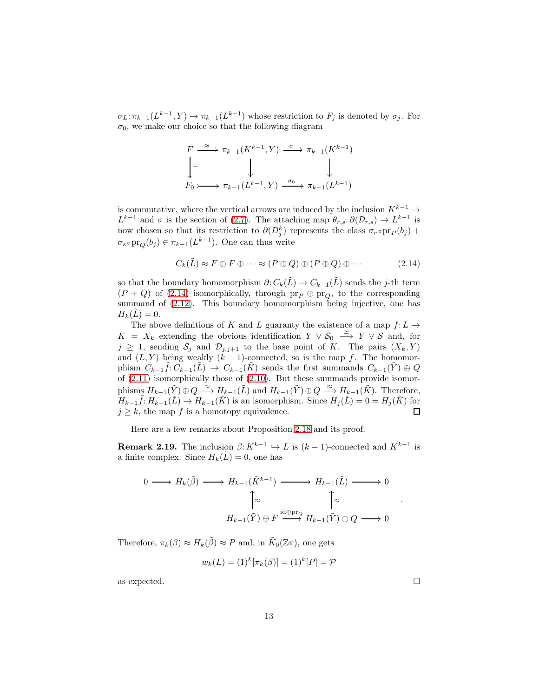$\sigma_L: \pi_{k-1}(L^{k-1}, Y) \to \pi_{k-1}(L^{k-1})$  whose restriction to  $F_j$  is denoted by  $\sigma_j$ . For  $\sigma_0$ , we make our choice so that the following diagram

$$
F \xrightarrow{\approx} \pi_{k-1}(K^{k-1}, Y) \xrightarrow{\sigma} \pi_{k-1}(K^{k-1})
$$
  
\n
$$
\downarrow = \qquad \qquad \downarrow
$$
  
\n
$$
F_0 \rightarrow \pi_{k-1}(L^{k-1}, Y) \xrightarrow{\sigma_0} \pi_{k-1}(L^{k-1})
$$

is commutative, where the vertical arrows are induced by the inclusion  $K^{k-1} \rightarrow$  $L^{k-1}$  and  $\sigma$  is the section of [\(2.7\)](#page-9-1). The attaching map  $\theta_{r,s} : \partial(\mathcal{D}_{r,s}) \to L^{k-1}$  is now chosen so that its restriction to  $\partial(D_j^k)$  represents the class  $\sigma_r \circ pr_P(b_j)$  +  $\sigma_s \circ \text{pr}_Q(b_j) \in \pi_{k-1}(L^{k-1})$ . One can thus write

<span id="page-12-0"></span>
$$
C_k(\tilde{L}) \approx F \oplus F \oplus \cdots \approx (P \oplus Q) \oplus (P \oplus Q) \oplus \cdots \tag{2.14}
$$

so that the boundary homomorphism  $\partial: C_k(\tilde{L}) \to C_{k-1}(\tilde{L})$  sends the j-th term  $(P + Q)$  of [\(2.14\)](#page-12-0) isomorphically, through  $pr_P \oplus pr_Q$ , to the corresponding summand of  $(2.12)$ . This boundary homomorphism being injective, one has  $H_k(L) = 0.$ 

The above definitions of K and L guaranty the existence of a map  $f: L \to$  $K = X_k$  extending the obvious identification  $Y \vee \mathcal{S}_0 \stackrel{\simeq}{\longrightarrow} Y \vee \mathcal{S}$  and, for  $j \geq 1$ , sending  $S_j$  and  $\mathcal{D}_{j,j+1}$  to the base point of K. The pairs  $(X_k, Y)$ and  $(L, Y)$  being weakly  $(k - 1)$ -connected, so is the map f. The homomorphism  $C_{k-1}\tilde{f}: C_{k-1}(\tilde{L}) \to C_{k-1}(\tilde{K})$  sends the first summands  $C_{k-1}(\tilde{Y}) \oplus Q$ of  $(2.11)$  isomorphically those of  $(2.10)$ . But these summands provide isomorphisms  $H_{k-1}(\tilde{Y}) \oplus Q \stackrel{\approx}{\longrightarrow} H_{k-1}(\tilde{L})$  and  $H_{k-1}(\tilde{Y}) \oplus Q \stackrel{\approx}{\longrightarrow} H_{k-1}(\tilde{K})$ . Therefore,  $H_{k-1}\tilde{f}: H_{k-1}(\tilde{L}) \to H_{k-1}(\tilde{K})$  is an isomorphism. Since  $H_j(\tilde{L}) = 0 = H_j(\tilde{K})$  for  $j \geq k$ , the map f is a homotopy equivalence.  $\Box$ 

Here are a few remarks about Proposition [2.18](#page-11-0) and its proof.

<span id="page-12-1"></span>**Remark 2.19.** The inclusion  $\beta: K^{k-1} \hookrightarrow L$  is  $(k-1)$ -connected and  $K^{k-1}$  is a finite complex. Since  $H_k(\tilde{L}) = 0$ , one has

$$
0 \longrightarrow H_k(\tilde{\beta}) \longrightarrow H_{k-1}(\tilde{K}^{k-1}) \longrightarrow H_{k-1}(\tilde{L}) \longrightarrow 0
$$

$$
\uparrow \approx \qquad \qquad \uparrow \approx \qquad \qquad \uparrow \approx
$$

$$
H_{k-1}(\tilde{Y}) \oplus F \xrightarrow{\mathrm{id} \oplus \mathrm{pr}_Q} H_{k-1}(\tilde{Y}) \oplus Q \longrightarrow 0
$$

Therefore,  $\pi_k(\beta) \approx H_k(\tilde{\beta}) \approx P$  and, in  $\tilde{K}_0(\mathbb{Z}\pi)$ , one gets

$$
w_k(L) = (1)^k [\pi_k(\beta)] = (1)^k [P] = \mathcal{P}
$$

as expected.  $\Box$ 

.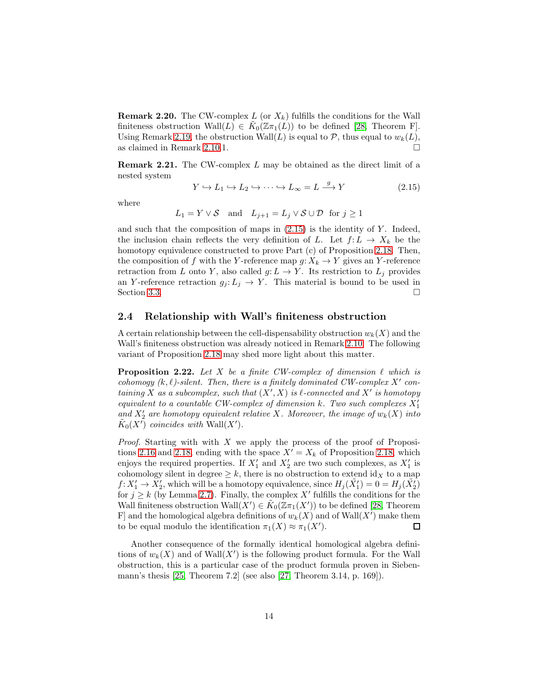<span id="page-13-3"></span>**Remark 2.20.** The CW-complex L (or  $X_k$ ) fulfills the conditions for the Wall finiteness obstruction Wall $(L) \in \tilde{K}_0(\mathbb{Z}\pi_1(L))$  to be defined [\[28,](#page-41-1) Theorem F]. Using Remark [2.19,](#page-12-1) the obstruction Wall(L) is equal to  $P$ , thus equal to  $w_k(L)$ , as claimed in Remark [2.10.](#page-5-1)1.

<span id="page-13-2"></span>Remark 2.21. The CW-complex L may be obtained as the direct limit of a nested system

<span id="page-13-1"></span>
$$
Y \hookrightarrow L_1 \hookrightarrow L_2 \hookrightarrow \cdots \hookrightarrow L_\infty = L \xrightarrow{g} Y \tag{2.15}
$$

where

$$
L_1 = Y \vee S
$$
 and  $L_{j+1} = L_j \vee S \cup \mathcal{D}$  for  $j \ge 1$ 

and such that the composition of maps in  $(2.15)$  is the identity of Y. Indeed, the inclusion chain reflects the very definition of L. Let  $f: L \to X_k$  be the homotopy equivalence constructed to prove Part (c) of Proposition [2.18.](#page-11-0) Then, the composition of f with the Y-reference map  $g: X_k \to Y$  gives an Y-reference retraction from L onto Y, also called  $g: L \to Y$ . Its restriction to  $L_j$  provides an Y-reference retraction  $g_j: L_j \to Y$ . This material is bound to be used in Section [3.3.](#page-23-0)  $\Box$ 

### <span id="page-13-0"></span>2.4 Relationship with Wall's finiteness obstruction

A certain relationship between the cell-dispensability obstruction  $w_k(X)$  and the Wall's finiteness obstruction was already noticed in Remark [2.10.](#page-5-1) The following variant of Proposition [2.18](#page-11-0) may shed more light about this matter.

**Proposition 2.22.** Let X be a finite CW-complex of dimension  $\ell$  which is cohomogy  $(k, \ell)$ -silent. Then, there is a finitely dominated CW-complex X' containing X as a subcomplex, such that  $(X', X)$  is  $\ell$ -connected and  $X'$  is homotopy equivalent to a countable CW-complex of dimension  $k$  . Two such complexes  $X_1^\prime$ and  $X'_2$  are homotopy equivalent relative X. Moreover, the image of  $w_k(X)$  into  $\tilde{K}_0(X)$  coincides with Wall $(X')$ .

*Proof.* Starting with with  $X$  we apply the process of the proof of Proposi-tions [2.16](#page-9-0) and [2.18,](#page-11-0) ending with the space  $X' = X_k$  of Proposition 2.18, which enjoys the required properties. If  $X'_1$  and  $X'_2$  are two such complexes, as  $X'_1$  is cohomology silent in degree  $\geq k$ , there is no obstruction to extend  $\mathrm{id}_X$  to a map  $f: X'_1 \to X'_2$ , which will be a homotopy equivalence, since  $H_j(\tilde{X}'_1) = 0 = H_j(\tilde{X}'_2)$ for  $j \geq k$  (by Lemma [2.7\)](#page-4-2). Finally, the complex X' fulfills the conditions for the Wall finiteness obstruction  $\text{Wall}(X') \in \tilde{K}_0(\mathbb{Z}(\pi_1(X')))$  to be defined [\[28,](#page-41-1) Theorem F] and the homological algebra definitions of  $w_k(X)$  and of  $\text{Wall}(X')$  make them to be equal modulo the identification  $\pi_1(X) \approx \pi_1(X')$ .  $\Box$ 

Another consequence of the formally identical homological algebra definitions of  $w_k(X)$  and of Wall $(X')$  is the following product formula. For the Wall obstruction, this is a particular case of the product formula proven in Siebenmann's thesis [\[25,](#page-40-8) Theorem 7.2] (see also [\[27,](#page-41-2) Theorem 3.14, p. 169]).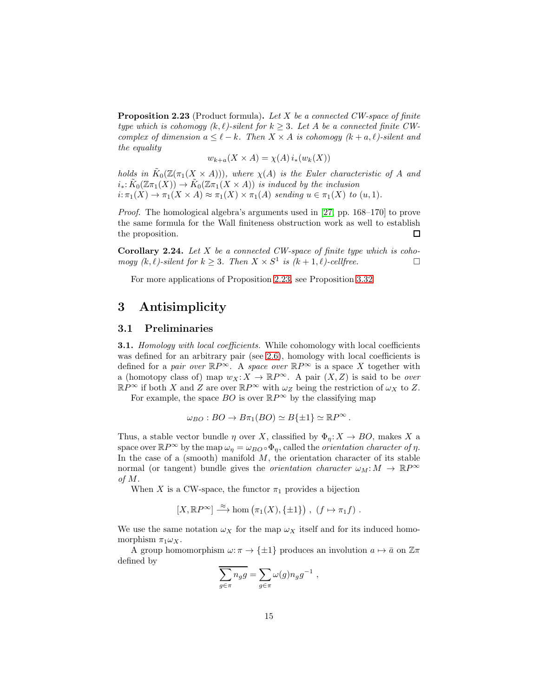<span id="page-14-3"></span>**Proposition 2.23** (Product formula). Let X be a connected CW-space of finite type which is cohomogy  $(k, \ell)$ -silent for  $k \geq 3$ . Let A be a connected finite CWcomplex of dimension  $a \leq \ell - k$ . Then  $X \times A$  is cohomogy  $(k + a, \ell)$ -silent and the equality

$$
w_{k+a}(X \times A) = \chi(A) i_*(w_k(X))
$$

holds in  $\tilde{K}_0(\mathbb{Z}(\pi_1(X \times A)))$ , where  $\chi(A)$  is the Euler characteristic of A and  $i_*: \tilde{K}_0(\mathbb{Z}\pi_1(X)) \to \tilde{K}_0(\mathbb{Z}\pi_1(X \times A))$  is induced by the inclusion  $i: \pi_1(X) \to \pi_1(X \times A) \approx \pi_1(X) \times \pi_1(A)$  sending  $u \in \pi_1(X)$  to  $(u, 1)$ .

Proof. The homological algebra's arguments used in [\[27,](#page-41-2) pp. 168–170] to prove the same formula for the Wall finiteness obstruction work as well to establish the proposition. П

**Corollary 2.24.** Let  $X$  be a connected CW-space of finite type which is coho $mogy (k, l)$ -silent for  $k \geq 3$ . Then  $X \times S^1$  is  $(k + 1, l)$ -cellfree.

For more applications of Proposition [2.23,](#page-14-3) see Proposition [3.32](#page-36-1)

# <span id="page-14-0"></span>3 Antisimplicity

### <span id="page-14-1"></span>3.1 Preliminaries

<span id="page-14-2"></span>**3.1.** Homology with local coefficients. While cohomology with local coefficients was defined for an arbitrary pair (see [2.6\)](#page-3-3), homology with local coefficients is defined for a pair over  $\mathbb{R}P^{\infty}$ . A space over  $\mathbb{R}P^{\infty}$  is a space X together with a (homotopy class of) map  $w_X: X \to \mathbb{R}P^{\infty}$ . A pair  $(X, Z)$  is said to be *over*  $\mathbb{R}P^{\infty}$  if both X and Z are over  $\mathbb{R}P^{\infty}$  with  $\omega_Z$  being the restriction of  $\omega_X$  to Z.

For example, the space  $BO$  is over  $\mathbb{R}P^{\infty}$  by the classifying map

$$
\omega_{BO}: BO \to B\pi_1(BO) \simeq B\{\pm 1\} \simeq \mathbb{R}P^{\infty}.
$$

Thus, a stable vector bundle  $\eta$  over X, classified by  $\Phi_{\eta}: X \to BO$ , makes X a space over  $\mathbb{R}P^{\infty}$  by the map  $\omega_{\eta} = \omega_{BO} \circ \Phi_{\eta}$ , called the *orientation character of*  $\eta$ . In the case of a (smooth) manifold  $M$ , the orientation character of its stable normal (or tangent) bundle gives the *orientation character*  $\omega_M : M \to \mathbb{R}P^{\infty}$ of M.

When X is a CW-space, the functor  $\pi_1$  provides a bijection

$$
[X,\mathbb{R}P^{\infty}] \stackrel{\approx}{\longrightarrow} \text{hom}(\pi_1(X),\{\pm 1\}) , (f \mapsto \pi_1 f) .
$$

We use the same notation  $\omega_X$  for the map  $\omega_X$  itself and for its induced homomorphism  $\pi_1 \omega_X$ .

A group homomorphism  $\omega : \pi \to {\pm 1}$  produces an involution  $a \mapsto \bar{a}$  on  $\mathbb{Z} \pi$ defined by

$$
\overline{\sum_{g\in\pi}n_gg}=\sum_{g\in\pi}\omega(g)n_gg^{-1}\ ,
$$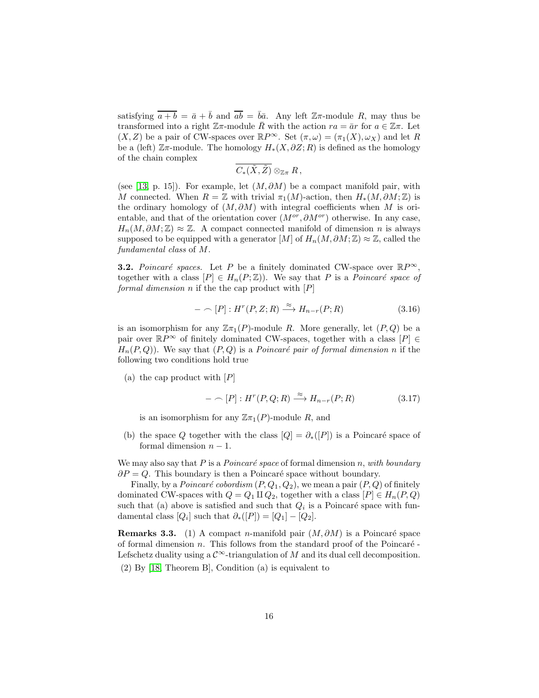satisfying  $\overline{a+b} = \overline{a} + \overline{b}$  and  $\overline{ab} = \overline{b}\overline{a}$ . Any left  $\mathbb{Z}\pi$ -module R, may thus be transformed into a right  $\mathbb{Z}\pi$ -module  $\bar{R}$  with the action  $ra = \bar{a}r$  for  $a \in \mathbb{Z}\pi$ . Let  $(X, Z)$  be a pair of CW-spaces over  $\mathbb{R}P^{\infty}$ . Set  $(\pi, \omega) = (\pi_1(X), \omega_X)$  and let R be a (left)  $\mathbb{Z}\pi$ -module. The homology  $H_*(X, \partial Z; R)$  is defined as the homology of the chain complex

$$
C_*(\tilde{X},\tilde{Z})\otimes_{\mathbb{Z}\pi} R\,,
$$

(see [\[13,](#page-40-9) p. 15]). For example, let  $(M, \partial M)$  be a compact manifold pair, with M connected. When  $R = \mathbb{Z}$  with trivial  $\pi_1(M)$ -action, then  $H_*(M, \partial M; \mathbb{Z})$  is the ordinary homology of  $(M, \partial M)$  with integral coefficients when M is orientable, and that of the orientation cover  $(M^{or}, \partial M^{or})$  otherwise. In any case,  $H_n(M, \partial M; \mathbb{Z}) \approx \mathbb{Z}$ . A compact connected manifold of dimension n is always supposed to be equipped with a generator  $[M]$  of  $H_n(M, \partial M; \mathbb{Z}) \approx \mathbb{Z}$ , called the fundamental class of M.

<span id="page-15-0"></span>**3.2.** Poincaré spaces. Let P be a finitely dominated CW-space over  $\mathbb{R}P^{\infty}$ , together with a class  $[P] \in H_n(P;\mathbb{Z})$ . We say that P is a Poincaré space of formal dimension n if the the cap product with  $[P]$ 

$$
- \cap [P]: H^r(P, Z; R) \xrightarrow{\approx} H_{n-r}(P; R) \tag{3.16}
$$

is an isomorphism for any  $\mathbb{Z}_{\pi_1}(P)$ -module R. More generally, let  $(P,Q)$  be a pair over  $\mathbb{R}P^{\infty}$  of finitely dominated CW-spaces, together with a class  $[P] \in$  $H_n(P,Q)$ ). We say that  $(P,Q)$  is a *Poincaré pair of formal dimension n* if the following two conditions hold true

(a) the cap product with  $|P|$ 

$$
- \cap [P]: H^r(P, Q; R) \xrightarrow{\approx} H_{n-r}(P; R) \tag{3.17}
$$

is an isomorphism for any  $\mathbb{Z}_{\pi_1}(P)$ -module R, and

(b) the space Q together with the class  $[Q] = \partial_*([P])$  is a Poincaré space of formal dimension  $n-1$ .

We may also say that P is a Poincaré space of formal dimension n, with boundary  $\partial P = Q$ . This boundary is then a Poincaré space without boundary.

Finally, by a *Poincaré cobordism*  $(P, Q_1, Q_2)$ , we mean a pair  $(P, Q)$  of finitely dominated CW-spaces with  $Q = Q_1 \amalg Q_2$ , together with a class  $[P] \in H_n(P,Q)$ such that (a) above is satisfied and such that  $Q_i$  is a Poincaré space with fundamental class  $[Q_i]$  such that  $\partial_*([P]) = [Q_1] - [Q_2]$ .

Remarks 3.3. (1) A compact n-manifold pair  $(M, \partial M)$  is a Poincaré space of formal dimension n. This follows from the standard proof of the Poincaré -Lefschetz duality using a  $\mathcal{C}^{\infty}$ -triangulation of M and its dual cell decomposition. (2) By [\[18,](#page-40-10) Theorem B], Condition (a) is equivalent to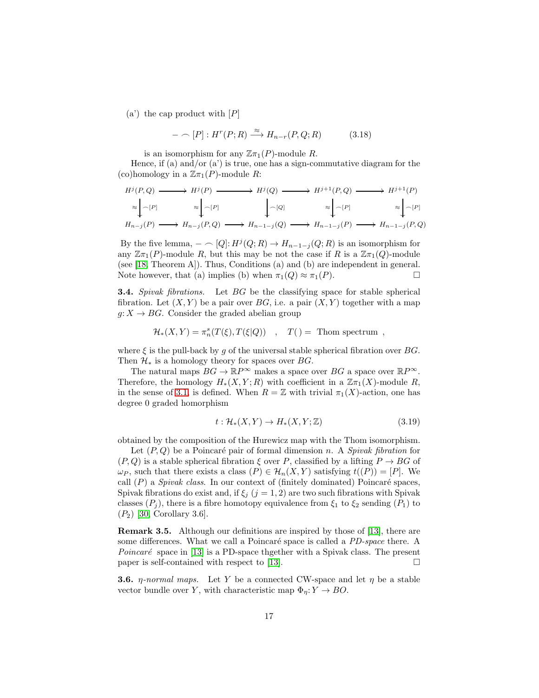$(a')$  the cap product with  $[P]$ 

$$
- \cap [P]: H^r(P;R) \xrightarrow{\approx} H_{n-r}(P,Q;R) \tag{3.18}
$$

is an isomorphism for any  $\mathbb{Z}_{\pi_1}(P)$ -module R.

Hence, if (a) and/or  $(a')$  is true, one has a sign-commutative diagram for the (co)homology in a  $\mathbb{Z}\pi_1(P)$ -module R:

$$
H^{j}(P,Q) \longrightarrow H^{j}(P) \longrightarrow H^{j}(Q) \longrightarrow H^{j+1}(P,Q) \longrightarrow H^{j+1}(P)
$$
  
\n
$$
\approx \downarrow_{\cap}[P] \approx \downarrow_{\cap}[P] \qquad \qquad \downarrow_{\cap}[Q] \approx \downarrow_{\cap}[P] \approx \downarrow_{\cap}[P] \approx \downarrow_{\cap}[P]
$$
  
\n
$$
H_{n-j}(P) \longrightarrow H_{n-j}(P,Q) \longrightarrow H_{n-1-j}(Q) \longrightarrow H_{n-1-j}(P) \longrightarrow H_{n-1-j}(P,Q)
$$

By the five lemma,  $- \cap [Q]: H^j(Q; R) \to H_{n-1-j}(Q; R)$  is an isomorphism for any  $\mathbb{Z}_{\pi_1}(P)$ -module R, but this may be not the case if R is a  $\mathbb{Z}_{\pi_1}(Q)$ -module (see [\[18,](#page-40-10) Theorem A]). Thus, Conditions (a) and (b) are independent in general. Note however, that (a) implies (b) when  $\pi_1(Q) \approx \pi_1(P)$ .

**3.4.** Spivak fibrations. Let BG be the classifying space for stable spherical fibration. Let  $(X, Y)$  be a pair over BG, i.e. a pair  $(X, Y)$  together with a map  $g: X \to BG$ . Consider the graded abelian group

$$
\mathcal{H}_*(X,Y) = \pi_n^s(T(\xi),T(\xi|Q)) , \quad T() = \text{ Thom spectrum} ,
$$

where  $\xi$  is the pull-back by g of the universal stable spherical fibration over BG. Then  $\mathcal{H}_*$  is a homology theory for spaces over  $BG$ .

The natural maps  $BG \to \mathbb{R}P^{\infty}$  makes a space over  $BG$  a space over  $\mathbb{R}P^{\infty}$ . Therefore, the homology  $H_*(X, Y; R)$  with coefficient in a  $\mathbb{Z} \pi_1(X)$ -module R, in the sense of [3.1,](#page-14-2) is defined. When  $R = \mathbb{Z}$  with trivial  $\pi_1(X)$ -action, one has degree 0 graded homorphism

<span id="page-16-0"></span>
$$
t: \mathcal{H}_*(X, Y) \to H_*(X, Y; \mathbb{Z}) \tag{3.19}
$$

obtained by the composition of the Hurewicz map with the Thom isomorphism.

Let  $(P, Q)$  be a Poincaré pair of formal dimension n. A Spivak fibration for  $(P,Q)$  is a stable spherical fibration  $\xi$  over P, classified by a lifting  $P \to BG$  of  $\omega_P$ , such that there exists a class  $(P) \in \mathcal{H}_n(X, Y)$  satisfying  $t((P)) = [P]$ . We call  $(P)$  a *Spivak class*. In our context of (finitely dominated) Poincaré spaces, Spivak fibrations do exist and, if  $\xi_j$  (j = 1, 2) are two such fibrations with Spivak classes  $(P_j)$ , there is a fibre homotopy equivalence from  $\xi_1$  to  $\xi_2$  sending  $(P_1)$  to  $(P_2)$  [\[30,](#page-41-4) Corollary 3.6].

Remark 3.5. Although our definitions are inspired by those of [\[13\]](#page-40-9), there are some differences. What we call a Poincaré space is called a *PD-space* there. A *Poincaré* space in [\[13\]](#page-40-9) is a PD-space thgether with a Spivak class. The present paper is self-contained with respect to [\[13\]](#page-40-9).  $\Box$ 

<span id="page-16-1"></span>**3.6.** *η-normal maps.* Let Y be a connected CW-space and let  $\eta$  be a stable vector bundle over Y, with characteristic map  $\Phi_{\eta}: Y \to BO.$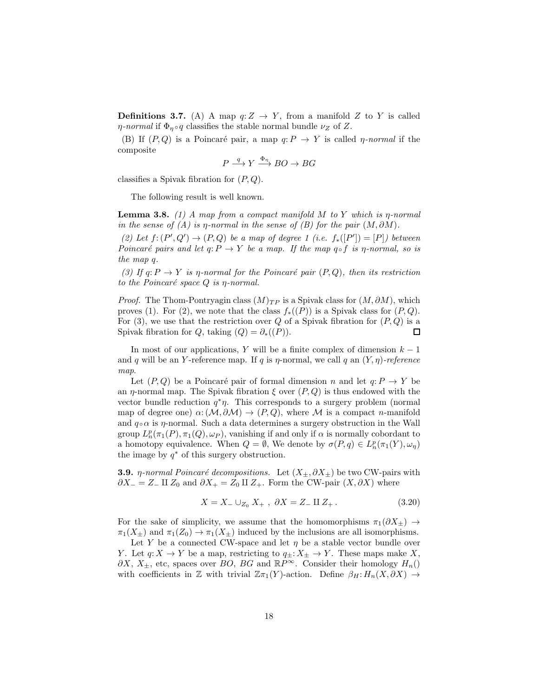**Definitions 3.7.** (A) A map  $q:Z \to Y$ , from a manifold Z to Y is called *η-normal* if  $\Phi_n \circ q$  classifies the stable normal bundle  $\nu_Z$  of Z.

(B) If  $(P,Q)$  is a Poincaré pair, a map  $q: P \to Y$  is called *n*-normal if the composite

$$
P \xrightarrow{q} Y \xrightarrow{\Phi_{\eta}} BO \to BG
$$

classifies a Spivak fibration for  $(P, Q)$ .

The following result is well known.

<span id="page-17-2"></span>**Lemma 3.8.** (1) A map from a compact manifold M to Y which is  $\eta$ -normal in the sense of  $(A)$  is  $\eta$ -normal in the sense of  $(B)$  for the pair  $(M, \partial M)$ .

(2) Let  $f: (P', Q') \to (P, Q)$  be a map of degree 1 (i.e.  $f_*([P']) = [P]$ ) between Poincaré pairs and let  $q: P \to Y$  be a map. If the map  $q \circ f$  is  $\eta$ -normal, so is the map q.

(3) If  $q: P \to Y$  is  $\eta$ -normal for the Poincaré pair  $(P, Q)$ , then its restriction to the Poincaré space  $Q$  is  $\eta$ -normal.

*Proof.* The Thom-Pontryagin class  $(M)_{TP}$  is a Spivak class for  $(M, \partial M)$ , which proves (1). For (2), we note that the class  $f_*(P)$  is a Spivak class for  $(P,Q)$ . For (3), we use that the restriction over  $Q$  of a Spivak fibration for  $(P, Q)$  is a Spivak fibration for Q, taking  $(Q) = \partial_*((P)).$  $\Box$ 

In most of our applications, Y will be a finite complex of dimension  $k - 1$ and q will be an Y-reference map. If q is  $\eta$ -normal, we call q an  $(Y, \eta)$ -reference map.

Let  $(P, Q)$  be a Poincaré pair of formal dimension n and let  $q: P \to Y$  be an  $\eta$ -normal map. The Spivak fibration  $\xi$  over  $(P, Q)$  is thus endowed with the vector bundle reduction  $q^*\eta$ . This corresponds to a surgery problem (normal map of degree one)  $\alpha: (\mathcal{M}, \partial \mathcal{M}) \to (P, Q)$ , where M is a compact n-manifold and  $q \circ \alpha$  is  $\eta$ -normal. Such a data determines a surgery obstruction in the Wall group  $L_n^p(\pi_1(P), \pi_1(Q), \omega_P)$ , vanishing if and only if  $\alpha$  is normally cobordant to a homotopy equivalence. When  $Q = \emptyset$ , We denote by  $\sigma(P, q) \in L_n^p(\pi_1(Y), \omega_\eta)$ the image by  $q^*$  of this surgery obstruction.

<span id="page-17-1"></span>**3.9.** *η-normal Poincaré decompositions.* Let  $(X_{\pm}, \partial X_{\pm})$  be two CW-pairs with  $\partial X_$  = Z<sub>−</sub> II Z<sub>0</sub> and  $\partial X_+$  = Z<sub>0</sub> II Z<sub>+</sub>. Form the CW-pair  $(X, \partial X)$  where

<span id="page-17-0"></span>
$$
X = X_{-} \cup_{Z_{0}} X_{+} , \ \partial X = Z_{-} \amalg Z_{+} . \tag{3.20}
$$

For the sake of simplicity, we assume that the homomorphisms  $\pi_1(\partial X_+) \to$  $\pi_1(X_\pm)$  and  $\pi_1(Z_0) \to \pi_1(X_\pm)$  induced by the inclusions are all isomorphisms.

Let Y be a connected CW-space and let  $\eta$  be a stable vector bundle over Y. Let  $q: X \to Y$  be a map, restricting to  $q_{\pm}: X_{\pm} \to Y$ . These maps make X,  $\partial X$ ,  $X_{\pm}$ , etc, spaces over BO, BG and  $\mathbb{R}P^{\infty}$ . Consider their homology  $H_n()$ with coefficients in Z with trivial  $\mathbb{Z}_{\pi_1}(Y)$ -action. Define  $\beta_H: H_n(X, \partial X) \to$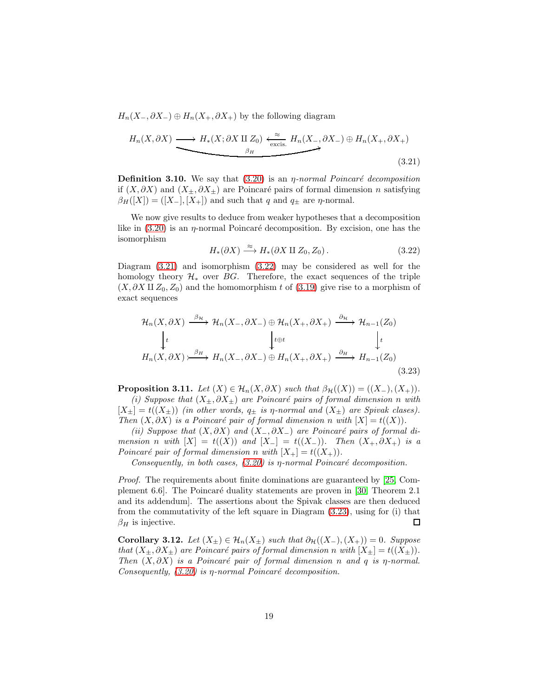$H_n(X_-, \partial X_-) \oplus H_n(X_+, \partial X_+)$  by the following diagram

<span id="page-18-0"></span>
$$
H_n(X, \partial X) \longrightarrow H_*(X; \partial X \amalg Z_0) \xleftarrow{\approx}_{\text{excis.}} H_n(X_-, \partial X_-) \oplus H_n(X_+, \partial X_+) \longrightarrow (3.21)
$$

**Definition 3.10.** We say that  $(3.20)$  is an *η-normal Poincaré decomposition* if  $(X, \partial X)$  and  $(X_{\pm}, \partial X_{\pm})$  are Poincaré pairs of formal dimension n satisfying  $\beta_H([X]) = ([X_-], [X_+])$  and such that q and  $q_{\pm}$  are  $\eta$ -normal.

We now give results to deduce from weaker hypotheses that a decomposition like in  $(3.20)$  is an  $\eta$ -normal Poincaré decomposition. By excision, one has the isomorphism

<span id="page-18-1"></span>
$$
H_*(\partial X) \xrightarrow{\approx} H_*(\partial X \amalg Z_0, Z_0). \tag{3.22}
$$

Diagram [\(3.21\)](#page-18-0) and isomorphism [\(3.22\)](#page-18-1) may be considered as well for the homology theory  $\mathcal{H}_*$  over BG. Therefore, the exact sequences of the triple  $(X, \partial X \amalg Z_0, Z_0)$  and the homomorphism t of  $(3.19)$  give rise to a morphism of exact sequences

<span id="page-18-2"></span>
$$
\mathcal{H}_n(X, \partial X) \xrightarrow{\beta_n} \mathcal{H}_n(X_-, \partial X_-) \oplus \mathcal{H}_n(X_+, \partial X_+) \xrightarrow{\partial_n} \mathcal{H}_{n-1}(Z_0)
$$
\n
$$
\downarrow t \qquad \qquad \downarrow t \qquad \qquad \downarrow t
$$
\n
$$
H_n(X, \partial X) \xrightarrow{\beta_H} H_n(X_-, \partial X_-) \oplus H_n(X_+, \partial X_+) \xrightarrow{\partial_H} H_{n-1}(Z_0)
$$
\n(3.23)

<span id="page-18-3"></span>**Proposition 3.11.** Let  $(X) \in \mathcal{H}_n(X, \partial X)$  such that  $\beta_{\mathcal{H}}((X)) = ((X_-, (X_+)).$ 

(i) Suppose that  $(X_+, \partial X_+)$  are Poincaré pairs of formal dimension n with  $[X_{\pm}] = t((X_{\pm}))$  (in other words,  $q_{\pm}$  is  $\eta$ -normal and  $(X_{\pm})$  are Spivak clases). Then  $(X, \partial X)$  is a Poincaré pair of formal dimension n with  $[X] = t((X)).$ 

(ii) Suppose that  $(X, \partial X)$  and  $(X_-, \partial X_-)$  are Poincaré pairs of formal dimension n with  $[X] = t((X))$  and  $[X_-] = t((X_-))$ . Then  $(X_+, \partial X_+)$  is a Poincaré pair of formal dimension n with  $[X_{+}] = t((X_{+}))$ .

Consequently, in both cases,  $(3.20)$  is  $\eta$ -normal Poincaré decomposition.

Proof. The requirements about finite dominations are guaranteed by [\[25,](#page-40-8) Complement 6.6]. The Poincar´e duality statements are proven in [\[30,](#page-41-4) Theorem 2.1 and its addendum]. The assertions about the Spivak classes are then deduced from the commutativity of the left square in Diagram [\(3.23\)](#page-18-2), using for (i) that  $\beta_H$  is injective. □

<span id="page-18-4"></span>Corollary 3.12. Let  $(X_{\pm}) \in \mathcal{H}_n(X_{\pm})$  such that  $\partial_{\mathcal{H}}((X_{-}), (X_{+})) = 0$ . Suppose that  $(X_{\pm}, \partial X_{\pm})$  are Poincaré pairs of formal dimension n with  $[X_{\pm}] = t((X_{\pm})).$ Then  $(X, \partial X)$  is a Poincaré pair of formal dimension n and q is  $\eta$ -normal. Consequently,  $(3.20)$  is  $\eta$ -normal Poincaré decomposition.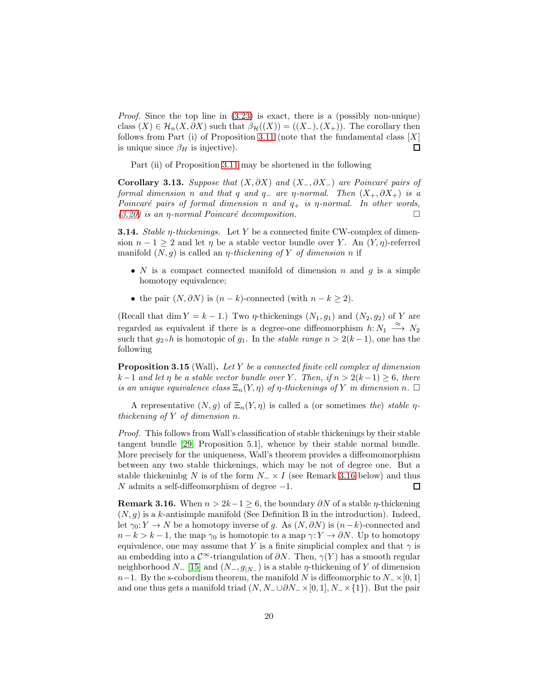Proof. Since the top line in [\(3.23\)](#page-18-2) is exact, there is a (possibly non-unique) class  $(X) \in \mathcal{H}_n(X, \partial X)$  such that  $\beta_{\mathcal{H}}((X)) = ((X_-, (X_+)).$  The corollary then follows from Part (i) of Proposition [3.11](#page-18-3) (note that the fundamental class  $[X]$  $\Box$ is unique since  $\beta_H$  is injective).

Part (ii) of Proposition [3.11](#page-18-3) may be shortened in the following

<span id="page-19-3"></span>Corollary 3.13. Suppose that  $(X, \partial X)$  and  $(X_-, \partial X_-)$  are Poincaré pairs of formal dimension n and that q and q\_ are  $\eta$ -normal. Then  $(X_+, \partial X_+)$  is a Poincaré pairs of formal dimension n and  $q_+$  is  $\eta$ -normal. In other words,  $(3.20)$  is an *η*-normal Poincaré decomposition.

<span id="page-19-2"></span>**3.14.** Stable  $\eta$ -thickenings. Let Y be a connected finite CW-complex of dimension  $n-1 \geq 2$  and let  $\eta$  be a stable vector bundle over Y. An  $(Y, \eta)$ -referred manifold  $(N, q)$  is called an *η-thickening of Y of dimension n* if

- N is a compact connected manifold of dimension n and  $q$  is a simple homotopy equivalence;
- the pair  $(N, \partial N)$  is  $(n k)$ -connected (with  $n k \geq 2$ ).

(Recall that dim  $Y = k - 1$ .) Two *η*-thickenings  $(N_1, g_1)$  and  $(N_2, g_2)$  of Y are regarded as equivalent if there is a degree-one diffeomorphism  $h: N_1 \xrightarrow{\approx} N_2$ such that  $g_2 \circ h$  is homotopic of  $g_1$ . In the *stable range*  $n > 2(k-1)$ , one has the following

<span id="page-19-1"></span>Proposition 3.15 (Wall). Let Y be a connected finite cell complex of dimension  $k-1$  and let  $\eta$  be a stable vector bundle over Y. Then, if  $n > 2(k-1) \geq 6$ , there is an unique equivalence class  $\Xi_n(Y,\eta)$  of  $\eta$ -thickenings of Y in dimension n.  $\Box$ 

A representative  $(N, g)$  of  $\Xi_n(Y, \eta)$  is called a (or sometimes the) stable  $\eta$ thickening of Y of dimension n.

Proof. This follows from Wall's classification of stable thickenings by their stable tangent bundle [\[29,](#page-41-5) Proposition 5.1], whence by their stable normal bundle. More precisely for the uniqueness, Wall's theorem provides a diffeomomorphism between any two stable thickenings, which may be not of degree one. But a stable thickeninbg N is of the form  $N_-\times I$  (see Remark [3.16](#page-19-0) below) and thus N admits a self-diffeomorphism of degree  $-1$ .  $\Box$ 

<span id="page-19-0"></span>**Remark 3.16.** When  $n > 2k-1 \geq 6$ , the boundary  $\partial N$  of a stable  $\eta$ -thickening  $(N, g)$  is a k-antisimple manifold (See Definition B in the introduction). Indeed, let  $\gamma_0: Y \to N$  be a homotopy inverse of g. As  $(N, \partial N)$  is  $(n-k)$ -connected and  $n - k > k - 1$ , the map  $\gamma_0$  is homotopic to a map  $\gamma: Y \to \partial N$ . Up to homotopy equivalence, one may assume that Y is a finite simplicial complex and that  $\gamma$  is an embedding into a  $\mathcal{C}^{\infty}$ -triangulation of  $\partial N$ . Then,  $\gamma(Y)$  has a smooth regular neighborhood  $N_{-}$  [\[15\]](#page-40-11) and  $(N_{-}, g_{|N_{-}})$  is a stable  $\eta$ -thickening of Y of dimension  $n-1$ . By the s-cobordism theorem, the manifold N is diffeomorphic to  $N_-\times [0,1]$ and one thus gets a manifold triad  $(N, N_-\cup \partial N_-\times [0,1], N_-\times \{1\})$ . But the pair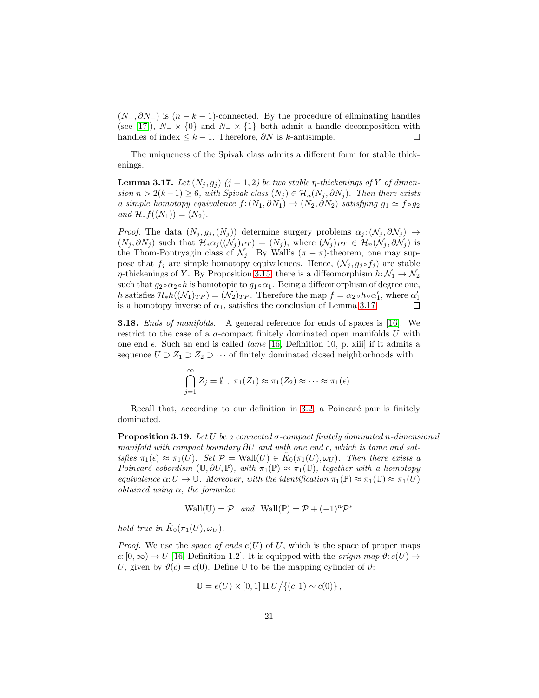$(N_-, \partial N_-)$  is  $(n - k - 1)$ -connected. By the procedure of eliminating handles (see [\[17\]](#page-40-12)),  $N_-\times$  {0} and  $N_-\times$  {1} both admit a handle decomposition with handles of index  $\leq k-1$ . Therefore,  $\partial N$  is k-antisimple.

The uniqueness of the Spivak class admits a different form for stable thickenings.

<span id="page-20-0"></span>**Lemma 3.17.** Let  $(N_j, g_j)$   $(j = 1, 2)$  be two stable  $\eta$ -thickenings of Y of dimension  $n > 2(k-1) \ge 6$ , with Spivak class  $(N_j) \in \mathcal{H}_n(N_j, \partial N_j)$ . Then there exists a simple homotopy equivalence  $f:(N_1,\partial N_1) \to (N_2,\partial N_2)$  satisfying  $g_1 \simeq f \circ g_2$ and  $\mathcal{H}_* f((N_1)) = (N_2)$ .

*Proof.* The data  $(N_j, g_j, (N_j))$  determine surgery problems  $\alpha_j: (\mathcal{N}_j, \partial \mathcal{N}_j) \rightarrow$  $(N_j, \partial N_j)$  such that  $\mathcal{H}_*\alpha_j((\mathcal{N}_j)_{PT}) = (N_j)$ , where  $(\mathcal{N}_j)_{PT} \in \mathcal{H}_n(\mathcal{N}_j, \partial \mathcal{N}_j)$  is the Thom-Pontryagin class of  $\mathcal{N}_j$ . By Wall's  $(\pi - \pi)$ -theorem, one may suppose that  $f_i$  are simple homotopy equivalences. Hence,  $(\mathcal{N}_j, g_j \circ f_j)$  are stable  $\eta$ -thickenings of Y. By Proposition [3.15,](#page-19-1) there is a diffeomorphism  $h: \mathcal{N}_1 \to \mathcal{N}_2$ such that  $g_2 \circ \alpha_2 \circ h$  is homotopic to  $g_1 \circ \alpha_1$ . Being a diffeomorphism of degree one, h satisfies  $\mathcal{H}_*h((\mathcal{N}_1)_{TP}) = (\mathcal{N}_2)_{TP}$ . Therefore the map  $f = \alpha_2 \circ h \circ \alpha'_1$ , where  $\alpha'_1$ is a homotopy inverse of  $\alpha_1$ , satisfies the conclusion of Lemma [3.17.](#page-20-0)

<span id="page-20-1"></span>**3.18.** Ends of manifolds. A general reference for ends of spaces is [\[16\]](#page-40-2). We restrict to the case of a  $\sigma$ -compact finitely dominated open manifolds U with one end  $\epsilon$ . Such an end is called *tame* [\[16,](#page-40-2) Definition 10, p. xiii] if it admits a sequence  $U \supset Z_1 \supset Z_2 \supset \cdots$  of finitely dominated closed neighborhoods with

$$
\bigcap_{j=1}^{\infty} Z_j = \emptyset , \ \pi_1(Z_1) \approx \pi_1(Z_2) \approx \cdots \approx \pi_1(\epsilon).
$$

Recall that, according to our definition in [3.2,](#page-15-0) a Poincaré pair is finitely dominated.

<span id="page-20-2"></span>**Proposition 3.19.** Let U be a connected  $\sigma$ -compact finitely dominated n-dimensional manifold with compact boundary  $\partial U$  and with one end  $\epsilon$ , which is tame and satisfies  $\pi_1(\epsilon) \approx \pi_1(U)$ . Set  $\mathcal{P} = \text{Wall}(U) \in \tilde{K}_0(\pi_1(U), \omega_U)$ . Then there exists a Poincaré cobordism  $(\mathbb{U}, \partial U, \mathbb{P})$ , with  $\pi_1(\mathbb{P}) \approx \pi_1(\mathbb{U})$ , together with a homotopy equivalence  $\alpha: U \to \mathbb{U}$ . Moreover, with the identification  $\pi_1(\mathbb{P}) \approx \pi_1(\mathbb{U}) \approx \pi_1(U)$ obtained using  $\alpha$ , the formulae

$$
Wall(\mathbb{U}) = \mathcal{P} \quad and \quad Wall(\mathbb{P}) = \mathcal{P} + (-1)^n \mathcal{P}^*
$$

hold true in  $\tilde{K}_0(\pi_1(U), \omega_U)$ .

*Proof.* We use the *space of ends e(U)* of U, which is the space of proper maps c:  $[0, \infty) \to U$  [\[16,](#page-40-2) Definition 1.2]. It is equipped with the *origin map*  $\vartheta$ :  $e(U) \to$ U, given by  $\vartheta(c) = c(0)$ . Define U to be the mapping cylinder of  $\vartheta$ :

$$
\mathbb{U} = e(U) \times [0,1] \amalg U / \{(c,1) \sim c(0)\},
$$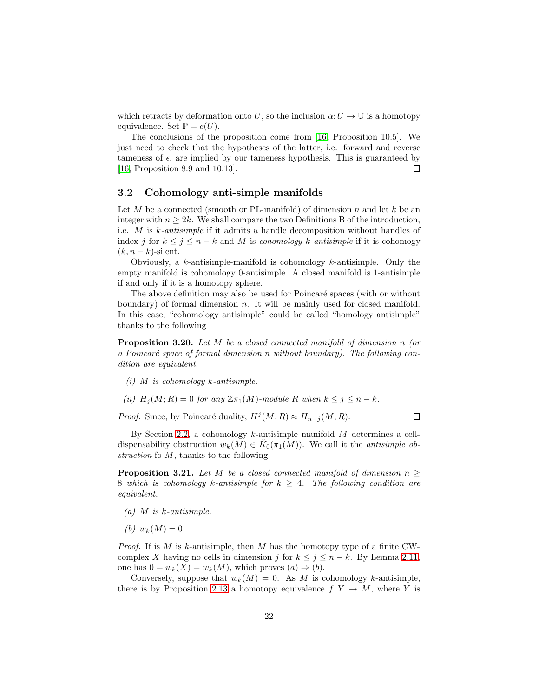which retracts by deformation onto U, so the inclusion  $\alpha:U\to\mathbb{U}$  is a homotopy equivalence. Set  $\mathbb{P} = e(U)$ .

The conclusions of the proposition come from [\[16,](#page-40-2) Proposition 10.5]. We just need to check that the hypotheses of the latter, i.e. forward and reverse tameness of  $\epsilon$ , are implied by our tameness hypothesis. This is guaranteed by [\[16,](#page-40-2) Proposition 8.9 and 10.13].  $\Box$ 

### <span id="page-21-0"></span>3.2 Cohomology anti-simple manifolds

Let M be a connected (smooth or PL-manifold) of dimension n and let k be an integer with  $n \geq 2k$ . We shall compare the two Definitions B of the introduction, i.e. M is k-antisimple if it admits a handle decomposition without handles of index j for  $k \leq j \leq n - k$  and M is cohomology k-antisimple if it is cohomogy  $(k, n - k)$ -silent.

Obviously, a k-antisimple-manifold is cohomology k-antisimple. Only the empty manifold is cohomology 0-antisimple. A closed manifold is 1-antisimple if and only if it is a homotopy sphere.

The above definition may also be used for Poincaré spaces (with or without boundary) of formal dimension  $n$ . It will be mainly used for closed manifold. In this case, "cohomology antisimple" could be called "homology antisimple" thanks to the following

Proposition 3.20. Let M be a closed connected manifold of dimension n (or a Poincaré space of formal dimension n without boundary). The following condition are equivalent.

- $(i)$  M is cohomology k-antisimple.
- (ii)  $H_i(M; R) = 0$  for any  $\mathbb{Z} \pi_1(M)$ -module R when  $k \leq j \leq n k$ .

*Proof.* Since, by Poincaré duality,  $H^j(M; R) \approx H_{n-j}(M; R)$ .

 $\Box$ 

By Section [2.2,](#page-4-0) a cohomology  $k$ -antisimple manifold  $M$  determines a celldispensability obstruction  $w_k(M) \in \tilde{K}_0(\pi_1(M))$ . We call it the *antisimple ob*struction fo M, thanks to the following

<span id="page-21-1"></span>**Proposition 3.21.** Let M be a closed connected manifold of dimension  $n \geq$ 8 which is cohomology k-antisimple for  $k \geq 4$ . The following condition are equivalent.

- $(a)$  M is k-antisimple.
- (b)  $w_k(M) = 0$ .

*Proof.* If is M is k-antisimple, then M has the homotopy type of a finite CWcomplex X having no cells in dimension j for  $k \leq j \leq n - k$ . By Lemma [2.11,](#page-6-3) one has  $0 = w_k(X) = w_k(M)$ , which proves  $(a) \Rightarrow (b)$ .

Conversely, suppose that  $w_k(M) = 0$ . As M is cohomology k-antisimple, there is by Proposition [2.13](#page-7-1) a homotopy equivalence  $f: Y \to M$ , where Y is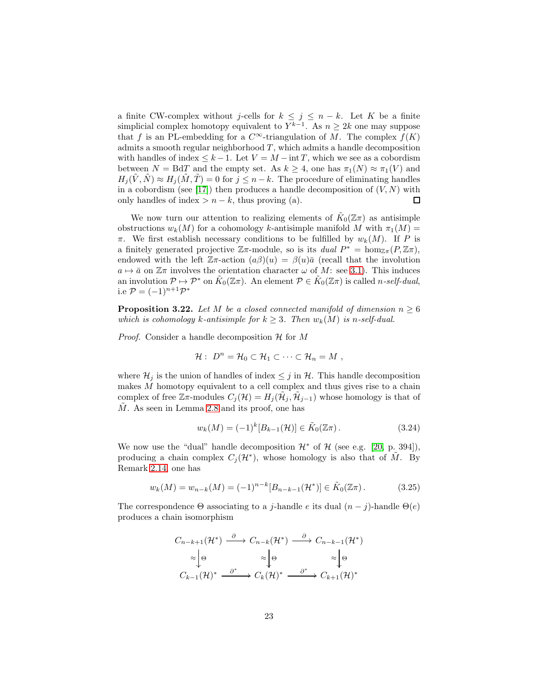a finite CW-complex without j-cells for  $k \leq j \leq n - k$ . Let K be a finite simplicial complex homotopy equivalent to  $Y^{k-1}$ . As  $n \geq 2k$  one may suppose that f is an PL-embedding for a  $C^{\infty}$ -triangulation of M. The complex  $f(K)$ admits a smooth regular neighborhood  $T$ , which admits a handle decomposition with handles of index  $\leq k-1$ . Let  $V = M - \inf T$ , which we see as a cobordism between  $N = \text{Bd}T$  and the empty set. As  $k \geq 4$ , one has  $\pi_1(N) \approx \pi_1(V)$  and  $H_i(\tilde{V}, \tilde{N}) \approx H_i(\tilde{M}, \tilde{T}) = 0$  for  $j \leq n - k$ . The procedure of eliminating handles in a cobordism (see [\[17\]](#page-40-12)) then produces a handle decomposition of  $(V, N)$  with only handles of index  $> n - k$ , thus proving (a). 口

We now turn our attention to realizing elements of  $\tilde{K}_0(\mathbb{Z}\pi)$  as antisimple obstructions  $w_k(M)$  for a cohomology k-antisimple manifold M with  $\pi_1(M)$  =  $\pi$ . We first establish necessary conditions to be fulfilled by  $w_k(M)$ . If P is a finitely generated projective  $\mathbb{Z}\pi$ -module, so is its dual  $P^* = \hom_{\mathbb{Z}\pi}(P, \mathbb{Z}\pi)$ , endowed with the left  $\mathbb{Z}_{\pi}$ -action  $(a\beta)(u) = \beta(u)\bar{a}$  (recall that the involution  $a \mapsto \bar{a}$  on  $\mathbb{Z}\pi$  involves the orientation character  $\omega$  of M: see [3.1\)](#page-14-2). This induces an involution  $\mathcal{P} \mapsto \mathcal{P}^*$  on  $\tilde{K}_0(\mathbb{Z}\pi)$ . An element  $\mathcal{P} \in \tilde{K}_0(\mathbb{Z}\pi)$  is called *n*-self-dual, i.e  $P = (-1)^{n+1}P^*$ 

<span id="page-22-2"></span>**Proposition 3.22.** Let M be a closed connected manifold of dimension  $n \geq 6$ which is cohomology k-antisimple for  $k \geq 3$ . Then  $w_k(M)$  is n-self-dual.

*Proof.* Consider a handle decomposition  $\mathcal H$  for M

$$
\mathcal{H}: D^n = \mathcal{H}_0 \subset \mathcal{H}_1 \subset \cdots \subset \mathcal{H}_n = M ,
$$

where  $\mathcal{H}_j$  is the union of handles of index  $\leq j$  in  $\mathcal{H}$ . This handle decomposition makes  $M$  homotopy equivalent to a cell complex and thus gives rise to a chain complex of free  $\mathbb{Z}_{\pi}$ -modules  $C_j(\mathcal{H}) = H_j(\tilde{\mathcal{H}}_j, \tilde{\mathcal{H}}_{j-1})$  whose homology is that of M. As seen in Lemma [2.8](#page-4-1) and its proof, one has

<span id="page-22-1"></span>
$$
w_k(M) = (-1)^k [B_{k-1}(\mathcal{H})] \in \tilde{K}_0(\mathbb{Z}\pi).
$$
 (3.24)

We now use the "dual" handle decomposition  $\mathcal{H}^*$  of  $\mathcal{H}$  (see e.g. [\[20,](#page-40-13) p. 394]), producing a chain complex  $C_j(\mathcal{H}^*)$ , whose homology is also that of  $\tilde{M}$ . By Remark [2.14,](#page-8-2) one has

<span id="page-22-0"></span>
$$
w_k(M) = w_{n-k}(M) = (-1)^{n-k} [B_{n-k-1}(\mathcal{H}^*)] \in \tilde{K}_0(\mathbb{Z}\pi).
$$
 (3.25)

The correspondence  $\Theta$  associating to a j-handle e its dual  $(n-j)$ -handle  $\Theta(e)$ produces a chain isomorphism

$$
C_{n-k+1}(\mathcal{H}^*) \xrightarrow{\partial} C_{n-k}(\mathcal{H}^*) \xrightarrow{\partial} C_{n-k-1}(\mathcal{H}^*)
$$
  
\n
$$
\approx \downarrow \Theta \qquad \approx \downarrow \Theta \qquad \approx \downarrow \Theta
$$
  
\n
$$
C_{k-1}(\mathcal{H})^* \xrightarrow{\partial^*} C_k(\mathcal{H})^* \xrightarrow{\partial^*} C_{k+1}(\mathcal{H})^*
$$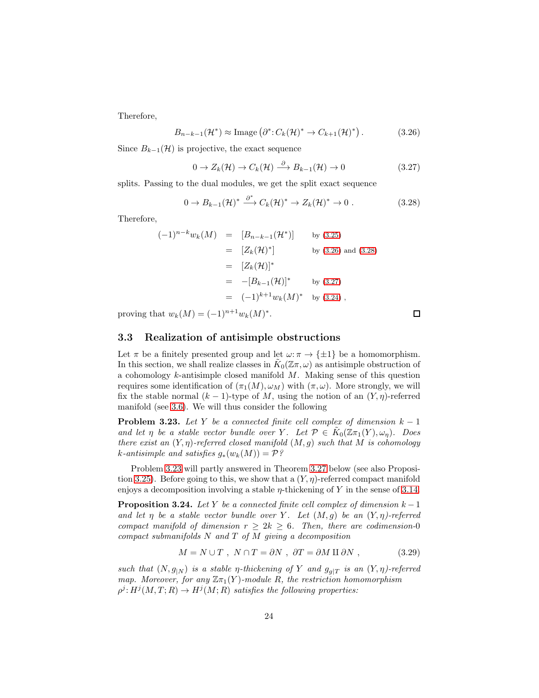Therefore,

<span id="page-23-1"></span>
$$
B_{n-k-1}(\mathcal{H}^*) \approx \text{Image} \left( \partial^* \colon C_k(\mathcal{H})^* \to C_{k+1}(\mathcal{H})^* \right). \tag{3.26}
$$

Since  $B_{k-1}(\mathcal{H})$  is projective, the exact sequence

<span id="page-23-3"></span>
$$
0 \to Z_k(\mathcal{H}) \to C_k(\mathcal{H}) \stackrel{\partial}{\longrightarrow} B_{k-1}(\mathcal{H}) \to 0 \tag{3.27}
$$

splits. Passing to the dual modules, we get the split exact sequence

<span id="page-23-2"></span>
$$
0 \to B_{k-1}(\mathcal{H})^* \xrightarrow{\partial^*} C_k(\mathcal{H})^* \to Z_k(\mathcal{H})^* \to 0.
$$
 (3.28)

Therefore,

$$
(-1)^{n-k} w_k(M) = [B_{n-k-1}(\mathcal{H}^*)] \text{ by (3.25)}
$$
  
\n
$$
= [Z_k(\mathcal{H})^*] \text{ by (3.26) and (3.28)}
$$
  
\n
$$
= [Z_k(\mathcal{H})]^*
$$
  
\n
$$
= -[B_{k-1}(\mathcal{H})]^* \text{ by (3.27)}
$$
  
\n
$$
= (-1)^{k+1} w_k(M)^* \text{ by (3.24)},
$$

proving that  $w_k(M) = (-1)^{n+1} w_k(M)^*$ .

### <span id="page-23-0"></span>3.3 Realization of antisimple obstructions

Let  $\pi$  be a finitely presented group and let  $\omega: \pi \to {\pm 1}$  be a homomorphism. In this section, we shall realize classes in  $\tilde{K}_0(\mathbb{Z}\pi,\omega)$  as antisimple obstruction of a cohomology  $k$ -antisimple closed manifold  $M$ . Making sense of this question requires some identification of  $(\pi_1(M), \omega_M)$  with  $(\pi, \omega)$ . More strongly, we will fix the stable normal  $(k-1)$ -type of M, using the notion of an  $(Y, \eta)$ -referred manifold (see [3.6\)](#page-16-1). We will thus consider the following

<span id="page-23-4"></span>**Problem 3.23.** Let Y be a connected finite cell complex of dimension  $k - 1$ and let  $\eta$  be a stable vector bundle over Y. Let  $\mathcal{P} \in \tilde{K}_0(\mathbb{Z}\pi_1(Y), \omega_{\eta})$ . Does there exist an  $(Y, \eta)$ -referred closed manifold  $(M, g)$  such that M is cohomology k-antisimple and satisfies  $q_*(w_k(M)) = \mathcal{P}$ ?

Problem [3.23](#page-23-4) will partly answered in Theorem [3.27](#page-28-1) below (see also Proposi-tion [3.25\)](#page-25-0). Before going to this, we show that a  $(Y, \eta)$ -referred compact manifold enjoys a decomposition involving a stable  $\eta$ -thickening of Y in the sense of [3.14.](#page-19-2)

<span id="page-23-6"></span>**Proposition 3.24.** Let Y be a connected finite cell complex of dimension  $k - 1$ and let  $\eta$  be a stable vector bundle over Y. Let  $(M, q)$  be an  $(Y, \eta)$ -referred compact manifold of dimension  $r \geq 2k \geq 6$ . Then, there are codimension-0 compact submanifolds  $N$  and  $T$  of  $M$  giving a decomposition

<span id="page-23-5"></span>
$$
M = N \cup T , N \cap T = \partial N , \partial T = \partial M \amalg \partial N , \qquad (3.29)
$$

such that  $(N, g_{N})$  is a stable *η*-thickening of Y and  $g_{q|T}$  is an  $(Y, \eta)$ -referred map. Moreover, for any  $\mathbb{Z}_{\pi_1}(Y)$ -module R, the restriction homomorphism  $\rho^j: H^j(M,T;R) \to H^j(M;R)$  satisfies the following properties:

 $\Box$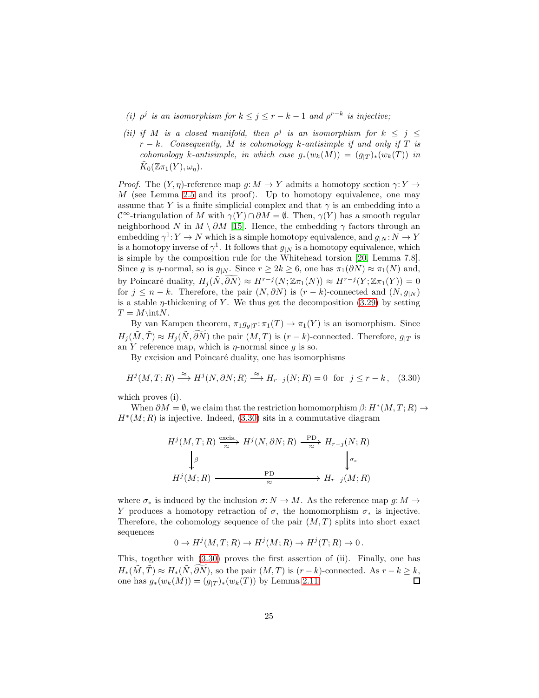- (i)  $\rho^j$  is an isomorphism for  $k \leq j \leq r-k-1$  and  $\rho^{r-k}$  is injective;
- (ii) if M is a closed manifold, then  $\rho^j$  is an isomorphism for  $k \leq j \leq$  $r - k$ . Consequently, M is cohomology k-antisimple if and only if T is cohomology k-antisimple, in which case  $g_*(w_k(M)) = (g_{|T})_*(w_k(T))$  in  $\tilde K_0(\mathbb{Z} \pi_1(Y), \omega_\eta).$

*Proof.* The  $(Y, \eta)$ -reference map  $g: M \to Y$  admits a homotopy section  $\gamma: Y \to Y$  $M$  (see Lemma [2.5](#page-3-2) and its proof). Up to homotopy equivalence, one may assume that Y is a finite simplicial complex and that  $\gamma$  is an embedding into a  $\mathcal{C}^{\infty}$ -triangulation of M with  $\gamma(Y) \cap \partial M = \emptyset$ . Then,  $\gamma(Y)$  has a smooth regular neighborhood N in  $M \setminus \partial M$  [\[15\]](#page-40-11). Hence, the embedding  $\gamma$  factors through an embedding  $\gamma^1: Y \to N$  which is a simple homotopy equivalence, and  $g_{|N}: N \to Y$ is a homotopy inverse of  $\gamma^1$ . It follows that  $g_{|N}$  is a homotopy equivalence, which is simple by the composition rule for the Whitehead torsion [\[20,](#page-40-13) Lemma 7.8]. Since g is  $\eta$ -normal, so is  $g_{|N}$ . Since  $r \geq 2k \geq 6$ , one has  $\pi_1(\partial N) \approx \pi_1(N)$  and, by Poincaré duality,  $H_j(\tilde{N}, \widetilde{\partial N}) \approx H^{r-j}(N; \mathbb{Z}\pi_1(N)) \approx H^{r-j}(Y; \mathbb{Z}\pi_1(Y)) = 0$ for  $j \leq n - k$ . Therefore, the pair  $(N, \partial N)$  is  $(r - k)$ -connected and  $(N, g<sub>|N</sub>)$ is a stable  $\eta$ -thickening of Y. We thus get the decomposition [\(3.29\)](#page-23-5) by setting  $T = M\in N$ .

By van Kampen theorem,  $\pi_1 g_{g|T} : \pi_1(T) \to \pi_1(Y)$  is an isomorphism. Since  $H_i(\tilde{M}, \tilde{T}) \approx H_i(\tilde{N}, \partial \tilde{N})$  the pair  $(M, T)$  is  $(r - k)$ -connected. Therefore,  $g_{|T}$  is an Y reference map, which is  $\eta$ -normal since q is so.

By excision and Poincaré duality, one has isomorphisms

<span id="page-24-0"></span>
$$
H^j(M, T; R) \xrightarrow{\approx} H^j(N, \partial N; R) \xrightarrow{\approx} H_{r-j}(N; R) = 0 \text{ for } j \leq r - k, \quad (3.30)
$$

which proves (i).

When  $\partial M = \emptyset$ , we claim that the restriction homomorphism  $\beta: H^*(M,T;R) \to$  $H^*(M;R)$  is injective. Indeed, [\(3.30\)](#page-24-0) sits in a commutative diagram

$$
H^j(M, T; R) \xrightarrow{\text{excis.}} H^j(N, \partial N; R) \xrightarrow{\text{PD}} H_{r-j}(N; R)
$$
  

$$
\downarrow^{\beta} \qquad \qquad \downarrow^{\sigma_*}
$$
  

$$
H^j(M; R) \xrightarrow{\text{PD}} H_{r-j}(M; R)
$$

where  $\sigma_*$  is induced by the inclusion  $\sigma: N \to M$ . As the reference map  $g: M \to$ Y produces a homotopy retraction of  $\sigma$ , the homomorphism  $\sigma_*$  is injective. Therefore, the cohomology sequence of the pair  $(M, T)$  splits into short exact sequences

$$
0 \to H^j(M, T; R) \to H^j(M; R) \to H^j(T; R) \to 0.
$$

This, together with [\(3.30\)](#page-24-0) proves the first assertion of (ii). Finally, one has  $H_*(\tilde{M}, \tilde{T}) \approx H_*(\tilde{N}, \tilde{\partial N})$ , so the pair  $(M, T)$  is  $(r - k)$ -connected. As  $r - k \geq k$ , one has  $q_*(w_k(M)) = (q_{|T})_*(w_k(T))$  by Lemma 2.11. one has  $g_*(w_k(M)) = (g_{|T})_*(w_k(T))$  by Lemma [2.11.](#page-6-3)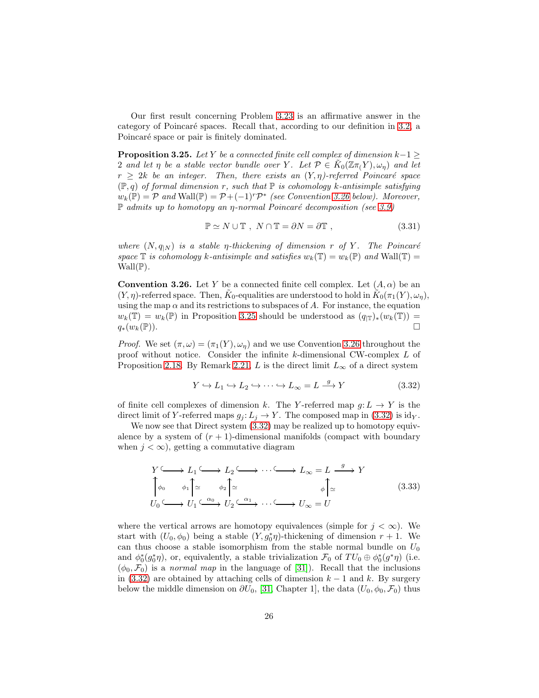Our first result concerning Problem [3.23](#page-23-4) is an affirmative answer in the category of Poincaré spaces. Recall that, according to our definition in [3.2,](#page-15-0) a Poincaré space or pair is finitely dominated.

<span id="page-25-0"></span>**Proposition 3.25.** Let Y be a connected finite cell complex of dimension  $k-1 \geq$ 2 and let  $\eta$  be a stable vector bundle over Y. Let  $\mathcal{P} \in \tilde{K}_0(\mathbb{Z} \pi_1 Y), \omega_{\eta}$  and let  $r \geq 2k$  be an integer. Then, there exists an  $(Y, \eta)$ -referred Poincaré space  $(\mathbb{P}, q)$  of formal dimension r, such that  $\mathbb{P}$  is cohomology k-antisimple satisfying  $w_k(\mathbb{P}) = \mathcal{P}$  and  $\text{Wall}(\mathbb{P}) = \mathcal{P} + (-1)^r \mathcal{P}^*$  (see Convention [3.26](#page-25-1) below). Moreover,  $\mathbb P$  admits up to homotopy an *η*-normal Poincaré decomposition (see [3.9\)](#page-17-1)

<span id="page-25-3"></span>
$$
\mathbb{P} \simeq N \cup \mathbb{T} , N \cap \mathbb{T} = \partial N = \partial \mathbb{T} , \qquad (3.31)
$$

where  $(N, q_{N})$  is a stable *η*-thickening of dimension r of Y. The Poincaré space  $\mathbb T$  is cohomology k-antisimple and satisfies  $w_k(\mathbb T) = w_k(\mathbb P)$  and  $\text{Wall}(\mathbb T) =$  $\text{Wall}(\mathbb{P})$ .

<span id="page-25-1"></span>**Convention 3.26.** Let Y be a connected finite cell complex. Let  $(A, \alpha)$  be an  $(Y, \eta)$ -referred space. Then,  $\tilde{K}_0$ -equalities are understood to hold in  $\tilde{K}_0(\pi_1(Y), \omega_{\eta}),$ using the map  $\alpha$  and its restrictions to subspaces of A. For instance, the equation  $w_k(\mathbb{T}) = w_k(\mathbb{P})$  in Proposition [3.25](#page-25-0) should be understood as  $(q_{|\mathbb{T}})_*(w_k(\mathbb{T})) =$  $q_*(w_k(\mathbb{P})).$ 

*Proof.* We set  $(\pi, \omega) = (\pi_1(Y), \omega_\eta)$  and we use Convention [3.26](#page-25-1) throughout the proof without notice. Consider the infinite k-dimensional CW-complex L of Proposition [2.18.](#page-11-0) By Remark [2.21,](#page-13-2) L is the direct limit  $L_{\infty}$  of a direct system

<span id="page-25-2"></span>
$$
Y \hookrightarrow L_1 \hookrightarrow L_2 \hookrightarrow \cdots \hookrightarrow L_\infty = L \xrightarrow{g} Y \tag{3.32}
$$

of finite cell complexes of dimension k. The Y-referred map  $g: L \to Y$  is the direct limit of Y-referred maps  $g_i: L_i \to Y$ . The composed map in [\(3.32\)](#page-25-2) is idy.

We now see that Direct system  $(3.32)$  may be realized up to homotopy equivalence by a system of  $(r + 1)$ -dimensional manifolds (compact with boundary when  $j < \infty$ , getting a commutative diagram

<span id="page-25-4"></span>
$$
Y \longrightarrow L_1 \longrightarrow L_2 \longrightarrow \cdots \longrightarrow L_{\infty} = L \xrightarrow{g} Y
$$
  

$$
\downarrow \phi_0 \qquad \phi_1 \uparrow \simeq \qquad \phi_2 \uparrow \simeq \qquad \qquad \phi \uparrow \simeq \qquad \qquad \phi \uparrow \simeq \qquad (3.33)
$$
  

$$
U_0 \longrightarrow U_1 \xrightarrow{\alpha_0} U_2 \xrightarrow{\alpha_1} \cdots \xrightarrow{\alpha_n} U_{\infty} = U
$$

where the vertical arrows are homotopy equivalences (simple for  $j < \infty$ ). We start with  $(U_0, \phi_0)$  being a stable  $(Y, g_0^*\eta)$ -thickening of dimension  $r + 1$ . We can thus choose a stable isomorphism from the stable normal bundle on  $U_0$ and  $\phi_0^*(g_0^*\eta)$ , or, equivalently, a stable trivialization  $\mathcal{F}_0$  of  $TU_0 \oplus \phi_0^*(g^*\eta)$  (i.e.  $(\phi_0, \mathcal{F}_0)$  is a normal map in the language of [\[31\]](#page-41-6)). Recall that the inclusions in [\(3.32\)](#page-25-2) are obtained by attaching cells of dimension  $k-1$  and k. By surgery below the middle dimension on  $\partial U_0$ , [\[31,](#page-41-6) Chapter 1], the data  $(U_0, \phi_0, \mathcal{F}_0)$  thus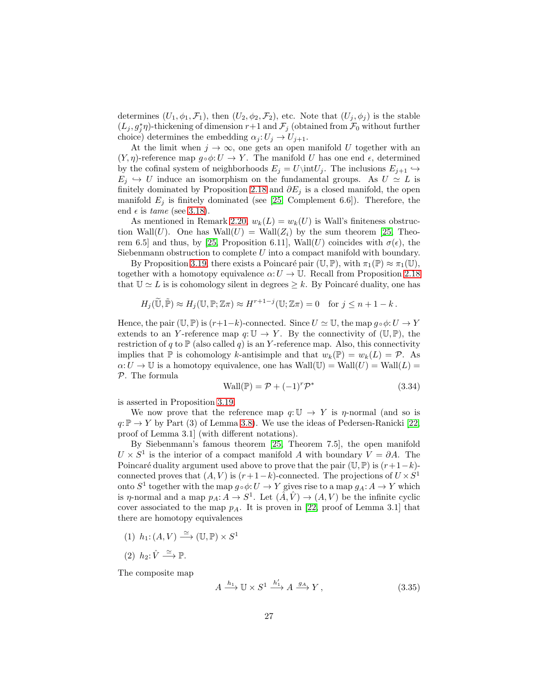determines  $(U_1, \phi_1, \mathcal{F}_1)$ , then  $(U_2, \phi_2, \mathcal{F}_2)$ , etc. Note that  $(U_j, \phi_j)$  is the stable  $(L_j, g_j^*\eta)$ -thickening of dimension  $r+1$  and  $\mathcal{F}_j$  (obtained from  $\mathcal{F}_0$  without further choice) determines the embedding  $\alpha_j: U_j \to U_{j+1}$ .

At the limit when  $j \to \infty$ , one gets an open manifold U together with an  $(Y, \eta)$ -reference map  $g \circ \phi: U \to Y$ . The manifold U has one end  $\epsilon$ , determined by the cofinal system of neighborhoods  $E_i = U\int_i$ . The inclusions  $E_{i+1} \hookrightarrow$  $E_i \hookrightarrow U$  induce an isomorphism on the fundamental groups. As  $U \simeq L$  is finitely dominated by Proposition [2.18](#page-11-0) and  $\partial E_i$  is a closed manifold, the open manifold  $E_j$  is finitely dominated (see [\[25,](#page-40-8) Complement 6.6]). Therefore, the end  $\epsilon$  is *tame* (see [3.18\)](#page-20-1).

As mentioned in Remark [2.20,](#page-13-3)  $w_k(L) = w_k(U)$  is Wall's finiteness obstruction Wall(U). One has  $\text{Wall}(U) = \text{Wall}(Z_i)$  by the sum theorem [\[25,](#page-40-8) Theo-rem 6.5] and thus, by [\[25,](#page-40-8) Proposition 6.11], Wall(U) coincides with  $\sigma(\epsilon)$ , the Siebenmann obstruction to complete U into a compact manifold with boundary.

By Proposition [3.19,](#page-20-2) there exists a Poincaré pair  $(\mathbb{U}, \mathbb{P})$ , with  $\pi_1(\mathbb{P}) \approx \pi_1(\mathbb{U})$ , together with a homotopy equivalence  $\alpha: U \to \mathbb{U}$ . Recall from Proposition [2.18](#page-11-0) that  $\mathbb{U} \simeq L$  is is cohomology silent in degrees  $\geq k$ . By Poincaré duality, one has

$$
H_j(\widetilde{\mathbb{U}}, \widetilde{\mathbb{P}}) \approx H_j(\mathbb{U}, \mathbb{P}; \mathbb{Z}\pi) \approx H^{r+1-j}(\mathbb{U}; \mathbb{Z}\pi) = 0 \text{ for } j \leq n+1-k.
$$

Hence, the pair  $(\mathbb{U}, \mathbb{P})$  is  $(r+1-k)$ -connected. Since  $U \simeq \mathbb{U}$ , the map  $q \circ \phi: U \to Y$ extends to an Y-reference map  $q: U \to Y$ . By the connectivity of  $(U, \mathbb{P})$ , the restriction of q to  $\mathbb P$  (also called q) is an Y-reference map. Also, this connectivity implies that  $\mathbb P$  is cohomology k-antisimple and that  $w_k(\mathbb P) = w_k(L) = \mathcal P$ . As  $\alpha: U \to \mathbb{U}$  is a homotopy equivalence, one has  $\text{Wall}(\mathbb{U}) = \text{Wall}(U) = \text{Wall}(L)$ P. The formula

$$
\text{Wall}(\mathbb{P}) = \mathcal{P} + (-1)^r \mathcal{P}^* \tag{3.34}
$$

is asserted in Proposition [3.19.](#page-20-2)

We now prove that the reference map  $q: U \to Y$  is  $\eta$ -normal (and so is  $q: \mathbb{P} \to Y$  by Part (3) of Lemma [3.8\)](#page-17-2). We use the ideas of Pedersen-Ranicki [\[22,](#page-40-1) proof of Lemma 3.1] (with different notations).

By Siebenmann's famous theorem [\[25,](#page-40-8) Theorem 7.5], the open manifold  $U \times S^1$  is the interior of a compact manifold A with boundary  $V = \partial A$ . The Poincaré duality argument used above to prove that the pair  $(\mathbb{U}, \mathbb{P})$  is  $(r+1-k)$ connected proves that  $(A, V)$  is  $(r+1-k)$ -connected. The projections of  $U \times S^1$ onto  $S^1$  together with the map  $g \circ \phi: U \to Y$  gives rise to a map  $g_A: A \to Y$  which is  $\eta$ -normal and a map  $p_A: A \to S^1$ . Let  $(\tilde{A}, \hat{V}) \to (A, V)$  be the infinite cyclic cover associated to the map  $p_A$ . It is proven in [\[22,](#page-40-1) proof of Lemma 3.1] that there are homotopy equivalences

- (1)  $h_1: (A, V) \xrightarrow{\simeq} (\mathbb{U}, \mathbb{P}) \times S^1$
- (2)  $h_2: \hat{V} \stackrel{\simeq}{\longrightarrow} \mathbb{P}.$

The composite map

$$
A \xrightarrow{h_1} \mathbb{U} \times S^1 \xrightarrow{h'_1} A \xrightarrow{g_A} Y, \tag{3.35}
$$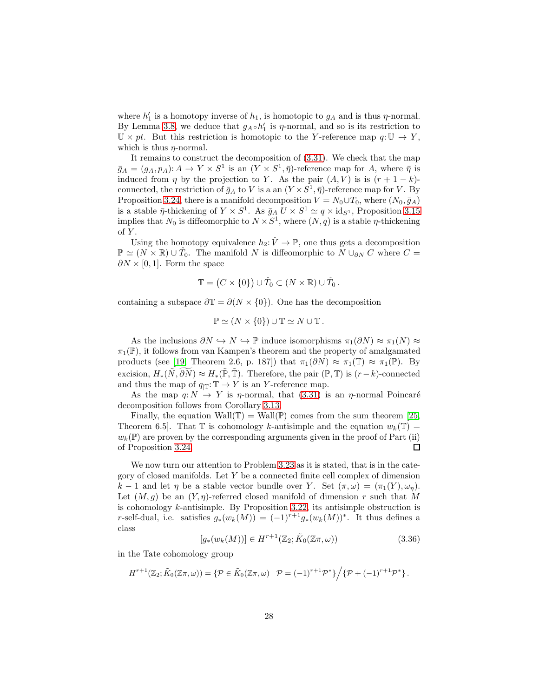where  $h'_1$  is a homotopy inverse of  $h_1$ , is homotopic to  $g_A$  and is thus  $\eta$ -normal. By Lemma [3.8,](#page-17-2) we deduce that  $g_A \circ h'_1$  is  $\eta$ -normal, and so is its restriction to  $\mathbb{U} \times pt$ . But this restriction is homotopic to the Y-reference map  $q: \mathbb{U} \to Y$ , which is thus  $\eta$ -normal.

It remains to construct the decomposition of [\(3.31\)](#page-25-3). We check that the map  $\bar{g}_A = (g_A, p_A) : A \to Y \times S^1$  is an  $(Y \times S^1, \bar{\eta})$ -reference map for A, where  $\bar{\eta}$  is induced from  $\eta$  by the projection to Y. As the pair  $(A, V)$  is is  $(r + 1 - k)$ connected, the restriction of  $\bar{g}_A$  to V is a an  $(Y \times S^1, \bar{\eta})$ -reference map for V. By Proposition [3.24,](#page-23-6) there is a manifold decomposition  $V = N_0 \cup T_0$ , where  $(N_0, \bar{g}_A)$ is a stable  $\bar{\eta}$ -thickening of  $Y \times S^1$ . As  $\bar{g}_A | U \times S^1 \simeq q \times id_{S^1}$ , Proposition [3.15](#page-19-1) implies that  $N_0$  is diffeomorphic to  $N \times S^1$ , where  $(N, q)$  is a stable  $\eta$ -thickening of Y.

Using the homotopy equivalence  $h_2: \hat{V} \to \mathbb{P}$ , one thus gets a decomposition  $\mathbb{P} \simeq (N \times \mathbb{R}) \cup \hat{T}_0$ . The manifold N is diffeomorphic to  $N \cup_{\partial N} C$  where  $C =$  $\partial N \times [0,1]$ . Form the space

$$
\mathbb{T} = (C \times \{0\}) \cup \hat{T}_0 \subset (N \times \mathbb{R}) \cup \hat{T}_0.
$$

containing a subspace  $\partial \mathbb{T} = \partial(N \times \{0\})$ . One has the decomposition

$$
\mathbb{P} \simeq (N \times \{0\}) \cup \mathbb{T} \simeq N \cup \mathbb{T}.
$$

As the inclusions  $\partial N \hookrightarrow N \hookrightarrow \mathbb{P}$  induce isomorphisms  $\pi_1(\partial N) \approx \pi_1(N) \approx$  $\pi_1(\mathbb{P})$ , it follows from van Kampen's theorem and the property of amalgamated products (see [\[19,](#page-40-14) Theorem 2.6, p. 187]) that  $\pi_1(\partial N) \approx \pi_1(\mathbb{T}) \approx \pi_1(\mathbb{P})$ . By excision,  $H_*(\tilde{N}, \partial N) \approx H_*(\tilde{\mathbb{P}}, \tilde{\mathbb{T}})$ . Therefore, the pair  $(\mathbb{P}, \mathbb{T})$  is  $(r-k)$ -connected and thus the map of  $q_{\mathbb{T}}: \mathbb{T} \to Y$  is an Y-reference map.

As the map  $q: N \to Y$  is  $\eta$ -normal, that [\(3.31\)](#page-25-3) is an  $\eta$ -normal Poincaré decomposition follows from Corollary [3.13.](#page-19-3)

Finally, the equation Wall(T) = Wall(P) comes from the sum theorem [\[25,](#page-40-8) Theorem 6.5. That  $\mathbb T$  is cohomology k-antisimple and the equation  $w_k(\mathbb T)$  =  $w_k(\mathbb{P})$  are proven by the corresponding arguments given in the proof of Part (ii) of Proposition [3.24.](#page-23-6)  $\Box$ 

We now turn our attention to Problem [3.23](#page-23-4) as it is stated, that is in the category of closed manifolds. Let Y be a connected finite cell complex of dimension k − 1 and let  $\eta$  be a stable vector bundle over Y. Set  $(\pi, \omega) = (\pi_1(Y), \omega_n)$ . Let  $(M, g)$  be an  $(Y, \eta)$ -referred closed manifold of dimension r such that M is cohomology k-antisimple. By Proposition [3.22,](#page-22-2) its antisimple obstruction is r-self-dual, i.e. satisfies  $g_*(w_k(M)) = (-1)^{r+1} g_*(w_k(M))^*$ . It thus defines a class

<span id="page-27-0"></span>
$$
[g_*(w_k(M))] \in H^{r+1}(\mathbb{Z}_2; \tilde{K}_0(\mathbb{Z}\pi, \omega))
$$
\n(3.36)

in the Tate cohomology group

$$
H^{r+1}(\mathbb{Z}_2; \tilde{K}_0(\mathbb{Z}\pi,\omega))=\{\mathcal{P}\in \tilde{K}_0(\mathbb{Z}\pi,\omega)\mid \mathcal{P}=(-1)^{r+1}\mathcal{P}^*\}\Big/\{\mathcal{P}+(-1)^{r+1}\mathcal{P}^*\}\,.
$$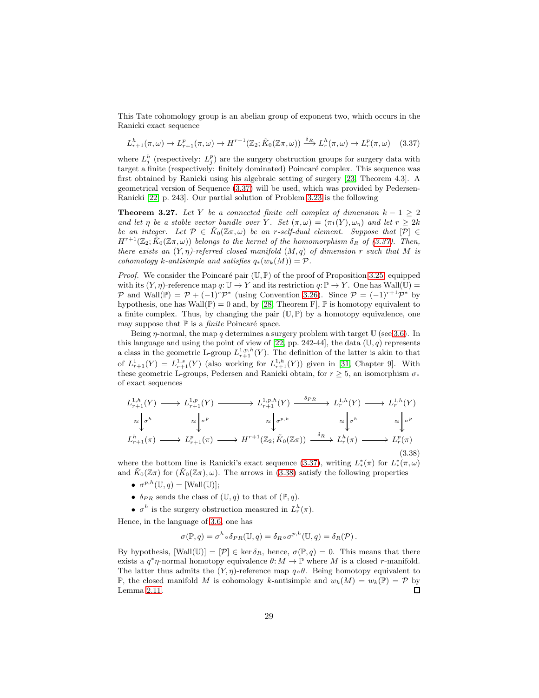This Tate cohomology group is an abelian group of exponent two, which occurs in the Ranicki exact sequence

<span id="page-28-0"></span>
$$
L_{r+1}^h(\pi,\omega) \to L_{r+1}^p(\pi,\omega) \to H^{r+1}(\mathbb{Z}_2; \tilde{K}_0(\mathbb{Z}\pi,\omega)) \xrightarrow{\delta_R} L_r^h(\pi,\omega) \to L_r^p(\pi,\omega) \quad (3.37)
$$

where  $L_j^h$  (respectively:  $L_j^p$ ) are the surgery obstruction groups for surgery data with target a finite (respectively: finitely dominated) Poincaré complex. This sequence was first obtained by Ranicki using his algebraic setting of surgery [\[23,](#page-40-15) Theorem 4.3]. A geometrical version of Sequence [\(3.37\)](#page-28-0) will be used, which was provided by Pedersen-Ranicki [\[22,](#page-40-1) p. 243]. Our partial solution of Problem [3.23](#page-23-4) is the following

<span id="page-28-1"></span>**Theorem 3.27.** Let Y be a connected finite cell complex of dimension  $k - 1 \geq 2$ and let  $\eta$  be a stable vector bundle over Y. Set  $(\pi,\omega)=(\pi_1(Y),\omega_\eta)$  and let  $r\geq 2k$ be an integer. Let  $\mathcal{P} \in \tilde{K}_0(\mathbb{Z}\pi,\omega)$  be an r-self-dual element. Suppose that  $[\mathcal{P}] \in$  $H^{r+1}(\mathbb{Z}_2; \tilde{K}_0(\mathbb{Z}_m, \omega))$  belongs to the kernel of the homomorphism  $\delta_R$  of [\(3.37\)](#page-28-0). Then, there exists an  $(Y, \eta)$ -referred closed manifold  $(M, q)$  of dimension r such that M is cohomology k-antisimple and satisfies  $q_*(w_k(M)) = \mathcal{P}$ .

*Proof.* We consider the Poincaré pair  $(\mathbb{U}, \mathbb{P})$  of the proof of Proposition [3.25,](#page-25-0) equipped with its  $(Y, \eta)$ -reference map  $q: \mathbb{U} \to Y$  and its restriction  $q: \mathbb{P} \to Y$ . One has Wall(U) = P and Wall( $\mathbb{P}$ ) =  $\mathcal{P}$  +  $(-1)^r \mathcal{P}^*$  (using Convention [3.26\)](#page-25-1). Since  $\mathcal{P} = (-1)^{r+1} \mathcal{P}^*$  by hypothesis, one has Wall( $\mathbb{P}$ ) = 0 and, by [\[28,](#page-41-1) Theorem F],  $\mathbb{P}$  is homotopy equivalent to a finite complex. Thus, by changing the pair  $(\mathbb{U}, \mathbb{P})$  by a homotopy equivalence, one may suppose that  $\mathbb P$  is a *finite* Poincaré space.

Being  $\eta$ -normal, the map q determines a surgery problem with target U (see [3.6\)](#page-16-1). In this language and using the point of view of [\[22,](#page-40-1) pp. 242-44], the data  $(U, q)$  represents a class in the geometric L-group  $L_{r+1}^{1,p,h}(Y)$ . The definition of the latter is akin to that of  $L_{r+1}^1(Y) = L_{r+1}^{1,s}(Y)$  (also working for  $L_{r+1}^{1,h}(Y)$ ) given in [\[31,](#page-41-6) Chapter 9]. With these geometric L-groups, Pedersen and Ranicki obtain, for  $r \geq 5$ , an isomorphism  $\sigma_*$ of exact sequences

<span id="page-28-2"></span>
$$
L_{r+1}^{1,h}(Y) \longrightarrow L_{r+1}^{1,p}(Y) \longrightarrow L_{r+1}^{1,p,h}(Y) \longrightarrow L_r^{1,h}(Y) \longrightarrow L_r^{1,h}(Y)
$$
  
\n
$$
\approx \downarrow \sigma^p \approx \downarrow \sigma^{p,h} \approx \downarrow \sigma^{p,h} \approx \downarrow \sigma^h \approx \downarrow \sigma^h
$$
  
\n
$$
L_{r+1}^h(\pi) \longrightarrow L_{r+1}^p(\pi) \longrightarrow H^{r+1}(\mathbb{Z}_2; \tilde{K}_0(\mathbb{Z}\pi)) \xrightarrow{\delta_R} L_r^h(\pi) \longrightarrow L_r^p(\pi)
$$
  
\n(3.38)

where the bottom line is Ranicki's exact sequence [\(3.37\)](#page-28-0), writing  $L^*(\pi)$  for  $L^*(\pi,\omega)$ and  $K_0(\mathbb{Z}\pi)$  for  $(K_0(\mathbb{Z}\pi), \omega)$ . The arrows in [\(3.38\)](#page-28-2) satisfy the following properties

- $\sigma^{p,h}(\mathbb{U},q) = [\text{Wall}(\mathbb{U})];$
- $\delta_{PR}$  sends the class of  $(\mathbb{U}, q)$  to that of  $(\mathbb{P}, q)$ .
- $\sigma^h$  is the surgery obstruction measured in  $L_r^h(\pi)$ .

Hence, in the language of [3.6,](#page-16-1) one has

$$
\sigma(\mathbb{P},q) = \sigma^h \circ \delta_{PR}(\mathbb{U},q) = \delta_R \circ \sigma^{p,h}(\mathbb{U},q) = \delta_R(\mathcal{P}).
$$

By hypothesis,  $[Wall(\mathbb{U})] = [\mathcal{P}] \in \text{ker } \delta_R$ , hence,  $\sigma(\mathbb{P}, q) = 0$ . This means that there exists a  $q^*\eta$ -normal homotopy equivalence  $\theta: M \to \mathbb{P}$  where M is a closed r-manifold. The latter thus admits the  $(Y, \eta)$ -reference map  $q \circ \theta$ . Being homotopy equivalent to **P**, the closed manifold M is cohomology k-antisimple and  $w_k(M) = w_k(\mathbb{P}) = \mathcal{P}$  by Lemma [2.11.](#page-6-3)  $\Box$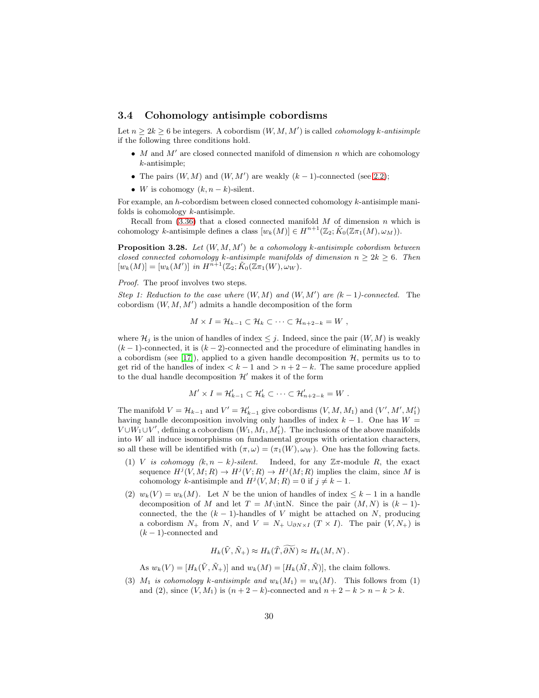### <span id="page-29-0"></span>3.4 Cohomology antisimple cobordisms

Let  $n \geq 2k \geq 6$  be integers. A cobordism  $(W, M, M')$  is called *cohomology k-antisimple* if the following three conditions hold.

- $\bullet$  M and  $M'$  are closed connected manifold of dimension n which are cohomology k-antisimple;
- The pairs  $(W, M)$  and  $(W, M')$  are weakly  $(k-1)$ -connected (see [2.2\)](#page-2-2);
- W is cohomogy  $(k, n-k)$ -silent.

For example, an h-cobordism between closed connected cohomology k-antisimple manifolds is cohomology k-antisimple.

Recall from  $(3.36)$  that a closed connected manifold M of dimension n which is cohomology k-antisimple defines a class  $[w_k(M)] \in H^{n+1}(\mathbb{Z}_2; \tilde{K}_0(\mathbb{Z}_{\pi_1}(M), \omega_M)).$ 

<span id="page-29-1"></span>**Proposition 3.28.** Let  $(W, M, M')$  be a cohomology k-antisimple cobordism between closed connected cohomology k-antisimple manifolds of dimension  $n \geq 2k \geq 6$ . Then  $[w_k(M)] = [w_k(M')]$  in  $H^{n+1}(\mathbb{Z}_2; \tilde{K}_0(\mathbb{Z}_{\pi_1}(W), \omega_W)).$ 

Proof. The proof involves two steps.

Step 1: Reduction to the case where  $(W, M)$  and  $(W, M')$  are  $(k-1)$ -connected. The cobordism  $(W, M, M')$  admits a handle decomposition of the form

$$
M \times I = \mathcal{H}_{k-1} \subset \mathcal{H}_k \subset \cdots \subset \mathcal{H}_{n+2-k} = W ,
$$

where  $\mathcal{H}_j$  is the union of handles of index  $\leq j$ . Indeed, since the pair  $(W, M)$  is weakly  $(k-1)$ -connected, it is  $(k-2)$ -connected and the procedure of eliminating handles in a cobordism (see [\[17\]](#page-40-12)), applied to a given handle decomposition  $H$ , permits us to to get rid of the handles of index  $\lt k - 1$  and  $\gt n + 2 - k$ . The same procedure applied to the dual handle decomposition  $\mathcal{H}'$  makes it of the form

$$
M' \times I = \mathcal{H}'_{k-1} \subset \mathcal{H}'_k \subset \cdots \subset \mathcal{H}'_{n+2-k} = W.
$$

The manifold  $V = H_{k-1}$  and  $V' = H'_{k-1}$  give cobordisms  $(V, M, M_1)$  and  $(V', M', M'_1)$ having handle decomposition involving only handles of index  $k - 1$ . One has  $W =$  $V \cup W_1 \cup V'$ , defining a cobordism  $(W_1, M_1, M'_1)$ . The inclusions of the above manifolds into W all induce isomorphisms on fundamental groups with orientation characters, so all these will be identified with  $(\pi, \omega) = (\pi_1(W), \omega_W)$ . One has the following facts.

- (1) V is cohomogy  $(k, n k)$ -silent. Indeed, for any  $\mathbb{Z}\pi$ -module R, the exact sequence  $H^j(V, M; R) \to H^j(V; R) \to H^j(M; R)$  implies the claim, since M is cohomology k-antisimple and  $H^j(V, M; R) = 0$  if  $j \neq k - 1$ .
- (2)  $w_k(V) = w_k(M)$ . Let N be the union of handles of index  $\leq k-1$  in a handle decomposition of M and let  $T = M\in N$ . Since the pair  $(M, N)$  is  $(k - 1)$ connected, the the  $(k - 1)$ -handles of V might be attached on N, producing a cobordism  $N_+$  from N, and  $V = N_+ \cup_{\partial N \times I} (T \times I)$ . The pair  $(V, N_+)$  is  $(k-1)$ -connected and

$$
H_k(\tilde{V}, \tilde{N}_+) \approx H_k(\tilde{T}, \widetilde{\partial N}) \approx H_k(M, N) .
$$

As  $w_k(V) = [H_k(\tilde{V}, \tilde{N}_+)]$  and  $w_k(M) = [H_k(\tilde{M}, \tilde{N})]$ , the claim follows.

(3)  $M_1$  is cohomology k-antisimple and  $w_k(M_1) = w_k(M)$ . This follows from (1) and (2), since  $(V, M_1)$  is  $(n + 2 - k)$ -connected and  $n + 2 - k > n - k > k$ .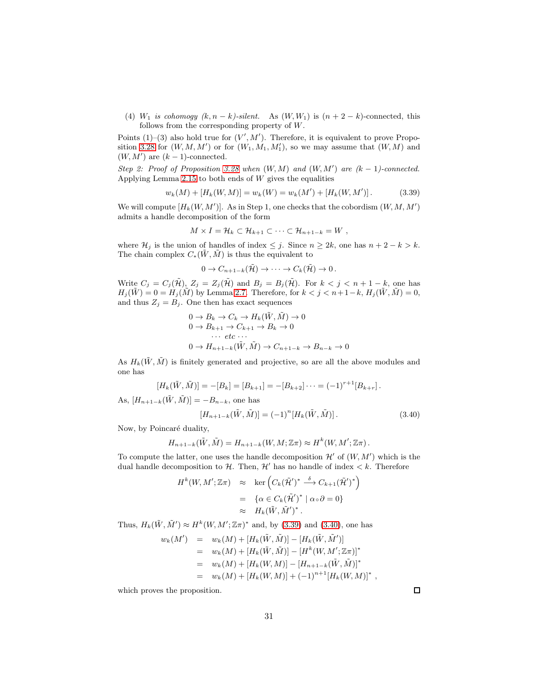(4)  $W_1$  is cohomogy  $(k, n - k)$ -silent. As  $(W, W_1)$  is  $(n + 2 - k)$ -connected, this follows from the corresponding property of W.

Points  $(1)$ – $(3)$  also hold true for  $(V', M')$ . Therefore, it is equivalent to prove Propo-sition [3.28](#page-29-1) for  $(W, M, M')$  or for  $(W_1, M_1, M'_1)$ , so we may assume that  $(W, M)$  and  $(W, M')$  are  $(k-1)$ -connected.

Step 2: Proof of Proposition [3.28](#page-29-1) when  $(W, M)$  and  $(W, M')$  are  $(k-1)$ -connected. Applying Lemma [2.15](#page-8-3) to both ends of  $W$  gives the equalities

<span id="page-30-0"></span>
$$
w_k(M) + [H_k(W, M)] = w_k(W) = w_k(M') + [H_k(W, M')].
$$
\n(3.39)

We will compute  $[H_k(W, M')]$ . As in Step 1, one checks that the cobordism  $(W, M, M')$ admits a handle decomposition of the form

$$
M \times I = \mathcal{H}_k \subset \mathcal{H}_{k+1} \subset \cdots \subset \mathcal{H}_{n+1-k} = W ,
$$

where  $\mathcal{H}_j$  is the union of handles of index  $\leq j$ . Since  $n \geq 2k$ , one has  $n + 2 - k > k$ . The chain complex  $C_*(\tilde{W}, \tilde{M})$  is thus the equivalent to

$$
0 \to C_{n+1-k}(\tilde{\mathcal{H}}) \to \cdots \to C_k(\tilde{\mathcal{H}}) \to 0.
$$

Write  $C_j = C_j(\tilde{\mathcal{H}}), Z_j = Z_j(\tilde{\mathcal{H}})$  and  $B_j = B_j(\tilde{\mathcal{H}})$ . For  $k < j < n+1-k$ , one has  $H_j(\tilde{W}) = 0 = H_j(\tilde{M})$  by Lemma [2.7.](#page-4-2) Therefore, for  $k < j < n+1-k$ ,  $H_j(\tilde{W}, \tilde{M}) = 0$ , and thus  $Z_j = B_j$ . One then has exact sequences

$$
0 \to B_k \to C_k \to H_k(\tilde{W}, \tilde{M}) \to 0
$$
  
\n
$$
0 \to B_{k+1} \to C_{k+1} \to B_k \to 0
$$
  
\n
$$
\cdots etc \cdots
$$
  
\n
$$
0 \to H_{n+1-k}(\tilde{W}, \tilde{M}) \to C_{n+1-k} \to B_{n-k} \to 0
$$

As  $H_k(\tilde{W}, \tilde{M})$  is finitely generated and projective, so are all the above modules and one has

$$
[H_k(\tilde{W}, \tilde{M})] = -[B_k] = [B_{k+1}] = -[B_{k+2}] \cdots = (-1)^{r+1} [B_{k+r}].
$$

As,  $[H_{n+1-k}(\tilde{W}, \tilde{M})] = -B_{n-k}$ , one has

<span id="page-30-1"></span>
$$
[H_{n+1-k}(\tilde{W}, \tilde{M})] = (-1)^n [H_k(\tilde{W}, \tilde{M})]. \tag{3.40}
$$

Now, by Poincaré duality,

$$
H_{n+1-k}(\tilde{W},\tilde{M})=H_{n+1-k}(W,M;\mathbb{Z}\pi)\approx H^k(W,M';\mathbb{Z}\pi).
$$

To compute the latter, one uses the handle decomposition  $\mathcal{H}'$  of  $(W, M')$  which is the dual handle decomposition to H. Then,  $\mathcal{H}'$  has no handle of index  $\lt k$ . Therefore

$$
H^{k}(W, M'; \mathbb{Z}\pi) \approx \ker \left( C_{k} (\tilde{\mathcal{H}}')^{*} \stackrel{\delta}{\longrightarrow} C_{k+1} (\tilde{\mathcal{H}}')^{*} \right)
$$
  

$$
= \{ \alpha \in C_{k} (\tilde{\mathcal{H}}')^{*} \mid \alpha \circ \partial = 0 \}
$$
  

$$
\approx H_{k} (\tilde{W}, \tilde{M}')^{*}.
$$

Thus,  $H_k(\tilde{W}, \tilde{M}') \approx H^k(W, M'; \mathbb{Z}\pi)^*$  and, by [\(3.39\)](#page-30-0) and [\(3.40\)](#page-30-1), one has

$$
w_k(M') = w_k(M) + [H_k(\tilde{W}, \tilde{M})] - [H_k(\tilde{W}, \tilde{M}')] \n= w_k(M) + [H_k(\tilde{W}, \tilde{M})] - [H^k(W, M'; \mathbb{Z}\pi)]^* \n= w_k(M) + [H_k(W, M)] - [H_{n+1-k}(\tilde{W}, \tilde{M})]^* \n= w_k(M) + [H_k(W, M)] + (-1)^{n+1}[H_k(W, M)]^*,
$$

which proves the proposition.

 $\Box$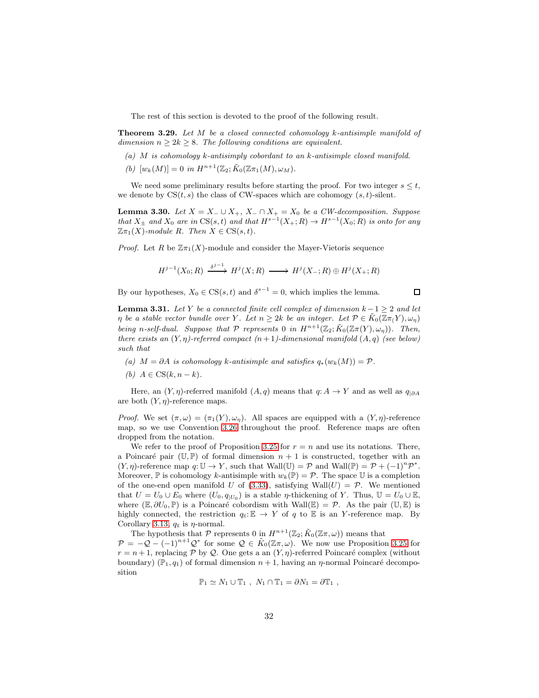The rest of this section is devoted to the proof of the following result.

<span id="page-31-2"></span>**Theorem 3.29.** Let  $M$  be a closed connected cohomology  $k$ -antisimple manifold of dimension  $n \geq 2k \geq 8$ . The following conditions are equivalent.

- (a) M is cohomology k-antisimply cobordant to an k-antisimple closed manifold.
- (b)  $[w_k(M)] = 0$  in  $H^{n+1}(\mathbb{Z}_2; \tilde{K}_0(\mathbb{Z}_{\pi_1}(M), \omega_M)).$

We need some preliminary results before starting the proof. For two integer  $s \leq t$ , we denote by  $CS(t, s)$  the class of CW-spaces which are cohomogy  $(s, t)$ -silent.

<span id="page-31-0"></span>**Lemma 3.30.** Let  $X = X_-\cup X_+$ ,  $X_-\cap X_+ = X_0$  be a CW-decomposition. Suppose that  $X_{\pm}$  and  $X_0$  are in  $\text{CS}(s,t)$  and that  $H^{s-1}(X_+;R) \to H^{s-1}(X_0;R)$  is onto for any  $\mathbb{Z}\pi_1(X)$ -module R. Then  $X \in CS(s,t)$ .

*Proof.* Let R be  $\mathbb{Z}_{\pi_1}(X)$ -module and consider the Mayer-Vietoris sequence

$$
H^{j-1}(X_0;R) \xrightarrow{\delta^{j-1}} H^j(X;R) \longrightarrow H^j(X_-;R) \oplus H^j(X_+;R)
$$

 $\Box$ 

By our hypotheses,  $X_0 \in CS(s, t)$  and  $\delta^{s-1} = 0$ , which implies the lemma.

<span id="page-31-1"></span>**Lemma 3.31.** Let Y be a connected finite cell complex of dimension  $k - 1 \geq 2$  and let  $\eta$  be a stable vector bundle over Y. Let  $n \geq 2k$  be an integer. Let  $\mathcal{P} \in \tilde{K}_0(\mathbb{Z}(\pi_1 Y), \omega_n)$ being n-self-dual. Suppose that  $P$  represents 0 in  $H^{n+1}(\mathbb{Z}_2; \tilde{K}_0(\mathbb{Z}_T(Y), \omega_\eta))$ . Then, there exists an  $(Y, \eta)$ -referred compact  $(n + 1)$ -dimensional manifold  $(A, q)$  (see below) such that

- (a)  $M = \partial A$  is cohomology k-antisimple and satisfies  $q_*(w_k(M)) = \mathcal{P}$ .
- (b)  $A \in CS(k, n-k)$ .

Here, an  $(Y, \eta)$ -referred manifold  $(A, q)$  means that  $q: A \to Y$  and as well as  $q_{|\partial A}$ are both  $(Y, \eta)$ -reference maps.

*Proof.* We set  $(\pi, \omega) = (\pi_1(Y), \omega_n)$ . All spaces are equipped with a  $(Y, \eta)$ -reference map, so we use Convention [3.26](#page-25-1) throughout the proof. Reference maps are often dropped from the notation.

We refer to the proof of Proposition [3.25](#page-25-0) for  $r = n$  and use its notations. There, a Poincaré pair (U, P) of formal dimension  $n + 1$  is constructed, together with an  $(Y, \eta)$ -reference map  $q: \mathbb{U} \to Y$ , such that  $\text{Wall}(\mathbb{U}) = \mathcal{P}$  and  $\text{Wall}(\mathbb{P}) = \mathcal{P} + (-1)^n \mathcal{P}^*$ . Moreover,  $\mathbb P$  is cohomology k-antisimple with  $w_k(\mathbb P) = \mathcal P$ . The space U is a completion of the one-end open manifold U of [\(3.33\)](#page-25-4), satisfying Wall $(U) = \mathcal{P}$ . We mentioned that  $U = U_0 \cup E_0$  where  $(U_0, q_{|U_0})$  is a stable *η*-thickening of Y. Thus,  $\mathbb{U} = U_0 \cup \mathbb{E}$ , where  $(\mathbb{E}, \partial U_0, \mathbb{P})$  is a Poincaré cobordism with Wall $(\mathbb{E}) = \mathcal{P}$ . As the pair  $(\mathbb{U}, \mathbb{E})$  is highly connected, the restriction  $q_{\mathbb{E}}:\mathbb{E} \to Y$  of q to  $\mathbb E$  is an Y-reference map. By Corollary [3.13,](#page-19-3)  $q_{\mathbb{E}}$  is  $\eta$ -normal.

The hypothesis that  $P$  represents 0 in  $H^{n+1}(\mathbb{Z}_2; \tilde{K}_0(\mathbb{Z}_n, \omega))$  means that  $\mathcal{P} = -\mathcal{Q} - (-1)^{n+1}\mathcal{Q}^*$  for some  $\mathcal{Q} \in \tilde{K}_0(\mathbb{Z}\pi,\omega)$ . We now use Proposition [3.25](#page-25-0) for  $r = n + 1$ , replacing P by Q. One gets a an  $(Y, \eta)$ -referred Poincaré complex (without boundary)  $(\mathbb{P}_1, q_1)$  of formal dimension  $n + 1$ , having an  $\eta$ -normal Poincaré decomposition

$$
\mathbb{P}_1 \simeq N_1 \cup \mathbb{T}_1 , N_1 \cap \mathbb{T}_1 = \partial N_1 = \partial \mathbb{T}_1 ,
$$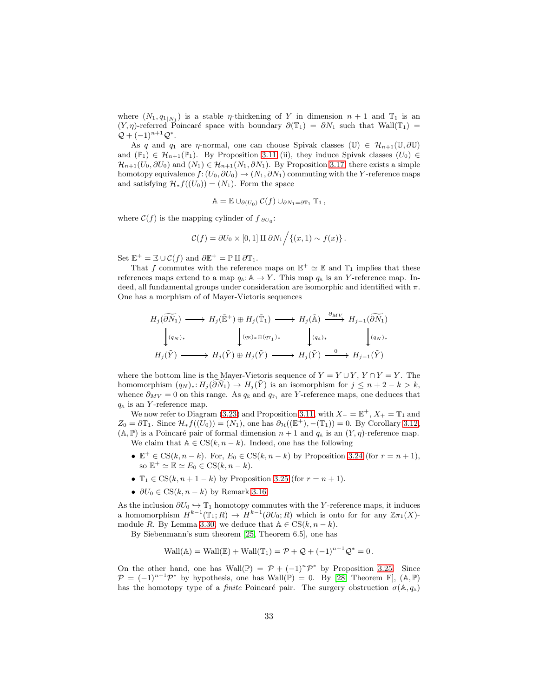where  $(N_1, q_{1|N_1})$  is a stable *η*-thickening of Y in dimension  $n + 1$  and  $\mathbb{T}_1$  is an  $(Y, \eta)$ -referred Poincaré space with boundary  $\partial(\mathbb{T}_1) = \partial N_1$  such that Wall $(\mathbb{T}_1) =$  $Q + (-1)^{n+1}Q^*$ .

As q and  $q_1$  are  $\eta$ -normal, one can choose Spivak classes (U)  $\in \mathcal{H}_{n+1}(\mathbb{U}, \partial \mathbb{U})$ and  $(\mathbb{P}_1) \in \mathcal{H}_{n+1}(\mathbb{P}_1)$ . By Proposition [3.11](#page-18-3) (ii), they induce Spivak classes  $(U_0) \in$  $\mathcal{H}_{n+1}(U_0, \partial U_0)$  and  $(N_1) \in \mathcal{H}_{n+1}(N_1, \partial N_1)$ . By Proposition [3.17,](#page-20-0) there exists a simple homotopy equivalence  $f: (U_0, \partial U_0) \to (N_1, \partial N_1)$  commuting with the Y-reference maps and satisfying  $\mathcal{H}_* f((U_0)) = (N_1)$ . Form the space

$$
\mathbb{A} = \mathbb{E} \cup_{\partial(U_0)} C(f) \cup_{\partial N_1 = \partial \mathbb{T}_1} \mathbb{T}_1,
$$

where  $\mathcal{C}(f)$  is the mapping cylinder of  $f_{|\partial U_0}$ :

$$
\mathcal{C}(f) = \partial U_0 \times [0,1] \amalg \partial N_1 / \{(x,1) \sim f(x)\}.
$$

Set  $\mathbb{E}^+ = \mathbb{E} \cup \mathcal{C}(f)$  and  $\partial \mathbb{E}^+ = \mathbb{P} \amalg \partial \mathbb{T}_1$ .

That f commutes with the reference maps on  $\mathbb{E}^+ \simeq \mathbb{E}$  and  $\mathbb{T}_1$  implies that these references maps extend to a map  $q_{\mathbb{A}}: \mathbb{A} \to Y$ . This map  $q_{\mathbb{A}}$  is an Y-reference map. Indeed, all fundamental groups under consideration are isomorphic and identified with  $\pi$ . One has a morphism of of Mayer-Vietoris sequences

$$
H_j(\widetilde{\partial N_1}) \longrightarrow H_j(\widetilde{\mathbb{E}}^+) \oplus H_j(\widetilde{\mathbb{T}}_1) \longrightarrow H_j(\widetilde{\mathbb{A}}) \xrightarrow{\partial_{MV}} H_{j-1}(\widetilde{\partial N_1})
$$
  

$$
\downarrow_{(q_N)_*}
$$
  

$$
H_j(\widetilde{Y}) \longrightarrow H_j(\widetilde{Y}) \oplus H_j(\widetilde{Y}) \longrightarrow H_j(\widetilde{Y}) \longrightarrow H_j(\widetilde{Y}) \xrightarrow{0} H_{j-1}(\widetilde{Y})
$$

where the bottom line is the Mayer-Vietoris sequence of  $Y = Y \cup Y$ ,  $Y \cap Y = Y$ . The homomorphism  $(q_N)_* : H_j(\partial \overline{N}_1) \to H_j(\overline{Y})$  is an isomorphism for  $j \leq n+2-k > k$ , whence  $\partial_{MV} = 0$  on this range. As  $q_{\mathbb{E}}$  and  $q_{\mathbb{F}_1}$  are Y-reference maps, one deduces that  $q_{\mathbb{A}}$  is an Y-reference map.

We now refer to Diagram [\(3.23\)](#page-18-2) and Proposition [3.11,](#page-18-3) with  $X_-=\mathbb{E}^+, X_+=\mathbb{T}_1$  and  $Z_0 = \partial \mathbb{T}_1$ . Since  $\mathcal{H}_* f((U_0)) = (N_1)$ , one has  $\partial_{\mathcal{H}}((\mathbb{E}^+), -(\mathbb{T}_1)) = 0$ . By Corollary [3.12,](#page-18-4)  $(A, \mathbb{P})$  is a Poincaré pair of formal dimension  $n + 1$  and  $q_A$  is an  $(Y, \eta)$ -reference map. We claim that  $A \in CS(k, n - k)$ . Indeed, one has the following

- $\mathbb{E}^+ \in \text{CS}(k, n-k)$ . For,  $E_0 \in \text{CS}(k, n-k)$  by Proposition [3.24](#page-23-6) (for  $r = n+1$ ), so  $\mathbb{E}^+ \simeq \mathbb{E} \simeq E_0 \in \text{CS}(k, n-k).$
- $\mathbb{T}_1 \in \text{CS}(k, n+1-k)$  by Proposition [3.25](#page-25-0) (for  $r = n+1$ ).
- $\partial U_0 \in \mathcal{CS}(k, n-k)$  by Remark [3.16.](#page-19-0)

As the inclusion  $\partial U_0 \hookrightarrow \mathbb{T}_1$  homotopy commutes with the Y-reference maps, it induces a homomorphism  $H^{k-1}(\mathbb{T}_1;R) \to H^{k-1}(\partial U_0;R)$  which is onto for for any  $\mathbb{Z}\pi_1(X)$ -module R. By Lemma [3.30,](#page-31-0) we deduce that  $A \in CS(k, n - k)$ .

By Siebenmann's sum theorem [\[25,](#page-40-8) Theorem 6.5], one has

$$
\text{Wall}(\mathbb{A}) = \text{Wall}(\mathbb{E}) + \text{Wall}(\mathbb{T}_1) = \mathcal{P} + \mathcal{Q} + (-1)^{n+1} \mathcal{Q}^* = 0.
$$

On the other hand, one has Wall(P) =  $\mathcal{P} + (-1)^n \mathcal{P}^*$  by Proposition [3.25.](#page-25-0) Since  $\mathcal{P} = (-1)^{n+1} \mathcal{P}^*$  by hypothesis, one has Wall(P) = 0. By [\[28,](#page-41-1) Theorem F], (A, P) has the homotopy type of a *finite* Poincaré pair. The surgery obstruction  $\sigma(\mathbb{A}, q_{\mathbb{A}})$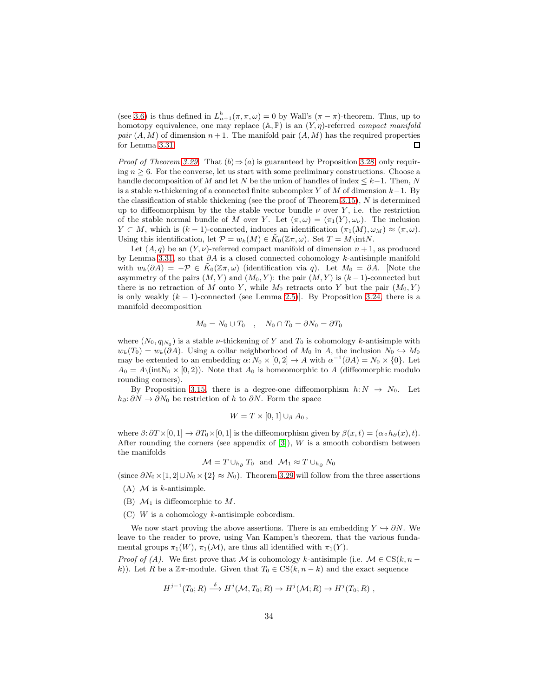(see [3.6\)](#page-16-1) is thus defined in  $L_{n+1}^h(\pi, \pi, \omega) = 0$  by Wall's  $(\pi - \pi)$ -theorem. Thus, up to homotopy equivalence, one may replace  $(A, P)$  is an  $(Y, \eta)$ -referred compact manifold pair  $(A, M)$  of dimension  $n + 1$ . The manifold pair  $(A, M)$  has the required properties for Lemma [3.31.](#page-31-1)  $\Box$ 

*Proof of Theorem [3.29.](#page-31-2)* That  $(b) \Rightarrow (a)$  is guaranteed by Proposition [3.28,](#page-29-1) only requiring  $n \geq 6$ . For the converse, let us start with some preliminary constructions. Choose a handle decomposition of M and let N be the union of handles of index  $\leq k-1$ . Then, N is a stable n-thickening of a connected finite subcomplex Y of M of dimension  $k-1$ . By the classification of stable thickening (see the proof of Theorem [3.15\)](#page-19-1),  $N$  is determined up to diffeomorphism by the the stable vector bundle  $\nu$  over Y, i.e. the restriction of the stable normal bundle of M over Y. Let  $(\pi, \omega) = (\pi_1(Y), \omega_\nu)$ . The inclusion  $Y \subset M$ , which is  $(k-1)$ -connected, induces an identification  $(\pi_1(M), \omega_M) \approx (\pi, \omega)$ . Using this identification, let  $\mathcal{P} = w_k(M) \in K_0(\mathbb{Z}\pi,\omega)$ . Set  $T = M\infty$ .

Let  $(A, q)$  be an  $(Y, \nu)$ -referred compact manifold of dimension  $n + 1$ , as produced by Lemma [3.31,](#page-31-1) so that  $\partial A$  is a closed connected cohomology k-antisimple manifold with  $w_k(\partial A) = -\mathcal{P} \in \tilde{K}_0(\mathbb{Z}_m, \omega)$  (identification via q). Let  $M_0 = \partial A$ . [Note the asymmetry of the pairs  $(M, Y)$  and  $(M_0, Y)$ : the pair  $(M, Y)$  is  $(k-1)$ -connected but there is no retraction of M onto Y, while  $M_0$  retracts onto Y but the pair  $(M_0, Y)$ is only weakly  $(k - 1)$ -connected (see Lemma [2.5\)](#page-3-2)]. By Proposition [3.24,](#page-23-6) there is a manifold decomposition

$$
M_0 = N_0 \cup T_0 \quad , \quad N_0 \cap T_0 = \partial N_0 = \partial T_0
$$

where  $(N_0, q_{|N_0})$  is a stable *v*-thickening of Y and  $T_0$  is cohomology k-antisimple with  $w_k(T_0) = w_k(\partial A)$ . Using a collar neighborhood of  $M_0$  in A, the inclusion  $N_0 \hookrightarrow M_0$ may be extended to an embedding  $\alpha: N_0 \times [0,2] \to A$  with  $\alpha^{-1}(\partial A) = N_0 \times \{0\}$ . Let  $A_0 = A\langle \text{intN}_0 \times [0, 2) \rangle$ . Note that  $A_0$  is homeomorphic to A (diffeomorphic modulo rounding corners).

By Proposition [3.15,](#page-19-1) there is a degree-one diffeomorphism  $h: N \to N_0$ . Let  $h_{\partial}$ :  $\partial N \to \partial N_0$  be restriction of h to  $\partial N$ . Form the space

$$
W = T \times [0,1] \cup_{\beta} A_0,
$$

where  $\beta$ :  $\partial T \times [0, 1] \rightarrow \partial T_0 \times [0, 1]$  is the diffeomorphism given by  $\beta(x, t) = (\alpha \circ h_{\partial}(x), t)$ . After rounding the corners (see appendix of  $[3]$ ),  $W$  is a smooth cobordism between the manifolds

$$
\mathcal{M} = T \cup_{h_{\partial}} T_0 \text{ and } \mathcal{M}_1 \approx T \cup_{h_{\partial}} N_0
$$

(since  $\partial N_0 \times [1, 2] \cup N_0 \times \{2\} \approx N_0$ ). Theorem [3.29](#page-31-2) will follow from the three assertions

- (A)  $\mathcal M$  is *k*-antisimple.
- (B)  $\mathcal{M}_1$  is diffeomorphic to M.
- $(C)$  W is a cohomology k-antisimple cobordism.

We now start proving the above assertions. There is an embedding  $Y \hookrightarrow \partial N$ . We leave to the reader to prove, using Van Kampen's theorem, that the various fundamental groups  $\pi_1(W)$ ,  $\pi_1(\mathcal{M})$ , are thus all identified with  $\pi_1(Y)$ .

*Proof of (A).* We first prove that M is cohomology k-antisimple (i.e.  $\mathcal{M} \in \text{CS}(k, n - 1)$ k)). Let R be a  $\mathbb{Z}\pi$ -module. Given that  $T_0 \in \text{CS}(k, n-k)$  and the exact sequence

$$
H^{j-1}(T_0;R) \stackrel{\delta}{\longrightarrow} H^j(\mathcal{M},T_0;R) \to H^j(\mathcal{M};R) \to H^j(T_0;R) ,
$$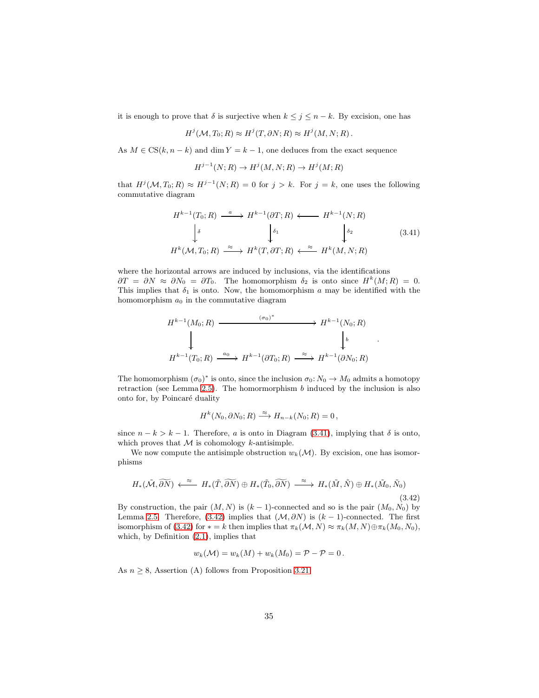it is enough to prove that  $\delta$  is surjective when  $k \leq j \leq n - k$ . By excision, one has

$$
H^j(\mathcal{M}, T_0; R) \approx H^j(T, \partial N; R) \approx H^j(M, N; R).
$$

As  $M \in CS(k, n - k)$  and dim  $Y = k - 1$ , one deduces from the exact sequence

$$
H^{j-1}(N;R) \to H^j(M,N;R) \to H^j(M;R)
$$

that  $H^j(\mathcal{M}, T_0; R) \approx H^{j-1}(N; R) = 0$  for  $j > k$ . For  $j = k$ , one uses the following commutative diagram

<span id="page-34-0"></span>
$$
H^{k-1}(T_0;R) \xrightarrow{a} H^{k-1}(\partial T;R) \longleftarrow H^{k-1}(N;R)
$$
  

$$
\downarrow^{\delta} \qquad \qquad \downarrow^{\delta_1} \qquad \qquad \downarrow^{\delta_2} \qquad (3.41)
$$
  

$$
H^k(\mathcal{M}, T_0;R) \xrightarrow{\approx} H^k(T, \partial T;R) \longleftarrow^{\approx} H^k(M, N;R)
$$

.

where the horizontal arrows are induced by inclusions, via the identifications  $\partial T = \partial N \approx \partial N_0 = \partial T_0$ . The homomorphism  $\delta_2$  is onto since  $H^k(M;R) = 0$ . This implies that  $\delta_1$  is onto. Now, the homomorphism a may be identified with the homomorphism  $a_0$  in the commutative diagram

$$
H^{k-1}(M_0; R) \xrightarrow{(\sigma_0)^*} H^{k-1}(N_0; R)
$$
  
\n
$$
H^{k-1}(T_0; R) \xrightarrow{a_0} H^{k-1}(\partial T_0; R) \xrightarrow{\approx} H^{k-1}(\partial N_0; R)
$$

The homomorphism  $(\sigma_0)^*$  is onto, since the inclusion  $\sigma_0: N_0 \to M_0$  admits a homotopy retraction (see Lemma [2.5\)](#page-3-2). The homormorphism b induced by the inclusion is also onto for, by Poincaré duality

$$
H^k(N_0, \partial N_0; R) \xrightarrow{\approx} H_{n-k}(N_0; R) = 0,
$$

since  $n - k > k - 1$ . Therefore, a is onto in Diagram [\(3.41\)](#page-34-0), implying that  $\delta$  is onto, which proves that  $M$  is cohomology  $k$ -antisimple.

We now compute the antisimple obstruction  $w_k(\mathcal{M})$ . By excision, one has isomorphisms

<span id="page-34-1"></span>
$$
H_*(\tilde{\mathcal{M}}, \widetilde{\partial N}) \stackrel{\approx}{\longleftarrow} H_*(\tilde{T}, \widetilde{\partial N}) \oplus H_*(\tilde{T}_0, \widetilde{\partial N}) \stackrel{\approx}{\longrightarrow} H_*(\tilde{M}, \tilde{N}) \oplus H_*(\tilde{M}_0, \tilde{N}_0)
$$
\n(3.42)

By construction, the pair  $(M, N)$  is  $(k-1)$ -connected and so is the pair  $(M_0, N_0)$  by Lemma [2.5.](#page-3-2) Therefore, [\(3.42\)](#page-34-1) implies that  $(\mathcal{M}, \partial N)$  is  $(k-1)$ -connected. The first isomorphism of [\(3.42\)](#page-34-1) for  $* = k$  then implies that  $\pi_k(\mathcal{M}, N) \approx \pi_k(M, N) \oplus \pi_k(M_0, N_0)$ , which, by Definition [\(2.1\)](#page-5-2), implies that

$$
w_k(\mathcal{M}) = w_k(M) + w_k(M_0) = \mathcal{P} - \mathcal{P} = 0.
$$

As  $n \geq 8$ , Assertion (A) follows from Proposition [3.21.](#page-21-1)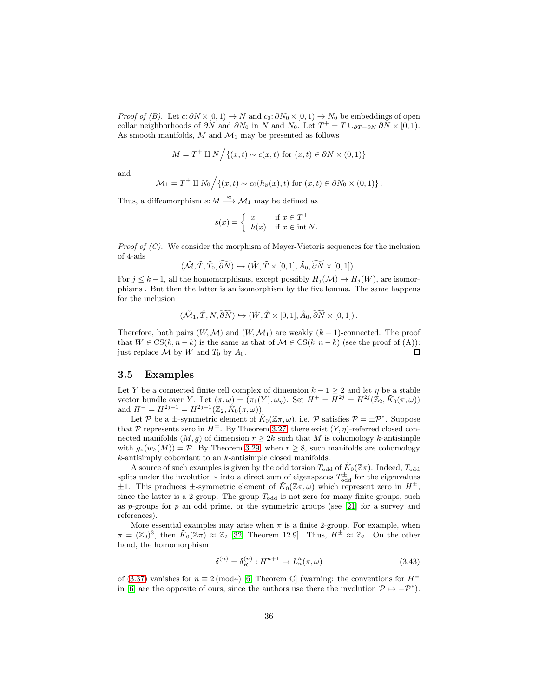*Proof of (B).* Let  $c: \partial N \times [0, 1) \to N$  and  $c_0: \partial N_0 \times [0, 1) \to N_0$  be embeddings of open collar neighborhoods of  $\partial N$  and  $\partial N_0$  in N and  $N_0$ . Let  $T^+ = T \cup_{\partial T = \partial N} \partial N \times [0, 1)$ . As smooth manifolds,  $M$  and  $\mathcal{M}_1$  may be presented as follows

$$
M = T^+ \amalg N \Big/ \{ (x, t) \sim c(x, t) \text{ for } (x, t) \in \partial N \times (0, 1) \}
$$

and

$$
\mathcal{M}_1 = T^+ \amalg N_0 / \{(x, t) \sim c_0(h_\partial(x), t) \text{ for } (x, t) \in \partial N_0 \times (0, 1) \}.
$$

Thus, a diffeomorphism  $s: M \stackrel{\approx}{\longrightarrow} \mathcal{M}_1$  may be defined as

$$
s(x) = \begin{cases} x & \text{if } x \in T^+ \\ h(x) & \text{if } x \in \text{int } N. \end{cases}
$$

*Proof of*  $(C)$ *.* We consider the morphism of Mayer-Vietoris sequences for the inclusion of 4-ads

$$
(\tilde{\mathcal{M}}, \tilde{T}, \tilde{T}_0, \widetilde{\partial N}) \hookrightarrow (\tilde{W}, \tilde{T} \times [0, 1], \tilde{A}_0, \widetilde{\partial N} \times [0, 1]).
$$

For  $j \leq k-1$ , all the homomorphisms, except possibly  $H_i(\mathcal{M}) \to H_i(W)$ , are isomorphisms . But then the latter is an isomorphism by the five lemma. The same happens for the inclusion

$$
(\tilde{\mathcal{M}}_1, \tilde{T}, N, \widetilde{\partial N}) \hookrightarrow (\tilde{W}, \tilde{T} \times [0, 1], \tilde{A}_0, \widetilde{\partial N} \times [0, 1]).
$$

Therefore, both pairs  $(W, \mathcal{M})$  and  $(W, \mathcal{M}_1)$  are weakly  $(k-1)$ -connected. The proof that  $W \in CS(k, n-k)$  is the same as that of  $\mathcal{M} \in CS(k, n-k)$  (see the proof of (A)): just replace  $\mathcal M$  by  $W$  and  $T_0$  by  $A_0$ .  $\Box$ 

#### <span id="page-35-0"></span>3.5 Examples

Let Y be a connected finite cell complex of dimension  $k - 1 \geq 2$  and let  $\eta$  be a stable vector bundle over Y. Let  $(\pi,\omega) = (\pi_1(Y), \omega_\eta)$ . Set  $H^+ = H^{2j} = H^{2j}(\mathbb{Z}_2, \tilde{K}_0(\pi,\omega))$ and  $H^- = H^{2j+1} = H^{2j+1}(\mathbb{Z}_2, \tilde{K}_0(\pi, \omega)).$ 

Let P be a  $\pm$ -symmetric element of  $\tilde{K}_0(\mathbb{Z}\pi,\omega)$ , i.e. P satisfies  $\mathcal{P} = \pm \mathcal{P}^*$ . Suppose that P represents zero in  $H^{\pm}$ . By Theorem [3.27,](#page-28-1) there exist  $(Y, \eta)$ -referred closed connected manifolds  $(M, g)$  of dimension  $r \geq 2k$  such that M is cohomology k-antisimple with  $g_*(w_k(M)) = \mathcal{P}$ . By Theorem [3.29,](#page-31-2) when  $r \geq 8$ , such manifolds are cohomology k-antisimply cobordant to an k-antisimple closed manifolds.

A source of such examples is given by the odd torsion  $T_{\text{odd}}$  of  $K_0(\mathbb{Z})$ . Indeed,  $T_{\text{odd}}$ splits under the involution  $*$  into a direct sum of eigenspaces  $T_{odd}^{\pm}$  for the eigenvalues  $\pm 1$ . This produces  $\pm$ -symmetric element of  $\tilde{K}_0(\mathbb{Z}\pi,\omega)$  which represent zero in  $H^{\pm}$ , since the latter is a 2-group. The group  $T_{\text{odd}}$  is not zero for many finite groups, such as p-groups for p an odd prime, or the symmetric groups (see  $[21]$  for a survey and references).

More essential examples may arise when  $\pi$  is a finite 2-group. For example, when  $\pi = (\mathbb{Z}_2)^3$ , then  $\tilde{K}_0(\mathbb{Z}_T) \approx \mathbb{Z}_2$  [\[32,](#page-41-7) Theorem 12.9]. Thus,  $H^{\pm} \approx \mathbb{Z}_2$ . On the other hand, the homomorphism

<span id="page-35-1"></span>
$$
\delta^{(n)} = \delta_R^{(n)} : H^{n+1} \to L_n^h(\pi, \omega) \tag{3.43}
$$

of [\(3.37\)](#page-28-0) vanishes for  $n \equiv 2 \pmod{4}$  [\[6,](#page-40-18) Theorem C] (warning: the conventions for  $H^{\pm}$ in [\[6\]](#page-40-18) are the opposite of ours, since the authors use there the involution  $\mathcal{P} \mapsto -\mathcal{P}^*$ .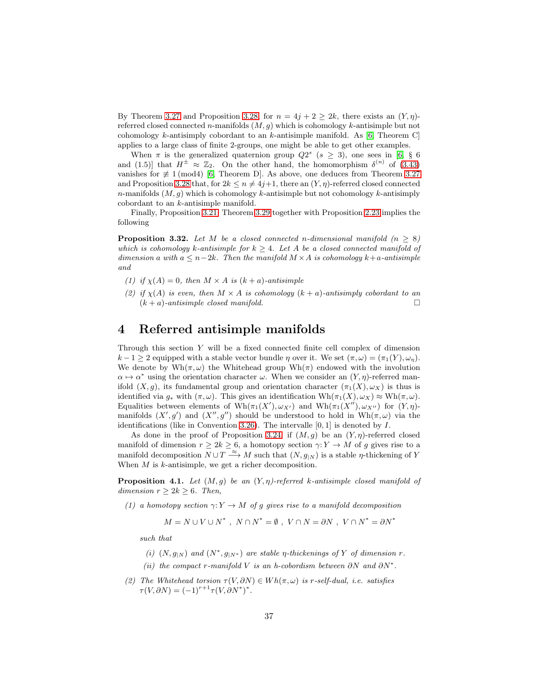By Theorem [3.27](#page-28-1) and Proposition [3.28,](#page-29-1) for  $n = 4j + 2 \ge 2k$ , there exists an  $(Y, \eta)$ referred closed connected n-manifolds  $(M, g)$  which is cohomology k-antisimple but not cohomology k-antisimply cobordant to an k-antisimple manifold. As  $[6,$  Theorem C applies to a large class of finite 2-groups, one might be able to get other examples.

When  $\pi$  is the generalized quaternion group  $Q2^s$  ( $s \geq 3$ ), one sees in [\[6,](#page-40-18) § 6] and (1.5)] that  $H^{\pm} \approx \mathbb{Z}_2$ . On the other hand, the homomorphism  $\delta^{(n)}$  of [\(3.43\)](#page-35-1) vanishes for  $\not\equiv$  1 (mod4) [\[6,](#page-40-18) Theorem D]. As above, one deduces from Theorem [3.27](#page-28-1) and Proposition [3.28](#page-29-1) that, for  $2k \le n \ne 4j+1$ , there an  $(Y, \eta)$ -referred closed connected n-manifolds  $(M, g)$  which is cohomology k-antisimple but not cohomology k-antisimply cobordant to an k-antisimple manifold.

Finally, Proposition [3.21,](#page-21-1) Theorem [3.29](#page-31-2) together with Proposition [2.23](#page-14-3) implies the following

<span id="page-36-1"></span>**Proposition 3.32.** Let M be a closed connected n-dimensional manifold  $(n > 8)$ which is cohomology k-antisimple for  $k \geq 4$ . Let A be a closed connected manifold of dimension a with  $a \leq n-2k$ . Then the manifold  $M \times A$  is cohomology  $k+a$ -antisimple and

- (1) if  $\chi(A) = 0$ , then  $M \times A$  is  $(k+a)$ -antisimple
- (2) if  $\chi(A)$  is even, then  $M \times A$  is cohomology  $(k+a)$ -antisimply cobordant to an  $(k + a)$ -antisimple closed manifold.

## <span id="page-36-0"></span>4 Referred antisimple manifolds

Through this section Y will be a fixed connected finite cell complex of dimension  $k-1 \geq 2$  equipped with a stable vector bundle  $\eta$  over it. We set  $(\pi, \omega) = (\pi_1(Y), \omega_n)$ . We denote by  $Wh(\pi,\omega)$  the Whitehead group  $Wh(\pi)$  endowed with the involution  $\alpha \mapsto \alpha^*$  using the orientation character  $\omega$ . When we consider an  $(Y, \eta)$ -referred manifold  $(X, g)$ , its fundamental group and orientation character  $(\pi_1(X), \omega_X)$  is thus is identified via  $g_*$  with  $(\pi, \omega)$ . This gives an identification  $Wh(\pi_1(X), \omega_X) \approx Wh(\pi, \omega)$ . Equalities between elements of  $Wh(\pi_1(X'), \omega_{X'})$  and  $Wh(\pi_1(X''), \omega_{X''})$  for  $(Y, \eta)$ manifolds  $(X', g')$  and  $(X'', g'')$  should be understood to hold in  $Wh(\pi, \omega)$  via the identifications (like in Convention [3.26\)](#page-25-1). The intervalle  $[0, 1]$  is denoted by  $I$ .

As done in the proof of Proposition [3.24,](#page-23-6) if  $(M, g)$  be an  $(Y, \eta)$ -referred closed manifold of dimension  $r \geq 2k \geq 6$ , a homotopy section  $\gamma: Y \to M$  of g gives rise to a manifold decomposition  $N \cup T \stackrel{\approx}{\longrightarrow} M$  such that  $(N, g_{\vert N})$  is a stable  $\eta$ -thickening of Y When  $M$  is  $k$ -antisimple, we get a richer decomposition.

<span id="page-36-2"></span>**Proposition 4.1.** Let  $(M, g)$  be an  $(Y, \eta)$ -referred k-antisimple closed manifold of dimension  $r \geq 2k \geq 6$ . Then,

(1) a homotopy section  $\gamma: Y \to M$  of g gives rise to a manifold decomposition

 $M = N \cup V \cup N^*$ ,  $N \cap N^* = \emptyset$ ,  $V \cap N = \partial N$ ,  $V \cap N^* = \partial N^*$ 

such that

- (i)  $(N, g_{|N})$  and  $(N^*, g_{|N^*})$  are stable  $\eta$ -thickenings of Y of dimension r.
- (ii) the compact r-manifold V is an h-cobordism between  $\partial N$  and  $\partial N^*$ .
- (2) The Whitehead torsion  $\tau(V, \partial N) \in Wh(\pi, \omega)$  is r-self-dual, i.e. satisfies  $\tau(V, \partial N) = (-1)^{r+1} \tau(V, \partial N^*)^*.$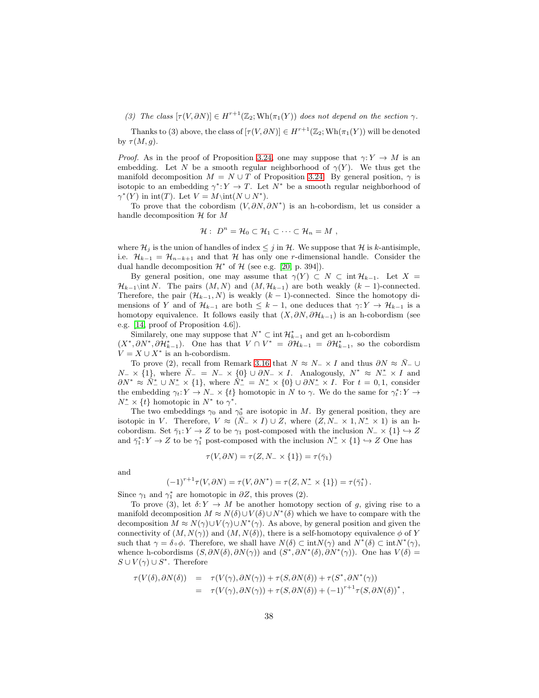(3) The class  $[\tau(V, \partial N)] \in H^{r+1}(\mathbb{Z}_2; Wh(\pi_1(Y))$  does not depend on the section  $\gamma$ .

Thanks to (3) above, the class of  $[\tau(V, \partial N)] \in H^{r+1}(\mathbb{Z}_2; Wh(\pi_1(Y))$  will be denoted by  $\tau(M,g)$ .

*Proof.* As in the proof of Proposition [3.24,](#page-23-6) one may suppose that  $\gamma: Y \to M$  is an embedding. Let N be a smooth regular neighborhood of  $\gamma(Y)$ . We thus get the manifold decomposition  $M = N \cup T$  of Proposition [3.24.](#page-23-6) By general position,  $\gamma$  is isotopic to an embedding  $\gamma^*$ :  $Y \to T$ . Let  $N^*$  be a smooth regular neighborhood of  $\gamma^*(Y)$  in  $\text{int}(T)$ . Let  $V = M\setminus \text{int}(N \cup N^*)$ .

To prove that the cobordism  $(V, \partial N, \partial N^*)$  is an h-cobordism, let us consider a handle decomposition  $\mathcal H$  for  $M$ 

$$
\mathcal{H}: D^n = \mathcal{H}_0 \subset \mathcal{H}_1 \subset \cdots \subset \mathcal{H}_n = M ,
$$

where  $\mathcal{H}_j$  is the union of handles of index  $\leq j$  in  $\mathcal{H}$ . We suppose that  $\mathcal{H}$  is k-antisimple, i.e.  $\mathcal{H}_{k-1} = \mathcal{H}_{n-k+1}$  and that  $\mathcal{H}$  has only one r-dimensional handle. Consider the dual handle decomposition  $\mathcal{H}^*$  of  $\mathcal{H}$  (see e.g. [\[20,](#page-40-13) p. 394]).

By general position, one may assume that  $\gamma(Y) \subset N \subset \text{int } H_{k-1}$ . Let  $X =$  $\mathcal{H}_{k-1}\$ \int N. The pairs  $(M, N)$  and  $(M, \mathcal{H}_{k-1})$  are both weakly  $(k-1)$ -connected. Therefore, the pair  $(\mathcal{H}_{k-1}, N)$  is weakly  $(k-1)$ -connected. Since the homotopy dimensions of Y and of  $\mathcal{H}_{k-1}$  are both  $\leq k-1$ , one deduces that  $\gamma: Y \to \mathcal{H}_{k-1}$  is a homotopy equivalence. It follows easily that  $(X, \partial N, \partial \mathcal{H}_{k-1})$  is an h-cobordism (see e.g. [\[14,](#page-40-19) proof of Proposition 4.6]).

Similarely, one may suppose that  $N^* \subset \text{int } \mathcal{H}_{k-1}^*$  and get an h-cobordism  $(X^*, \partial N^*, \partial \mathcal{H}_{k-1}^*)$ . One has that  $V \cap V^* = \partial \mathcal{H}_{k-1} = \partial \mathcal{H}_{k-1}^*$ , so the cobordism  $V = X \cup X^*$  is an h-cobordism.

To prove (2), recall from Remark [3.16](#page-19-0) that  $N \approx N- \times I$  and thus  $\partial N \approx \overline{N} - \cup$  $N_-\times\{1\}$ , where  $\bar{N}_- = N_-\times\{0\} \cup \partial N_-\times I$ . Analogously,  $N^* \approx N_-^* \times I$  and  $\partial N^* \approx \overline{N}_-^* \cup N_-^* \times \{1\}$ , where  $\overline{N}_-^* = N_-^* \times \{0\} \cup \partial N_-^* \times I$ . For  $t = 0, 1$ , consider the embedding  $\gamma_t: Y \to N^- \times \{t\}$  homotopic in N to  $\gamma$ . We do the same for  $\gamma_t^*: Y \to Y$  $N^*$  × {*t*} homotopic in  $N^*$  to  $\gamma^*$ .

The two embeddings  $\gamma_0$  and  $\gamma_0^*$  are isotopic in M. By general position, they are isotopic in V. Therefore,  $V \approx (\bar{N}_- \times I) \cup Z$ , where  $(Z, N_- \times 1, N_-^* \times 1)$  is an hcobordism. Set  $\bar{\gamma}_1: Y \to Z$  to be  $\gamma_1$  post-composed with the inclusion  $N_- \times \{1\} \hookrightarrow Z$ and  $\bar{\gamma}_1^*: Y \to Z$  to be  $\gamma_1^*$  post-composed with the inclusion  $N^* \times \{1\} \hookrightarrow Z$  One has

$$
\tau(V, \partial N) = \tau(Z, N_- \times \{1\}) = \tau(\bar{\gamma}_1)
$$

and

$$
(-1)^{r+1}\tau(V,\partial N) = \tau(V,\partial N^*) = \tau(Z, N^*_- \times \{1\}) = \tau(\bar{\gamma}_1^*).
$$

Since  $\gamma_1$  and  $\gamma_1^*$  are homotopic in  $\partial Z$ , this proves (2).

To prove (3), let  $\delta: Y \to M$  be another homotopy section of g, giving rise to a manifold decomposition  $M \approx N(\delta) \cup V(\delta) \cup N^*(\delta)$  which we have to compare with the decomposition  $M \approx N(\gamma) \cup V(\gamma) \cup N^*(\gamma)$ . As above, by general position and given the connectivity of  $(M, N(\gamma))$  and  $(M, N(\delta))$ , there is a self-homotopy equivalence  $\phi$  of Y such that  $\gamma = \delta \circ \phi$ . Therefore, we shall have  $N(\delta) \subset \text{int}N(\gamma)$  and  $N^*(\delta) \subset \text{int}N^*(\gamma)$ , whence h-cobordisms  $(S, \partial N(\delta), \partial N(\gamma))$  and  $(S^*, \partial N^*(\delta), \partial N^*(\gamma))$ . One has  $V(\delta)$  =  $S \cup V(\gamma) \cup S^*$ . Therefore

$$
\tau(V(\delta),\partial N(\delta)) = \tau(V(\gamma),\partial N(\gamma)) + \tau(S,\partial N(\delta)) + \tau(S^*,\partial N^*(\gamma))
$$
  
= 
$$
\tau(V(\gamma),\partial N(\gamma)) + \tau(S,\partial N(\delta)) + (-1)^{r+1} \tau(S,\partial N(\delta))^*,
$$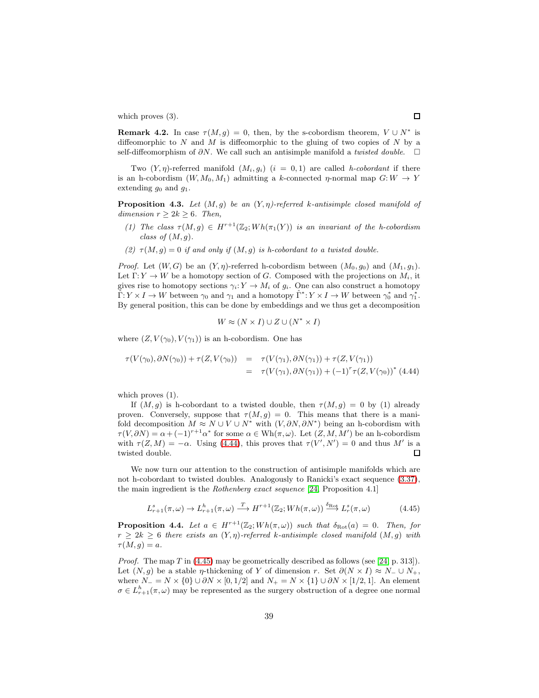which proves  $(3)$ .

<span id="page-38-3"></span>**Remark 4.2.** In case  $\tau(M,g) = 0$ , then, by the s-cobordism theorem,  $V \cup N^*$  is diffeomorphic to  $N$  and  $M$  is diffeomorphic to the gluing of two copies of  $N$  by a self-diffeomorphism of  $\partial N$ . We call such an antisimple manifold a *twisted double*.  $\Box$ 

Two  $(Y, \eta)$ -referred manifold  $(M_i, g_i)$   $(i = 0, 1)$  are called *h-cobordant* if there is an h-cobordism  $(W, M_0, M_1)$  admitting a k-connected  $\eta$ -normal map  $G: W \to Y$ extending  $g_0$  and  $g_1$ .

**Proposition 4.3.** Let  $(M, g)$  be an  $(Y, \eta)$ -referred k-antisimple closed manifold of dimension  $r > 2k > 6$ . Then,

- (1) The class  $\tau(M,g) \in H^{r+1}(\mathbb{Z}_2; Wh(\pi_1(Y))$  is an invariant of the h-cobordism class of  $(M, g)$ .
- (2)  $\tau(M,g) = 0$  if and only if  $(M,g)$  is h-cobordant to a twisted double.

*Proof.* Let  $(W, G)$  be an  $(Y, \eta)$ -referred h-cobordism between  $(M_0, g_0)$  and  $(M_1, g_1)$ . Let  $\Gamma: Y \to W$  be a homotopy section of G. Composed with the projections on  $M_i$ , it gives rise to homotopy sections  $\gamma_i: Y \to M_i$  of  $g_i$ . One can also construct a homotopy  $\hat{\Gamma}: Y \times I \to W$  between  $\gamma_0$  and  $\gamma_1$  and a homotopy  $\hat{\Gamma}^*: Y \times I \to W$  between  $\gamma_0^*$  and  $\gamma_1^*$ . By general position, this can be done by embeddings and we thus get a decomposition

$$
W \approx (N \times I) \cup Z \cup (N^* \times I)
$$

where  $(Z, V(\gamma_0), V(\gamma_1))$  is an h-cobordism. One has

<span id="page-38-0"></span>
$$
\tau(V(\gamma_0), \partial N(\gamma_0)) + \tau(Z, V(\gamma_0)) = \tau(V(\gamma_1), \partial N(\gamma_1)) + \tau(Z, V(\gamma_1))
$$
  
= 
$$
\tau(V(\gamma_1), \partial N(\gamma_1)) + (-1)^r \tau(Z, V(\gamma_0))^*
$$
(4.44)

which proves  $(1)$ .

If  $(M, g)$  is h-cobordant to a twisted double, then  $\tau(M, g) = 0$  by (1) already proven. Conversely, suppose that  $\tau(M, q) = 0$ . This means that there is a manifold decomposition  $M \approx N \cup V \cup N^*$  with  $(V, \partial N, \partial N^*)$  being an h-cobordism with  $\tau(V, \partial N) = \alpha + (-1)^{r+1} \alpha^*$  for some  $\alpha \in Wh(\pi, \omega)$ . Let  $(Z, M, M')$  be an h-cobordism with  $\tau(Z, M) = -\alpha$ . Using [\(4.44\)](#page-38-0), this proves that  $\tau(V', N') = 0$  and thus M' is a twisted double.  $\Box$ 

We now turn our attention to the construction of antisimple manifolds which are not h-cobordant to twisted doubles. Analogously to Ranicki's exact sequence [\(3.37\)](#page-28-0), the main ingredient is the Rothenberg exact sequence [\[24,](#page-40-20) Proposition 4.1]

<span id="page-38-1"></span>
$$
L_{r+1}^s(\pi,\omega) \to L_{r+1}^h(\pi,\omega) \xrightarrow{T} H^{r+1}(\mathbb{Z}_2; Wh(\pi,\omega)) \xrightarrow{\delta_{\text{Rot}}} L_r^s(\pi,\omega) \tag{4.45}
$$

<span id="page-38-2"></span>**Proposition 4.4.** Let  $a \in H^{r+1}(\mathbb{Z}_2; Wh(\pi,\omega))$  such that  $\delta_{Rot}(a) = 0$ . Then, for  $r \geq 2k \geq 6$  there exists an  $(Y, \eta)$ -referred k-antisimple closed manifold  $(M, g)$  with  $\tau(M,g)=a.$ 

*Proof.* The map  $T$  in [\(4.45\)](#page-38-1) may be geometrically described as follows (see [\[24,](#page-40-20) p. 313]). Let  $(N, g)$  be a stable *η*-thickening of Y of dimension r. Set  $\partial(N \times I) \approx N - \cup N_+$ , where  $N = N \times \{0\} \cup \partial N \times [0, 1/2]$  and  $N_+ = N \times \{1\} \cup \partial N \times [1/2, 1]$ . An element  $\sigma \in L_{r+1}^h(\pi,\omega)$  may be represented as the surgery obstruction of a degree one normal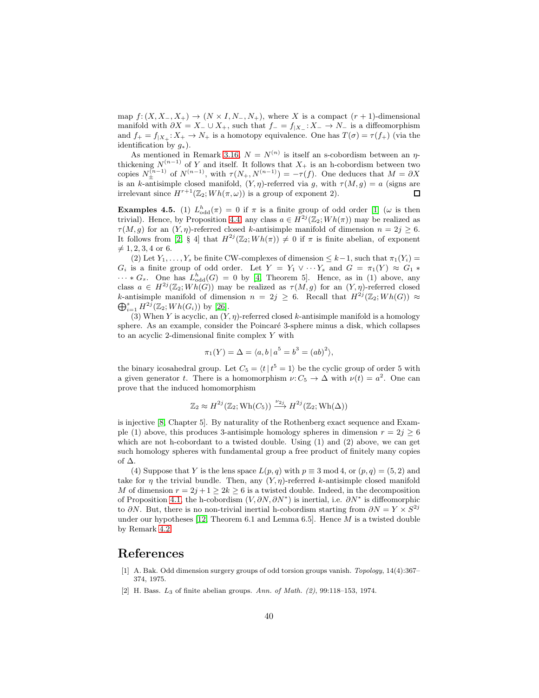map  $f: (X, X_-, X_+) \to (N \times I, N_-, N_+)$ , where X is a compact  $(r + 1)$ -dimensional manifold with  $\partial X = X_-\cup X_+$ , such that  $f_-=f_{|X_-}: X_-\to N_-$  is a diffeomorphism and  $f_+ = f_{|X_+}: X_+ \to N_+$  is a homotopy equivalence. One has  $T(\sigma) = \tau(f_+)$  (via the identification by  $g_*$ ).

As mentioned in Remark [3.16,](#page-19-0)  $N = N^{(n)}$  is itself an s-cobordism between an  $\eta$ thickening  $N^{(n-1)}$  of Y and itself. It follows that  $X_+$  is an h-cobordism between two copies  $N_{\pm}^{(n-1)}$  of  $N^{(n-1)}$ , with  $\tau(N_{+}, N^{(n-1)}) = -\tau(f)$ . One deduces that  $M = \partial X$ is an k-antisimple closed manifold,  $(Y, \eta)$ -referred via g, with  $\tau(M, g) = a$  (signs are irrelevant since  $H^{r+1}(\mathbb{Z}_2; Wh(\pi,\omega))$  is a group of exponent 2).  $\Box$ 

**Examples 4.5.** (1)  $L_{odd}^h(\pi) = 0$  if  $\pi$  is a finite group of odd order [\[1\]](#page-39-0) ( $\omega$  is then trivial). Hence, by Proposition [4.4,](#page-38-2) any class  $a \in H^{2j}(\mathbb{Z}_2; Wh(\pi))$  may be realized as  $\tau(M, q)$  for an  $(Y, \eta)$ -referred closed k-antisimple manifold of dimension  $n = 2j > 6$ . It follows from [\[2,](#page-39-1) § 4] that  $H^{2j}(\mathbb{Z}_2; Wh(\pi)) \neq 0$  if  $\pi$  is finite abelian, of exponent  $\neq 1, 2, 3, 4$  or 6.

(2) Let  $Y_1, \ldots, Y_s$  be finite CW-complexes of dimension  $\leq k-1$ , such that  $\pi_1(Y_i)$  $G_i$  is a finite group of odd order. Let  $Y = Y_1 \vee \cdots Y_s$  and  $G = \pi_1(Y) \approx G_1 *$  $\cdots * G_s$ . One has  $L^h_{odd}(G) = 0$  by [\[4,](#page-40-21) Theorem 5]. Hence, as in (1) above, any class  $a \in H^{2j}(\mathbb{Z}_2; Wh(G))$  may be realized as  $\tau(M,g)$  for an  $(Y,\eta)$ -referred closed k-antisimple manifold of dimension  $n = 2j \geq 6$ . Recall that  $H^{2j}(\mathbb{Z}_2; Wh(G)) \approx$  $\bigoplus_{i=1}^s H^{2j}(\mathbb{Z}_2; Wh(G_i))$  by [\[26\]](#page-40-22).

(3) When Y is acyclic, an  $(Y, \eta)$ -referred closed k-antisimple manifold is a homology sphere. As an example, consider the Poincaré 3-sphere minus a disk, which collapses to an acyclic 2-dimensional finite complex Y with

$$
\pi_1(Y) = \Delta = \langle a, b \, | \, a^5 = b^3 = (ab)^2 \rangle,
$$

the binary icosahedral group. Let  $C_5 = \langle t | t^5 = 1 \rangle$  be the cyclic group of order 5 with a given generator t. There is a homomorphism  $\nu: C_5 \to \Delta$  with  $\nu(t) = a^2$ . One can prove that the induced homomorphism

$$
\mathbb{Z}_2 \approx H^{2j}(\mathbb{Z}_2; \operatorname{Wh}(C_5)) \xrightarrow{\nu_{2j}} H^{2j}(\mathbb{Z}_2; \operatorname{Wh}(\Delta))
$$

is injective [\[8,](#page-40-23) Chapter 5]. By naturality of the Rothenberg exact sequence and Example (1) above, this produces 3-antisimple homology spheres in dimension  $r = 2j \geq 6$ which are not h-cobordant to a twisted double. Using  $(1)$  and  $(2)$  above, we can get such homology spheres with fundamental group a free product of finitely many copies of ∆.

(4) Suppose that Y is the lens space  $L(p,q)$  with  $p \equiv 3 \mod 4$ , or  $(p,q) = (5, 2)$  and take for  $\eta$  the trivial bundle. Then, any  $(Y, \eta)$ -referred k-antisimple closed manifold M of dimension  $r = 2j + 1 \geq 2k \geq 6$  is a twisted double. Indeed, in the decomposition of Proposition [4.1,](#page-36-2) the h-cobordism  $(V, \partial N, \partial N^*)$  is inertial, i.e.  $\partial N^*$  is diffeomorphic to  $\partial N$ . But, there is no non-trivial inertial h-cobordism starting from  $\partial N = Y \times S^{2j}$ under our hypotheses [\[12,](#page-40-6) Theorem 6.1 and Lemma 6.5]. Hence  $M$  is a twisted double by Remark [4.2.](#page-38-3)

### <span id="page-39-0"></span>References

- [1] A. Bak. Odd dimension surgery groups of odd torsion groups vanish. *Topology*, 14(4):367– 374, 1975.
- <span id="page-39-1"></span>[2] H. Bass. L<sup>3</sup> of finite abelian groups. *Ann. of Math. (2)*, 99:118–153, 1974.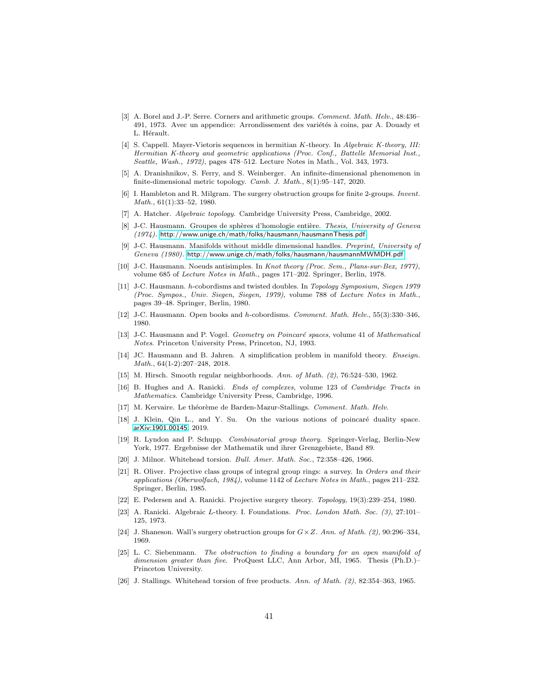- <span id="page-40-16"></span>[3] A. Borel and J.-P. Serre. Corners and arithmetic groups. *Comment. Math. Helv.*, 48:436– 491, 1973. Avec un appendice: Arrondissement des variétés à coins, par A. Douady et L. Hérault.
- <span id="page-40-21"></span>[4] S. Cappell. Mayer-Vietoris sequences in hermitian K-theory. In *Algebraic K-theory, III: Hermitian K-theory and geometric applications (Proc. Conf., Battelle Memorial Inst., Seattle, Wash., 1972)*, pages 478–512. Lecture Notes in Math., Vol. 343, 1973.
- <span id="page-40-7"></span>[5] A. Dranishnikov, S. Ferry, and S. Weinberger. An infinite-dimensional phenomenon in finite-dimensional metric topology. *Camb. J. Math.*, 8(1):95–147, 2020.
- <span id="page-40-18"></span>[6] I. Hambleton and R. Milgram. The surgery obstruction groups for finite 2-groups. *Invent. Math.*, 61(1):33–52, 1980.
- <span id="page-40-23"></span><span id="page-40-0"></span>[7] A. Hatcher. *Algebraic topology*. Cambridge University Press, Cambridge, 2002.
- [8] J-C. Hausmann. Groupes de sphères d'homologie entière. *Thesis, University of Geneva (1974).* <http://www.unige.ch/math/folks/hausmann/hausmannThesis.pdf>.
- <span id="page-40-4"></span>[9] J-C. Hausmann. Manifolds without middle dimensional handles. *Preprint, University of Geneva (1980).* <http://www.unige.ch/math/folks/hausmann/hausmannMWMDH.pdf>.
- <span id="page-40-3"></span>[10] J-C. Hausmann. Noeuds antisimples. In *Knot theory (Proc. Sem., Plans-sur-Bex, 1977)*, volume 685 of *Lecture Notes in Math.*, pages 171–202. Springer, Berlin, 1978.
- <span id="page-40-5"></span>[11] J-C. Hausmann. h-cobordisms and twisted doubles. In *Topology Symposium, Siegen 1979 (Proc. Sympos., Univ. Siegen, Siegen, 1979)*, volume 788 of *Lecture Notes in Math.*, pages 39–48. Springer, Berlin, 1980.
- <span id="page-40-6"></span>[12] J-C. Hausmann. Open books and h-cobordisms. *Comment. Math. Helv.*, 55(3):330–346, 1980.
- <span id="page-40-9"></span>[13] J-C. Hausmann and P. Vogel. *Geometry on Poincaré spaces*, volume 41 of *Mathematical Notes*. Princeton University Press, Princeton, NJ, 1993.
- <span id="page-40-19"></span>[14] JC. Hausmann and B. Jahren. A simplification problem in manifold theory. *Enseign. Math.*, 64(1-2):207–248, 2018.
- <span id="page-40-11"></span><span id="page-40-2"></span>[15] M. Hirsch. Smooth regular neighborhoods. *Ann. of Math. (2)*, 76:524–530, 1962.
- [16] B. Hughes and A. Ranicki. *Ends of complexes*, volume 123 of *Cambridge Tracts in Mathematics*. Cambridge University Press, Cambridge, 1996.
- <span id="page-40-12"></span><span id="page-40-10"></span>[17] M. Kervaire. Le théorème de Barden-Mazur-Stallings. *Comment. Math. Helv.*
- [18] J. Klein, Qin L., and Y. Su. On the various notions of poincaré duality space. [arXiv:1901.00145](http://arxiv.org/abs/1901.00145), 2019.
- <span id="page-40-14"></span>[19] R. Lyndon and P. Schupp. *Combinatorial group theory*. Springer-Verlag, Berlin-New York, 1977. Ergebnisse der Mathematik und ihrer Grenzgebiete, Band 89.
- <span id="page-40-17"></span><span id="page-40-13"></span>[20] J. Milnor. Whitehead torsion. *Bull. Amer. Math. Soc.*, 72:358–426, 1966.
- [21] R. Oliver. Projective class groups of integral group rings: a survey. In *Orders and their applications (Oberwolfach, 1984)*, volume 1142 of *Lecture Notes in Math.*, pages 211–232. Springer, Berlin, 1985.
- <span id="page-40-15"></span><span id="page-40-1"></span>[22] E. Pedersen and A. Ranicki. Projective surgery theory. *Topology*, 19(3):239–254, 1980.
- [23] A. Ranicki. Algebraic L-theory. I. Foundations. *Proc. London Math. Soc. (3)*, 27:101– 125, 1973.
- <span id="page-40-20"></span>[24] J. Shaneson. Wall's surgery obstruction groups for G×Z. *Ann. of Math. (2)*, 90:296–334, 1969.
- <span id="page-40-8"></span>[25] L. C. Siebenmann. *The obstruction to finding a boundary for an open manifold of dimension greater than five*. ProQuest LLC, Ann Arbor, MI, 1965. Thesis (Ph.D.)– Princeton University.
- <span id="page-40-22"></span>[26] J. Stallings. Whitehead torsion of free products. *Ann. of Math. (2)*, 82:354–363, 1965.